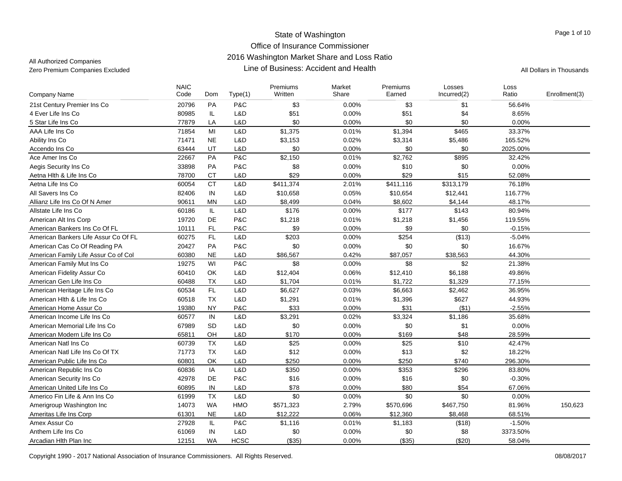| Company Name                         | <b>NAIC</b><br>Code | Dom       | Type(1)     | Premiums<br>Written | Market<br>Share | Premiums<br>Earned | Losses<br>Incurred(2) | Loss<br>Ratio | Enrollment(3) |
|--------------------------------------|---------------------|-----------|-------------|---------------------|-----------------|--------------------|-----------------------|---------------|---------------|
| 21st Century Premier Ins Co          | 20796               | <b>PA</b> | P&C         | \$3                 | 0.00%           | \$3                | \$1                   | 56.64%        |               |
| 4 Ever Life Ins Co                   | 80985               | IL.       | L&D         | \$51                | 0.00%           | \$51               | \$4                   | 8.65%         |               |
| 5 Star Life Ins Co                   | 77879               | LA        | L&D         | \$0                 | 0.00%           | \$0                | \$0                   | 0.00%         |               |
| AAA Life Ins Co                      | 71854               | MI        | L&D         | \$1,375             | 0.01%           | \$1,394            | \$465                 | 33.37%        |               |
| Ability Ins Co                       | 71471               | <b>NE</b> | L&D         | \$3,153             | 0.02%           | \$3,314            | \$5,486               | 165.52%       |               |
| Accendo Ins Co                       | 63444               | UT        | L&D         | \$0                 | 0.00%           | \$0                | \$0                   | 2025.00%      |               |
| Ace Amer Ins Co                      | 22667               | PA        | P&C         | \$2,150             | 0.01%           | \$2,762            | \$895                 | 32.42%        |               |
| Aegis Security Ins Co                | 33898               | PA        | P&C         | \$8                 | 0.00%           | \$10               | \$0                   | 0.00%         |               |
| Aetna Hith & Life Ins Co             | 78700               | <b>CT</b> | L&D         | \$29                | 0.00%           | \$29               | \$15                  | 52.08%        |               |
| Aetna Life Ins Co                    | 60054               | <b>CT</b> | L&D         | \$411,374           | 2.01%           | \$411,116          | \$313,179             | 76.18%        |               |
| All Savers Ins Co                    | 82406               | IN        | L&D         | \$10,658            | 0.05%           | \$10,654           | \$12,441              | 116.77%       |               |
| Allianz Life Ins Co Of N Amer        | 90611               | <b>MN</b> | L&D         | \$8,499             | 0.04%           | \$8,602            | \$4,144               | 48.17%        |               |
| Allstate Life Ins Co.                | 60186               | IL.       | L&D         | \$176               | 0.00%           | \$177              | \$143                 | 80.94%        |               |
| American Alt Ins Corp                | 19720               | <b>DE</b> | P&C         | \$1,218             | 0.01%           | \$1,218            | \$1,456               | 119.55%       |               |
| American Bankers Ins Co Of FL        | 10111               | <b>FL</b> | P&C         | \$9                 | 0.00%           | \$9                | \$0                   | $-0.15%$      |               |
| American Bankers Life Assur Co Of FL | 60275               | FL        | L&D         | \$203               | 0.00%           | \$254              | (\$13)                | $-5.04%$      |               |
| American Cas Co Of Reading PA        | 20427               | PA        | P&C         | \$0                 | 0.00%           | \$0                | \$0                   | 16.67%        |               |
| American Family Life Assur Co of Col | 60380               | <b>NE</b> | L&D         | \$86,567            | 0.42%           | \$87,057           | \$38,563              | 44.30%        |               |
| American Family Mut Ins Co           | 19275               | WI        | P&C         | \$8                 | 0.00%           | \$8                | \$2                   | 21.38%        |               |
| American Fidelity Assur Co           | 60410               | OK        | L&D         | \$12,404            | 0.06%           | \$12,410           | \$6,188               | 49.86%        |               |
| American Gen Life Ins Co             | 60488               | <b>TX</b> | L&D         | \$1,704             | 0.01%           | \$1,722            | \$1,329               | 77.15%        |               |
| American Heritage Life Ins Co        | 60534               | FL.       | L&D         | \$6,627             | 0.03%           | \$6,663            | \$2,462               | 36.95%        |               |
| American Hith & Life Ins Co          | 60518               | <b>TX</b> | L&D         | \$1,291             | 0.01%           | \$1,396            | \$627                 | 44.93%        |               |
| American Home Assur Co               | 19380               | <b>NY</b> | P&C         | \$33                | 0.00%           | \$31               | ( \$1)                | $-2.55%$      |               |
| American Income Life Ins Co.         | 60577               | IN        | L&D         | \$3,291             | 0.02%           | \$3,324            | \$1,186               | 35.68%        |               |
| American Memorial Life Ins Co        | 67989               | SD        | L&D         | \$0                 | 0.00%           | \$0                | \$1                   | 0.00%         |               |
| American Modern Life Ins Co          | 65811               | OH        | L&D         | \$170               | 0.00%           | \$169              | \$48                  | 28.59%        |               |
| American Natl Ins Co                 | 60739               | <b>TX</b> | L&D         | \$25                | 0.00%           | \$25               | \$10                  | 42.47%        |               |
| American Natl Life Ins Co Of TX      | 71773               | TX        | L&D         | \$12                | 0.00%           | \$13               | \$2                   | 18.22%        |               |
| American Public Life Ins Co          | 60801               | <b>OK</b> | L&D         | \$250               | 0.00%           | \$250              | \$740                 | 296.30%       |               |
| American Republic Ins Co             | 60836               | IA        | L&D         | \$350               | 0.00%           | \$353              | \$296                 | 83.80%        |               |
| American Security Ins Co             | 42978               | <b>DE</b> | P&C         | \$16                | 0.00%           | \$16               | \$0                   | $-0.30%$      |               |
| American United Life Ins Co          | 60895               | IN        | L&D         | \$78                | 0.00%           | \$80               | \$54                  | 67.06%        |               |
| Americo Fin Life & Ann Ins Co        | 61999               | <b>TX</b> | L&D         | \$0                 | 0.00%           | \$0                | \$0                   | 0.00%         |               |
| Amerigroup Washington Inc            | 14073               | <b>WA</b> | <b>HMO</b>  | \$571,323           | 2.79%           | \$570,696          | \$467,750             | 81.96%        | 150,623       |
| Ameritas Life Ins Corp               | 61301               | <b>NE</b> | L&D         | \$12,222            | 0.06%           | \$12,360           | \$8,468               | 68.51%        |               |
| Amex Assur Co                        | 27928               | IL        | P&C         | \$1,116             | 0.01%           | \$1,183            | (\$18)                | $-1.50%$      |               |
| Anthem Life Ins Co                   | 61069               | IN        | L&D         | \$0                 | 0.00%           | \$0                | \$8                   | 3373.50%      |               |
| Arcadian Hith Plan Inc               | 12151               | <b>WA</b> | <b>HCSC</b> | (\$35)              | 0.00%           | (\$35)             | (\$20)                | 58.04%        |               |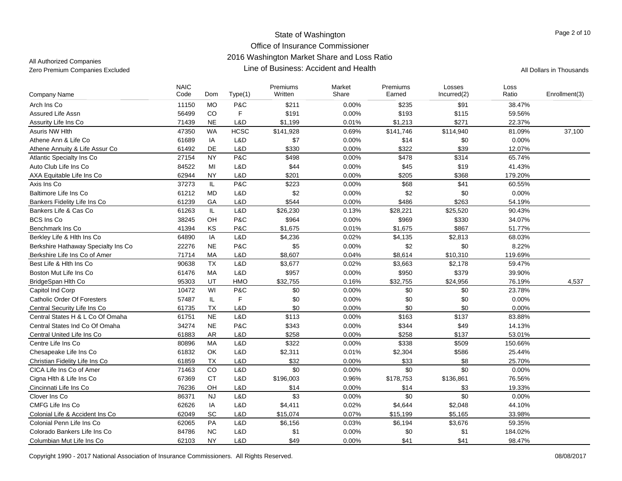| Company Name                        | <b>NAIC</b><br>Code | Dom       | Type(1)     | Premiums<br>Written | Market<br>Share | Premiums<br>Earned | Losses<br>Incurred(2) | Loss<br>Ratio | Enrollment(3) |
|-------------------------------------|---------------------|-----------|-------------|---------------------|-----------------|--------------------|-----------------------|---------------|---------------|
| Arch Ins Co                         | 11150               | <b>MO</b> | P&C         | \$211               | 0.00%           | \$235              | \$91                  | 38.47%        |               |
| Assured Life Assn                   | 56499               | CO        | F           | \$191               | 0.00%           | \$193              | \$115                 | 59.56%        |               |
| Assurity Life Ins Co                | 71439               | <b>NE</b> | L&D         | \$1,199             | 0.01%           | \$1,213            | \$271                 | 22.37%        |               |
| <b>Asuris NW Hlth</b>               | 47350               | <b>WA</b> | <b>HCSC</b> | \$141,928           | 0.69%           | \$141,746          | \$114,940             | 81.09%        | 37,100        |
| Athene Ann & Life Co                | 61689               | IA        | L&D         | \$7                 | 0.00%           | \$14               | \$0                   | 0.00%         |               |
| Athene Annuity & Life Assur Co      | 61492               | DE        | L&D         | \$330               | 0.00%           | \$322              | \$39                  | 12.07%        |               |
| Atlantic Specialty Ins Co.          | 27154               | <b>NY</b> | P&C         | \$498               | 0.00%           | \$478              | \$314                 | 65.74%        |               |
| Auto Club Life Ins Co               | 84522               | MI        | L&D         | \$44                | 0.00%           | \$45               | \$19                  | 41.43%        |               |
| AXA Equitable Life Ins Co           | 62944               | <b>NY</b> | L&D         | \$201               | 0.00%           | \$205              | \$368                 | 179.20%       |               |
| Axis Ins Co                         | 37273               | IL.       | P&C         | \$223               | 0.00%           | \$68               | \$41                  | 60.55%        |               |
| Baltimore Life Ins Co               | 61212               | MD        | L&D         | \$2                 | 0.00%           | \$2                | \$0                   | 0.00%         |               |
| Bankers Fidelity Life Ins Co        | 61239               | GA        | L&D         | \$544               | 0.00%           | \$486              | \$263                 | 54.19%        |               |
| Bankers Life & Cas Co               | 61263               | IL.       | L&D         | \$26,230            | 0.13%           | \$28,221           | \$25,520              | 90.43%        |               |
| <b>BCS Ins Co</b>                   | 38245               | OH        | P&C         | \$964               | 0.00%           | \$969              | \$330                 | 34.07%        |               |
| Benchmark Ins Co                    | 41394               | KS        | P&C         | \$1,675             | 0.01%           | \$1,675            | \$867                 | 51.77%        |               |
| Berkley Life & Hlth Ins Co          | 64890               | IA        | L&D         | \$4,236             | 0.02%           | \$4,135            | \$2,813               | 68.03%        |               |
| Berkshire Hathaway Specialty Ins Co | 22276               | <b>NE</b> | P&C         | \$5                 | 0.00%           | \$2                | \$0                   | 8.22%         |               |
| Berkshire Life Ins Co of Amer       | 71714               | MA        | L&D         | \$8,607             | 0.04%           | \$8,614            | \$10,310              | 119.69%       |               |
| Best Life & Hith Ins Co             | 90638               | <b>TX</b> | L&D         | \$3,677             | 0.02%           | \$3,663            | \$2,178               | 59.47%        |               |
| Boston Mut Life Ins Co              | 61476               | <b>MA</b> | L&D         | \$957               | 0.00%           | \$950              | \$379                 | 39.90%        |               |
| BridgeSpan Hlth Co                  | 95303               | UT        | HMO         | \$32,755            | 0.16%           | \$32,755           | \$24,956              | 76.19%        | 4,537         |
| Capitol Ind Corp                    | 10472               | WI        | P&C         | \$0                 | 0.00%           | \$0                | \$0                   | 23.78%        |               |
| <b>Catholic Order Of Foresters</b>  | 57487               | IL        | F           | \$0                 | 0.00%           | \$0                | \$0                   | 0.00%         |               |
| Central Security Life Ins Co        | 61735               | <b>TX</b> | L&D         | \$0                 | 0.00%           | \$0                | \$0                   | 0.00%         |               |
| Central States H & L Co Of Omaha    | 61751               | <b>NE</b> | L&D         | \$113               | 0.00%           | \$163              | \$137                 | 83.88%        |               |
| Central States Ind Co Of Omaha      | 34274               | <b>NE</b> | P&C         | \$343               | 0.00%           | \$344              | \$49                  | 14.13%        |               |
| Central United Life Ins Co          | 61883               | <b>AR</b> | L&D         | \$258               | 0.00%           | \$258              | \$137                 | 53.01%        |               |
| Centre Life Ins Co                  | 80896               | MA        | L&D         | \$322               | 0.00%           | \$338              | \$509                 | 150.66%       |               |
| Chesapeake Life Ins Co              | 61832               | OK        | L&D         | \$2,311             | 0.01%           | \$2,304            | \$586                 | 25.44%        |               |
| Christian Fidelity Life Ins Co      | 61859               | <b>TX</b> | L&D         | \$32                | 0.00%           | \$33               | \$8                   | 25.70%        |               |
| CICA Life Ins Co of Amer            | 71463               | CO        | L&D         | \$0                 | 0.00%           | \$0                | \$0                   | 0.00%         |               |
| Cigna Hlth & Life Ins Co            | 67369               | <b>CT</b> | L&D         | \$196,003           | 0.96%           | \$178,753          | \$136,861             | 76.56%        |               |
| Cincinnati Life Ins Co              | 76236               | OH        | L&D         | \$14                | 0.00%           | \$14               | \$3                   | 19.33%        |               |
| Clover Ins Co                       | 86371               | <b>NJ</b> | L&D         | \$3                 | 0.00%           | \$0                | \$0                   | 0.00%         |               |
| <b>CMFG Life Ins Co</b>             | 62626               | IA        | L&D         | \$4,411             | 0.02%           | \$4,644            | \$2,048               | 44.10%        |               |
| Colonial Life & Accident Ins Co     | 62049               | SC        | L&D         | \$15,074            | 0.07%           | \$15,199           | \$5,165               | 33.98%        |               |
| Colonial Penn Life Ins Co           | 62065               | PA        | L&D         | \$6,156             | 0.03%           | \$6,194            | \$3,676               | 59.35%        |               |
| Colorado Bankers Life Ins Co        | 84786               | <b>NC</b> | L&D         | \$1                 | 0.00%           | \$0                | \$1                   | 184.02%       |               |
| Columbian Mut Life Ins Co           | 62103               | <b>NY</b> | L&D         | \$49                | 0.00%           | \$41               | \$41                  | 98.47%        |               |
|                                     |                     |           |             |                     |                 |                    |                       |               |               |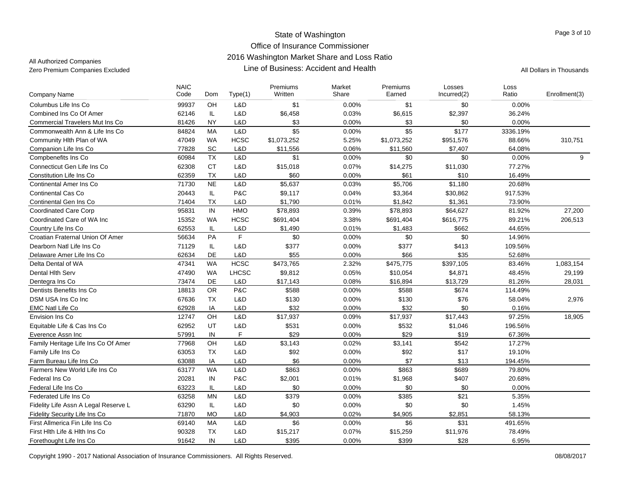| <b>Company Name</b>                    | <b>NAIC</b><br>Code | Dom       | Type(1)      | Premiums<br>Written | Market<br>Share | Premiums<br>Earned | Losses<br>Incurred(2) | Loss<br>Ratio | Enrollment(3) |
|----------------------------------------|---------------------|-----------|--------------|---------------------|-----------------|--------------------|-----------------------|---------------|---------------|
| Columbus Life Ins Co                   | 99937               | OH        | L&D          | \$1                 | 0.00%           | \$1                | \$0                   | 0.00%         |               |
| Combined Ins Co Of Amer                | 62146               | IL        | L&D          | \$6,458             | 0.03%           | \$6,615            | \$2,397               | 36.24%        |               |
| <b>Commercial Travelers Mut Ins Co</b> | 81426               | <b>NY</b> | L&D          | \$3                 | 0.00%           | \$3                | \$0                   | 0.00%         |               |
| Commonwealth Ann & Life Ins Co         | 84824               | <b>MA</b> | L&D          | $\overline{\$5}$    | 0.00%           | $\sqrt{$5}$        | \$177                 | 3336.19%      |               |
| Community Hlth Plan of WA              | 47049               | <b>WA</b> | <b>HCSC</b>  | \$1,073,252         | 5.25%           | \$1,073,252        | \$951,576             | 88.66%        | 310,751       |
| Companion Life Ins Co                  | 77828               | <b>SC</b> | L&D          | \$11,556            | 0.06%           | \$11,560           | \$7,407               | 64.08%        |               |
| Compbenefits Ins Co                    | 60984               | <b>TX</b> | L&D          | \$1                 | 0.00%           | \$0                | \$0                   | 0.00%         | 9             |
| Connecticut Gen Life Ins Co            | 62308               | <b>CT</b> | L&D          | \$15,018            | 0.07%           | \$14,275           | \$11,030              | 77.27%        |               |
| Constitution Life Ins Co               | 62359               | TX        | L&D          | \$60                | 0.00%           | \$61               | \$10                  | 16.49%        |               |
| <b>Continental Amer Ins Co</b>         | 71730               | <b>NE</b> | L&D          | \$5,637             | 0.03%           | \$5,706            | \$1,180               | 20.68%        |               |
| <b>Continental Cas Co</b>              | 20443               | IL        | P&C          | \$9,117             | 0.04%           | \$3,364            | \$30,862              | 917.53%       |               |
| Continental Gen Ins Co                 | 71404               | <b>TX</b> | L&D          | \$1,790             | 0.01%           | \$1,842            | \$1,361               | 73.90%        |               |
| <b>Coordinated Care Corp</b>           | 95831               | IN        | HMO          | \$78,893            | 0.39%           | \$78,893           | \$64,627              | 81.92%        | 27,200        |
| Coordinated Care of WA Inc             | 15352               | <b>WA</b> | <b>HCSC</b>  | \$691,404           | 3.38%           | \$691,404          | \$616,775             | 89.21%        | 206,513       |
| Country Life Ins Co                    | 62553               | IL        | L&D          | \$1,490             | 0.01%           | \$1,483            | \$662                 | 44.65%        |               |
| Croatian Fraternal Union Of Amer       | 56634               | PA        | $\mathsf{F}$ | \$0                 | 0.00%           | \$0                | \$0                   | 14.96%        |               |
| Dearborn Natl Life Ins Co              | 71129               | IL        | L&D          | \$377               | 0.00%           | \$377              | \$413                 | 109.56%       |               |
| Delaware Amer Life Ins Co              | 62634               | DE        | L&D          | \$55                | 0.00%           | \$66               | \$35                  | 52.68%        |               |
| Delta Dental of WA                     | 47341               | <b>WA</b> | <b>HCSC</b>  | \$473,765           | 2.32%           | \$475,775          | \$397,105             | 83.46%        | 1.083.154     |
| Dental Hith Serv                       | 47490               | <b>WA</b> | LHCSC        | \$9,812             | 0.05%           | \$10,054           | \$4,871               | 48.45%        | 29,199        |
| Dentegra Ins Co                        | 73474               | DE        | L&D          | \$17,143            | 0.08%           | \$16,894           | \$13,729              | 81.26%        | 28,031        |
| Dentists Benefits Ins Co               | 18813               | <b>OR</b> | P&C          | \$588               | 0.00%           | \$588              | \$674                 | 114.49%       |               |
| DSM USA Ins Co Inc                     | 67636               | <b>TX</b> | L&D          | \$130               | 0.00%           | \$130              | \$76                  | 58.04%        | 2,976         |
| <b>EMC Natl Life Co</b>                | 62928               | IA        | L&D          | \$32                | 0.00%           | \$32               | \$0                   | 0.16%         |               |
| Envision Ins Co                        | 12747               | OH        | L&D          | \$17,937            | 0.09%           | \$17,937           | \$17,443              | 97.25%        | 18,905        |
| Equitable Life & Cas Ins Co            | 62952               | UT        | L&D          | \$531               | 0.00%           | \$532              | \$1,046               | 196.56%       |               |
| Everence Assn Inc                      | 57991               | IN        | F            | \$29                | 0.00%           | \$29               | \$19                  | 67.36%        |               |
| Family Heritage Life Ins Co Of Amer    | 77968               | OH        | L&D          | \$3,143             | 0.02%           | \$3,141            | \$542                 | 17.27%        |               |
| Family Life Ins Co                     | 63053               | <b>TX</b> | L&D          | \$92                | 0.00%           | \$92               | \$17                  | 19.10%        |               |
| Farm Bureau Life Ins Co                | 63088               | IA        | L&D          | \$6                 | $0.00\%$        | \$7                | \$13                  | 194.45%       |               |
| Farmers New World Life Ins Co          | 63177               | <b>WA</b> | L&D          | \$863               | 0.00%           | \$863              | \$689                 | 79.80%        |               |
| Federal Ins Co                         | 20281               | IN        | P&C          | \$2,001             | 0.01%           | \$1,968            | \$407                 | 20.68%        |               |
| Federal Life Ins Co                    | 63223               | IL        | L&D          | \$0                 | 0.00%           | \$0                | \$0                   | 0.00%         |               |
| Federated Life Ins Co                  | 63258               | MN        | L&D          | \$379               | 0.00%           | \$385              | \$21                  | 5.35%         |               |
| Fidelity Life Assn A Legal Reserve L   | 63290               | IL.       | L&D          | \$0                 | 0.00%           | \$0                | \$0                   | 1.45%         |               |
| Fidelity Security Life Ins Co          | 71870               | <b>MO</b> | L&D          | \$4,903             | 0.02%           | \$4,905            | \$2,851               | 58.13%        |               |
| First Allmerica Fin Life Ins Co        | 69140               | MA        | L&D          | \$6                 | 0.00%           | \$6                | \$31                  | 491.65%       |               |
| First Hith Life & Hith Ins Co          | 90328               | <b>TX</b> | L&D          | \$15,217            | 0.07%           | \$15,259           | \$11,976              | 78.49%        |               |
| Forethought Life Ins Co                | 91642               | $\sf IN$  | L&D          | \$395               | 0.00%           | \$399              | \$28                  | 6.95%         |               |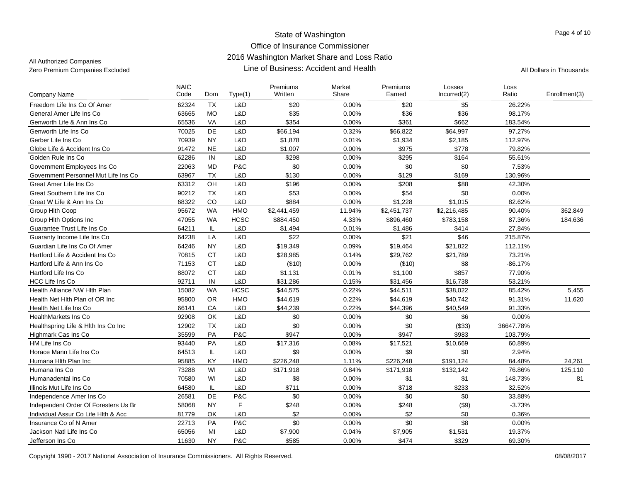| <b>Company Name</b>                  | <b>NAIC</b><br>Code | Dom       | Type(1)     | Premiums<br>Written | Market<br>Share | Premiums<br>Earned | Losses<br>Incurred(2) | Loss<br>Ratio | Enrollment(3) |
|--------------------------------------|---------------------|-----------|-------------|---------------------|-----------------|--------------------|-----------------------|---------------|---------------|
| Freedom Life Ins Co Of Amer          | 62324               | <b>TX</b> | L&D         | \$20                | 0.00%           | \$20               | \$5                   | 26.22%        |               |
| General Amer Life Ins Co             | 63665               | <b>MO</b> | L&D         | \$35                | 0.00%           | \$36               | \$36                  | 98.17%        |               |
| Genworth Life & Ann Ins Co           | 65536               | VA        | L&D         | \$354               | 0.00%           | \$361              | \$662                 | 183.54%       |               |
| Genworth Life Ins Co                 | 70025               | DE        | L&D         | \$66,194            | 0.32%           | \$66,822           | \$64,997              | 97.27%        |               |
| Gerber Life Ins Co                   | 70939               | <b>NY</b> | L&D         | \$1,878             | 0.01%           | \$1,934            | \$2,185               | 112.97%       |               |
| Globe Life & Accident Ins Co         | 91472               | <b>NE</b> | L&D         | \$1,007             | 0.00%           | \$975              | \$778                 | 79.82%        |               |
| Golden Rule Ins Co                   | 62286               | IN        | L&D         | \$298               | 0.00%           | \$295              | \$164                 | 55.61%        |               |
| Government Employees Ins Co          | 22063               | <b>MD</b> | P&C         | \$0                 | 0.00%           | \$0                | \$0                   | 7.53%         |               |
| Government Personnel Mut Life Ins Co | 63967               | <b>TX</b> | L&D         | \$130               | 0.00%           | \$129              | \$169                 | 130.96%       |               |
| Great Amer Life Ins Co               | 63312               | OH        | L&D         | \$196               | 0.00%           | \$208              | \$88                  | 42.30%        |               |
| Great Southern Life Ins Co           | 90212               | <b>TX</b> | L&D         | \$53                | 0.00%           | \$54               | \$0                   | 0.00%         |               |
| Great W Life & Ann Ins Co            | 68322               | CO        | L&D         | \$884               | 0.00%           | \$1,228            | \$1,015               | 82.62%        |               |
| Group Hith Coop                      | 95672               | <b>WA</b> | HMO         | \$2,441,459         | 11.94%          | \$2,451,737        | \$2,216,485           | 90.40%        | 362,849       |
| Group Hlth Options Inc               | 47055               | <b>WA</b> | <b>HCSC</b> | \$884,450           | 4.33%           | \$896,460          | \$783,158             | 87.36%        | 184,636       |
| Guarantee Trust Life Ins Co          | 64211               | IL        | L&D         | \$1,494             | 0.01%           | \$1,486            | \$414                 | 27.84%        |               |
| Guaranty Income Life Ins Co          | 64238               | LA        | L&D         | \$22                | 0.00%           | \$21               | \$46                  | 215.87%       |               |
| Guardian Life Ins Co Of Amer         | 64246               | <b>NY</b> | L&D         | \$19,349            | 0.09%           | \$19,464           | \$21,822              | 112.11%       |               |
| Hartford Life & Accident Ins Co      | 70815               | <b>CT</b> | L&D         | \$28,985            | 0.14%           | \$29,762           | \$21,789              | 73.21%        |               |
| Hartford Life & Ann Ins Co           | 71153               | <b>CT</b> | L&D         | (\$10)              | 0.00%           | (\$10)             | \$8                   | $-86.17%$     |               |
| Hartford Life Ins Co                 | 88072               | <b>CT</b> | L&D         | \$1,131             | 0.01%           | \$1,100            | \$857                 | 77.90%        |               |
| <b>HCC Life Ins Co</b>               | 92711               | IN        | L&D         | \$31,286            | 0.15%           | \$31,456           | \$16,738              | 53.21%        |               |
| Health Alliance NW Hlth Plan         | 15082               | <b>WA</b> | <b>HCSC</b> | \$44,575            | 0.22%           | \$44,511           | \$38,022              | 85.42%        | 5,455         |
| Health Net Hith Plan of OR Inc       | 95800               | OR        | HMO         | \$44,619            | 0.22%           | \$44,619           | \$40,742              | 91.31%        | 11,620        |
| Health Net Life Ins Co               | 66141               | CA        | L&D         | \$44,239            | 0.22%           | \$44,396           | \$40,549              | 91.33%        |               |
| <b>HealthMarkets Ins Co</b>          | 92908               | OK        | L&D         | \$0                 | 0.00%           | \$0                | \$6                   | 0.00%         |               |
| Healthspring Life & Hith Ins Co Inc  | 12902               | <b>TX</b> | L&D         | \$0                 | 0.00%           | \$0                | (\$33)                | 36647.78%     |               |
| Highmark Cas Ins Co                  | 35599               | PA        | P&C         | \$947               | 0.00%           | \$947              | \$983                 | 103.79%       |               |
| HM Life Ins Co                       | 93440               | PA        | L&D         | \$17,316            | 0.08%           | \$17,521           | \$10,669              | 60.89%        |               |
| Horace Mann Life Ins Co              | 64513               | IL.       | L&D         | \$9                 | 0.00%           | \$9                | \$0                   | 2.94%         |               |
| Humana Hith Plan Inc                 | 95885               | KY        | <b>HMO</b>  | \$226,248           | 1.11%           | \$226,248          | \$191,124             | 84.48%        | 24,261        |
| Humana Ins Co                        | 73288               | WI        | L&D         | \$171,918           | 0.84%           | \$171,918          | \$132,142             | 76.86%        | 125,110       |
| Humanadental Ins Co                  | 70580               | WI        | L&D         | \$8                 | 0.00%           | \$1                | \$1                   | 148.73%       | 81            |
| Illinois Mut Life Ins Co             | 64580               | IL        | L&D         | \$711               | 0.00%           | \$718              | \$233                 | 32.52%        |               |
| Independence Amer Ins Co             | 26581               | DE        | P&C         | \$0                 | 0.00%           | \$0                | \$0                   | 33.88%        |               |
| Independent Order Of Foresters Us Br | 58068               | <b>NY</b> | F           | \$248               | 0.00%           | \$248              | (\$9)                 | $-3.73%$      |               |
| Individual Assur Co Life Hlth & Acc  | 81779               | OK        | L&D         | \$2                 | 0.00%           | \$2                | \$0                   | 0.36%         |               |
| Insurance Co of N Amer               | 22713               | PA        | P&C         | \$0                 | 0.00%           | \$0                | \$8                   | 0.00%         |               |
| Jackson Natl Life Ins Co             | 65056               | MI        | L&D         | \$7,900             | 0.04%           | \$7,905            | \$1,531               | 19.37%        |               |
| Jefferson Ins Co                     | 11630               | <b>NY</b> | P&C         | \$585               | 0.00%           | \$474              | \$329                 | 69.30%        |               |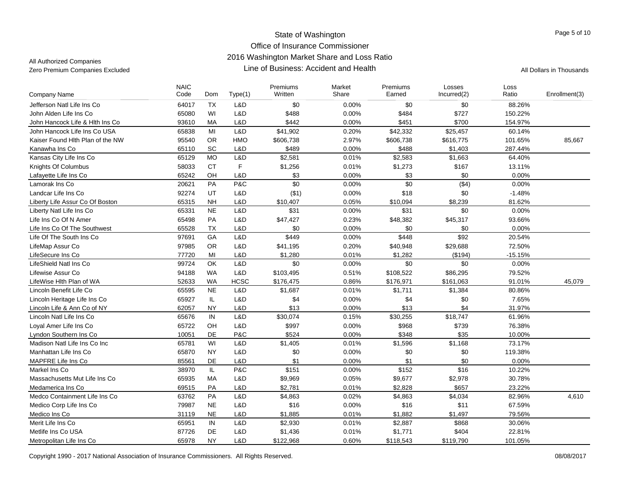| <b>Company Name</b>              | <b>NAIC</b><br>Code | Dom        | Type(1)     | Premiums<br>Written | Market<br>Share | Premiums<br>Earned | Losses<br>Incurred(2) | Loss<br>Ratio | Enrollment(3) |
|----------------------------------|---------------------|------------|-------------|---------------------|-----------------|--------------------|-----------------------|---------------|---------------|
| Jefferson Natl Life Ins Co       | 64017               | <b>TX</b>  | L&D         | \$0                 | 0.00%           | \$0                | \$0                   | 88.26%        |               |
| John Alden Life Ins Co           | 65080               | WI         | L&D         | \$488               | 0.00%           | \$484              | \$727                 | 150.22%       |               |
| John Hancock Life & Hith Ins Co  | 93610               | MA         | L&D         | \$442               | 0.00%           | \$451              | \$700                 | 154.97%       |               |
| John Hancock Life Ins Co USA     | 65838               | MI         | L&D         | \$41,902            | 0.20%           | \$42,332           | \$25,457              | 60.14%        |               |
| Kaiser Found Hith Plan of the NW | 95540               | <b>OR</b>  | HMO         | \$606,738           | 2.97%           | \$606,738          | \$616,775             | 101.65%       | 85,667        |
| Kanawha Ins Co                   | 65110               | SC         | L&D         | \$489               | 0.00%           | \$488              | \$1,403               | 287.44%       |               |
| Kansas City Life Ins Co          | 65129               | <b>MO</b>  | L&D         | \$2,581             | 0.01%           | \$2,583            | \$1,663               | 64.40%        |               |
| Knights Of Columbus              | 58033               | <b>CT</b>  | F           | \$1,256             | 0.01%           | \$1,273            | \$167                 | 13.11%        |               |
| Lafayette Life Ins Co            | 65242               | OH         | L&D         | \$3                 | 0.00%           | \$3                | \$0                   | 0.00%         |               |
| Lamorak Ins Co                   | 20621               | PA         | P&C         | \$0                 | 0.00%           | \$0                | ( \$4)                | 0.00%         |               |
| Landcar Life Ins Co              | 92274               | UT         | L&D         | ( \$1)              | 0.00%           | \$18               | \$0                   | $-1.48%$      |               |
| Liberty Life Assur Co Of Boston  | 65315               | <b>NH</b>  | L&D         | \$10,407            | 0.05%           | \$10,094           | \$8,239               | 81.62%        |               |
| Liberty Natl Life Ins Co         | 65331               | <b>NE</b>  | L&D         | \$31                | 0.00%           | \$31               | \$0                   | 0.00%         |               |
| Life Ins Co Of N Amer            | 65498               | PA         | L&D         | \$47,427            | 0.23%           | \$48,382           | \$45,317              | 93.66%        |               |
| Life Ins Co Of The Southwest     | 65528               | <b>TX</b>  | L&D         | \$0                 | 0.00%           | \$0                | \$0                   | 0.00%         |               |
| Life Of The South Ins Co         | 97691               | GA         | L&D         | \$449               | 0.00%           | \$448              | \$92                  | 20.54%        |               |
| LifeMap Assur Co                 | 97985               | <b>OR</b>  | L&D         | \$41,195            | 0.20%           | \$40,948           | \$29,688              | 72.50%        |               |
| LifeSecure Ins Co                | 77720               | MI         | L&D         | \$1,280             | 0.01%           | \$1,282            | (\$194)               | $-15.15%$     |               |
| LifeShield Natl Ins Co           | 99724               | <b>OK</b>  | L&D         | \$0                 | 0.00%           | \$0                | \$0                   | 0.00%         |               |
| Lifewise Assur Co                | 94188               | <b>WA</b>  | L&D         | \$103,495           | 0.51%           | \$108,522          | \$86,295              | 79.52%        |               |
| LifeWise Hlth Plan of WA         | 52633               | <b>WA</b>  | <b>HCSC</b> | \$176,475           | 0.86%           | \$176,971          | \$161,063             | 91.01%        | 45,079        |
| Lincoln Benefit Life Co          | 65595               | <b>NE</b>  | L&D         | \$1,687             | 0.01%           | \$1,711            | \$1,384               | 80.86%        |               |
| Lincoln Heritage Life Ins Co     | 65927               | IL.        | L&D         | \$4                 | 0.00%           | \$4                | \$0                   | 7.65%         |               |
| Lincoln Life & Ann Co of NY      | 62057               | <b>NY</b>  | L&D         | \$13                | 0.00%           | \$13               | \$4                   | 31.97%        |               |
| Lincoln Natl Life Ins Co         | 65676               | ${\sf IN}$ | L&D         | \$30,074            | 0.15%           | \$30,255           | \$18,747              | 61.96%        |               |
| Loyal Amer Life Ins Co           | 65722               | OH         | L&D         | \$997               | 0.00%           | \$968              | \$739                 | 76.38%        |               |
| Lyndon Southern Ins Co           | 10051               | DE         | P&C         | \$524               | 0.00%           | \$348              | \$35                  | 10.00%        |               |
| Madison Natl Life Ins Co Inc     | 65781               | WI         | L&D         | \$1,405             | 0.01%           | \$1,596            | \$1,168               | 73.17%        |               |
| Manhattan Life Ins Co            | 65870               | <b>NY</b>  | L&D         | \$0                 | 0.00%           | \$0                | \$0                   | 119.38%       |               |
| MAPFRE Life Ins Co               | 85561               | DE         | L&D         | \$1                 | 0.00%           | \$1                | \$0                   | 0.00%         |               |
| Markel Ins Co                    | 38970               | IL.        | P&C         | \$151               | 0.00%           | \$152              | \$16                  | 10.22%        |               |
| Massachusetts Mut Life Ins Co    | 65935               | <b>MA</b>  | L&D         | \$9,969             | 0.05%           | \$9,677            | \$2,978               | 30.78%        |               |
| Medamerica Ins Co                | 69515               | PA         | L&D         | \$2,781             | 0.01%           | \$2,828            | \$657                 | 23.22%        |               |
| Medco Containment Life Ins Co    | 63762               | PA         | L&D         | \$4,863             | 0.02%           | \$4,863            | \$4,034               | 82.96%        | 4,610         |
| Medico Corp Life Ins Co          | 79987               | <b>NE</b>  | L&D         | \$16                | 0.00%           | \$16               | \$11                  | 67.59%        |               |
| Medico Ins Co                    | 31119               | <b>NE</b>  | L&D         | \$1,885             | 0.01%           | \$1,882            | \$1,497               | 79.56%        |               |
| Merit Life Ins Co                | 65951               | IN         | L&D         | \$2,930             | 0.01%           | \$2,887            | \$868                 | 30.06%        |               |
| Metlife Ins Co USA               | 87726               | DE         | L&D         | \$1,436             | 0.01%           | \$1,771            | \$404                 | 22.81%        |               |
| Metropolitan Life Ins Co         | 65978               | <b>NY</b>  | L&D         | \$122,968           | 0.60%           | \$118,543          | \$119,790             | 101.05%       |               |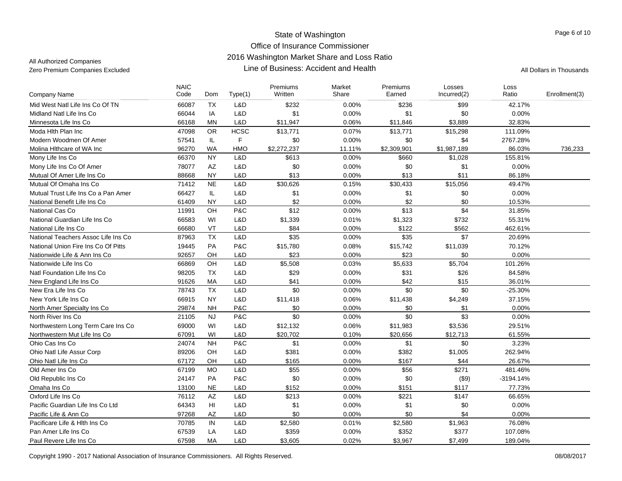| Dom<br>Type(1)<br>Company Name<br>Mid West Natl Life Ins Co Of TN<br>66087<br>TX<br>L&D<br>\$232<br>0.00%<br>\$236<br>\$99<br>42.17%<br>66044<br>L&D<br>\$1<br>\$1<br>\$0<br>Midland Natl Life Ins Co.<br>IA<br>0.00%<br>0.00%<br><b>MN</b><br>0.06%<br>32.83%<br>Minnesota Life Ins Co<br>66168<br>L&D<br>\$11,947<br>\$11,846<br>\$3,889<br>47098<br><b>OR</b><br><b>HCSC</b><br>0.07%<br>\$13,771<br>\$15,298<br>111.09%<br>Moda Hith Plan Inc<br>\$13.771<br>F<br>\$0<br>0.00%<br>\$0<br>Modern Woodmen Of Amer<br>57541<br>IL.<br>\$4<br>2767.28%<br><b>WA</b><br>96270<br><b>HMO</b><br>\$2,272,237<br>11.11%<br>\$2,309,901<br>\$1,987,189<br>86.03%<br>Molina Hithcare of WA Inc<br>736,233<br><b>NY</b><br>\$613<br>0.00%<br>Mony Life Ins Co<br>66370<br>L&D<br>\$660<br>\$1,028<br>155.81%<br>$\mathsf{A}\mathsf{Z}$<br>\$0<br>Mony Life Ins Co Of Amer<br>78077<br>L&D<br>0.00%<br>\$0<br>\$1<br>0.00%<br>\$13<br>\$11<br>88668<br><b>NY</b><br>0.00%<br>\$13<br>86.18%<br>Mutual Of Amer Life Ins Co<br>L&D<br>71412<br><b>NE</b><br>L&D<br>\$30,626<br>0.15%<br>\$30,433<br>\$15,056<br>49.47%<br>Mutual Of Omaha Ins Co<br>Mutual Trust Life Ins Co a Pan Amer<br>66427<br>IL.<br>L&D<br>\$1<br>0.00%<br>\$1<br>\$0<br>0.00%<br>\$2<br>\$2<br>61409<br><b>NY</b><br>L&D<br>0.00%<br>\$0<br>10.53%<br>National Benefit Life Ins Co<br>\$12<br>\$13<br>\$4<br>OH<br>P&C<br>0.00%<br>National Cas Co<br>11991<br>31.85%<br>66583<br>WI<br>L&D<br>\$1,339<br>0.01%<br>\$732<br>55.31%<br>National Guardian Life Ins Co<br>\$1,323<br>VT<br>\$122<br>66680<br>L&D<br>\$84<br>0.00%<br>\$562<br>462.61%<br>National Life Ins Co<br><b>TX</b><br>\$7<br>L&D<br>\$35<br>\$35<br>20.69%<br>National Teachers Assoc Life Ins Co<br>87963<br>0.00%<br>National Union Fire Ins Co Of Pitts<br>19445<br>PA<br>P&C<br>\$15,780<br>0.08%<br>70.12%<br>\$15,742<br>\$11,039<br>92657<br>OH<br>L&D<br>\$23<br>0.00%<br>\$23<br>0.00%<br>\$0<br>Nationwide Life & Ann Ins Co<br>OH<br>\$5,508<br>\$5,633<br>\$5,704<br>66869<br>L&D<br>0.03%<br>101.26%<br>Nationwide Life Ins Co<br><b>TX</b><br>\$29<br>\$26<br>Natl Foundation Life Ins Co<br>98205<br>L&D<br>0.00%<br>\$31<br>84.58%<br>\$41<br>\$15<br>91626<br>MA<br>L&D<br>0.00%<br>\$42<br>36.01%<br>New England Life Ins Co<br>\$0<br><b>TX</b><br>L&D<br>\$0<br>\$0<br>New Era Life Ins Co<br>78743<br>0.00%<br>$-25.30%$<br>66915<br>0.06%<br>New York Life Ins Co<br><b>NY</b><br>L&D<br>\$11,418<br>\$11,438<br>\$4,249<br>37.15%<br>29874<br><b>NH</b><br>P&C<br>\$0<br>0.00%<br>\$0<br>\$1<br>0.00%<br>North Amer Specialty Ins Co<br>\$0<br>\$0<br>\$3<br><b>NJ</b><br>P&C<br>0.00%<br>0.00%<br>North River Ins Co.<br>21105<br>WI<br>Northwestern Long Term Care Ins Co<br>69000<br>L&D<br>0.06%<br>29.51%<br>\$12,132<br>\$11,983<br>\$3,536<br>Northwestern Mut Life Ins Co<br>67091<br>WI<br>L&D<br>\$20,702<br>0.10%<br>\$20,656<br>\$12,713<br>61.55%<br>Ohio Cas Ins Co<br>24074<br><b>NH</b><br>P&C<br>\$1<br>0.00%<br>\$1<br>\$0<br>3.23%<br>89206<br>OH<br>L&D<br>\$381<br>0.00%<br>\$382<br>\$1,005<br>262.94%<br>Ohio Natl Life Assur Corp<br>\$44<br>67172<br>OH<br>L&D<br>\$165<br>0.00%<br>\$167<br>26.67%<br>Ohio Natl Life Ins Co<br>L&D<br>\$55<br>\$271<br>67199<br><b>MO</b><br>0.00%<br>\$56<br>481.46%<br>Old Amer Ins Co.<br>\$0<br>PA<br>P&C<br>0.00%<br>\$0<br>(\$9)<br>Old Republic Ins Co<br>24147<br>$-3194.14%$<br><b>NE</b><br>L&D<br>\$152<br>0.00%<br>77.73%<br>Omaha Ins Co<br>13100<br>\$151<br>\$117<br>76112<br>Oxford Life Ins Co<br>AZ<br>L&D<br>\$213<br>0.00%<br>\$221<br>\$147<br>66.65%<br>\$1<br>\$1<br>HI<br>L&D<br>0.00%<br>\$0<br>Pacific Guardian Life Ins Co Ltd<br>64343<br>0.00%<br>\$0<br>\$0<br>\$4<br>AZ<br>L&D<br>0.00%<br>0.00%<br>Pacific Life & Ann Co<br>97268<br>Pacificare Life & Hith Ins Co<br>IN<br>L&D<br>\$2,580<br>0.01%<br>\$2,580<br>\$1,963<br>76.08%<br>70785<br>67539<br>\$359<br>\$352<br>\$377<br>LA<br>L&D<br>0.00%<br>107.08%<br>Pan Amer Life Ins Co<br>MA<br>L&D<br>Paul Revere Life Ins Co<br>67598<br>\$3,605<br>0.02%<br>\$3,967<br>\$7,499<br>189.04% | <b>NAIC</b><br>Code |  | Premiums<br>Written | Market<br>Share | Premiums<br>Earned | Losses<br>Incurred(2) | Loss<br>Ratio | Enrollment(3) |
|-----------------------------------------------------------------------------------------------------------------------------------------------------------------------------------------------------------------------------------------------------------------------------------------------------------------------------------------------------------------------------------------------------------------------------------------------------------------------------------------------------------------------------------------------------------------------------------------------------------------------------------------------------------------------------------------------------------------------------------------------------------------------------------------------------------------------------------------------------------------------------------------------------------------------------------------------------------------------------------------------------------------------------------------------------------------------------------------------------------------------------------------------------------------------------------------------------------------------------------------------------------------------------------------------------------------------------------------------------------------------------------------------------------------------------------------------------------------------------------------------------------------------------------------------------------------------------------------------------------------------------------------------------------------------------------------------------------------------------------------------------------------------------------------------------------------------------------------------------------------------------------------------------------------------------------------------------------------------------------------------------------------------------------------------------------------------------------------------------------------------------------------------------------------------------------------------------------------------------------------------------------------------------------------------------------------------------------------------------------------------------------------------------------------------------------------------------------------------------------------------------------------------------------------------------------------------------------------------------------------------------------------------------------------------------------------------------------------------------------------------------------------------------------------------------------------------------------------------------------------------------------------------------------------------------------------------------------------------------------------------------------------------------------------------------------------------------------------------------------------------------------------------------------------------------------------------------------------------------------------------------------------------------------------------------------------------------------------------------------------------------------------------------------------------------------------------------------------------------------------------------------------------------------------------------------------------------------------------------------------------------------------------------------------------------------------------------------------------------------------------------------------------------------------------------------------------------------------------------------------------------------------------------------------------------------------------------------------------------------------------------------------------------------------------------------------------------------------------------|---------------------|--|---------------------|-----------------|--------------------|-----------------------|---------------|---------------|
|                                                                                                                                                                                                                                                                                                                                                                                                                                                                                                                                                                                                                                                                                                                                                                                                                                                                                                                                                                                                                                                                                                                                                                                                                                                                                                                                                                                                                                                                                                                                                                                                                                                                                                                                                                                                                                                                                                                                                                                                                                                                                                                                                                                                                                                                                                                                                                                                                                                                                                                                                                                                                                                                                                                                                                                                                                                                                                                                                                                                                                                                                                                                                                                                                                                                                                                                                                                                                                                                                                                                                                                                                                                                                                                                                                                                                                                                                                                                                                                                                                                                                                     |                     |  |                     |                 |                    |                       |               |               |
|                                                                                                                                                                                                                                                                                                                                                                                                                                                                                                                                                                                                                                                                                                                                                                                                                                                                                                                                                                                                                                                                                                                                                                                                                                                                                                                                                                                                                                                                                                                                                                                                                                                                                                                                                                                                                                                                                                                                                                                                                                                                                                                                                                                                                                                                                                                                                                                                                                                                                                                                                                                                                                                                                                                                                                                                                                                                                                                                                                                                                                                                                                                                                                                                                                                                                                                                                                                                                                                                                                                                                                                                                                                                                                                                                                                                                                                                                                                                                                                                                                                                                                     |                     |  |                     |                 |                    |                       |               |               |
|                                                                                                                                                                                                                                                                                                                                                                                                                                                                                                                                                                                                                                                                                                                                                                                                                                                                                                                                                                                                                                                                                                                                                                                                                                                                                                                                                                                                                                                                                                                                                                                                                                                                                                                                                                                                                                                                                                                                                                                                                                                                                                                                                                                                                                                                                                                                                                                                                                                                                                                                                                                                                                                                                                                                                                                                                                                                                                                                                                                                                                                                                                                                                                                                                                                                                                                                                                                                                                                                                                                                                                                                                                                                                                                                                                                                                                                                                                                                                                                                                                                                                                     |                     |  |                     |                 |                    |                       |               |               |
|                                                                                                                                                                                                                                                                                                                                                                                                                                                                                                                                                                                                                                                                                                                                                                                                                                                                                                                                                                                                                                                                                                                                                                                                                                                                                                                                                                                                                                                                                                                                                                                                                                                                                                                                                                                                                                                                                                                                                                                                                                                                                                                                                                                                                                                                                                                                                                                                                                                                                                                                                                                                                                                                                                                                                                                                                                                                                                                                                                                                                                                                                                                                                                                                                                                                                                                                                                                                                                                                                                                                                                                                                                                                                                                                                                                                                                                                                                                                                                                                                                                                                                     |                     |  |                     |                 |                    |                       |               |               |
|                                                                                                                                                                                                                                                                                                                                                                                                                                                                                                                                                                                                                                                                                                                                                                                                                                                                                                                                                                                                                                                                                                                                                                                                                                                                                                                                                                                                                                                                                                                                                                                                                                                                                                                                                                                                                                                                                                                                                                                                                                                                                                                                                                                                                                                                                                                                                                                                                                                                                                                                                                                                                                                                                                                                                                                                                                                                                                                                                                                                                                                                                                                                                                                                                                                                                                                                                                                                                                                                                                                                                                                                                                                                                                                                                                                                                                                                                                                                                                                                                                                                                                     |                     |  |                     |                 |                    |                       |               |               |
|                                                                                                                                                                                                                                                                                                                                                                                                                                                                                                                                                                                                                                                                                                                                                                                                                                                                                                                                                                                                                                                                                                                                                                                                                                                                                                                                                                                                                                                                                                                                                                                                                                                                                                                                                                                                                                                                                                                                                                                                                                                                                                                                                                                                                                                                                                                                                                                                                                                                                                                                                                                                                                                                                                                                                                                                                                                                                                                                                                                                                                                                                                                                                                                                                                                                                                                                                                                                                                                                                                                                                                                                                                                                                                                                                                                                                                                                                                                                                                                                                                                                                                     |                     |  |                     |                 |                    |                       |               |               |
|                                                                                                                                                                                                                                                                                                                                                                                                                                                                                                                                                                                                                                                                                                                                                                                                                                                                                                                                                                                                                                                                                                                                                                                                                                                                                                                                                                                                                                                                                                                                                                                                                                                                                                                                                                                                                                                                                                                                                                                                                                                                                                                                                                                                                                                                                                                                                                                                                                                                                                                                                                                                                                                                                                                                                                                                                                                                                                                                                                                                                                                                                                                                                                                                                                                                                                                                                                                                                                                                                                                                                                                                                                                                                                                                                                                                                                                                                                                                                                                                                                                                                                     |                     |  |                     |                 |                    |                       |               |               |
|                                                                                                                                                                                                                                                                                                                                                                                                                                                                                                                                                                                                                                                                                                                                                                                                                                                                                                                                                                                                                                                                                                                                                                                                                                                                                                                                                                                                                                                                                                                                                                                                                                                                                                                                                                                                                                                                                                                                                                                                                                                                                                                                                                                                                                                                                                                                                                                                                                                                                                                                                                                                                                                                                                                                                                                                                                                                                                                                                                                                                                                                                                                                                                                                                                                                                                                                                                                                                                                                                                                                                                                                                                                                                                                                                                                                                                                                                                                                                                                                                                                                                                     |                     |  |                     |                 |                    |                       |               |               |
|                                                                                                                                                                                                                                                                                                                                                                                                                                                                                                                                                                                                                                                                                                                                                                                                                                                                                                                                                                                                                                                                                                                                                                                                                                                                                                                                                                                                                                                                                                                                                                                                                                                                                                                                                                                                                                                                                                                                                                                                                                                                                                                                                                                                                                                                                                                                                                                                                                                                                                                                                                                                                                                                                                                                                                                                                                                                                                                                                                                                                                                                                                                                                                                                                                                                                                                                                                                                                                                                                                                                                                                                                                                                                                                                                                                                                                                                                                                                                                                                                                                                                                     |                     |  |                     |                 |                    |                       |               |               |
|                                                                                                                                                                                                                                                                                                                                                                                                                                                                                                                                                                                                                                                                                                                                                                                                                                                                                                                                                                                                                                                                                                                                                                                                                                                                                                                                                                                                                                                                                                                                                                                                                                                                                                                                                                                                                                                                                                                                                                                                                                                                                                                                                                                                                                                                                                                                                                                                                                                                                                                                                                                                                                                                                                                                                                                                                                                                                                                                                                                                                                                                                                                                                                                                                                                                                                                                                                                                                                                                                                                                                                                                                                                                                                                                                                                                                                                                                                                                                                                                                                                                                                     |                     |  |                     |                 |                    |                       |               |               |
|                                                                                                                                                                                                                                                                                                                                                                                                                                                                                                                                                                                                                                                                                                                                                                                                                                                                                                                                                                                                                                                                                                                                                                                                                                                                                                                                                                                                                                                                                                                                                                                                                                                                                                                                                                                                                                                                                                                                                                                                                                                                                                                                                                                                                                                                                                                                                                                                                                                                                                                                                                                                                                                                                                                                                                                                                                                                                                                                                                                                                                                                                                                                                                                                                                                                                                                                                                                                                                                                                                                                                                                                                                                                                                                                                                                                                                                                                                                                                                                                                                                                                                     |                     |  |                     |                 |                    |                       |               |               |
|                                                                                                                                                                                                                                                                                                                                                                                                                                                                                                                                                                                                                                                                                                                                                                                                                                                                                                                                                                                                                                                                                                                                                                                                                                                                                                                                                                                                                                                                                                                                                                                                                                                                                                                                                                                                                                                                                                                                                                                                                                                                                                                                                                                                                                                                                                                                                                                                                                                                                                                                                                                                                                                                                                                                                                                                                                                                                                                                                                                                                                                                                                                                                                                                                                                                                                                                                                                                                                                                                                                                                                                                                                                                                                                                                                                                                                                                                                                                                                                                                                                                                                     |                     |  |                     |                 |                    |                       |               |               |
|                                                                                                                                                                                                                                                                                                                                                                                                                                                                                                                                                                                                                                                                                                                                                                                                                                                                                                                                                                                                                                                                                                                                                                                                                                                                                                                                                                                                                                                                                                                                                                                                                                                                                                                                                                                                                                                                                                                                                                                                                                                                                                                                                                                                                                                                                                                                                                                                                                                                                                                                                                                                                                                                                                                                                                                                                                                                                                                                                                                                                                                                                                                                                                                                                                                                                                                                                                                                                                                                                                                                                                                                                                                                                                                                                                                                                                                                                                                                                                                                                                                                                                     |                     |  |                     |                 |                    |                       |               |               |
|                                                                                                                                                                                                                                                                                                                                                                                                                                                                                                                                                                                                                                                                                                                                                                                                                                                                                                                                                                                                                                                                                                                                                                                                                                                                                                                                                                                                                                                                                                                                                                                                                                                                                                                                                                                                                                                                                                                                                                                                                                                                                                                                                                                                                                                                                                                                                                                                                                                                                                                                                                                                                                                                                                                                                                                                                                                                                                                                                                                                                                                                                                                                                                                                                                                                                                                                                                                                                                                                                                                                                                                                                                                                                                                                                                                                                                                                                                                                                                                                                                                                                                     |                     |  |                     |                 |                    |                       |               |               |
|                                                                                                                                                                                                                                                                                                                                                                                                                                                                                                                                                                                                                                                                                                                                                                                                                                                                                                                                                                                                                                                                                                                                                                                                                                                                                                                                                                                                                                                                                                                                                                                                                                                                                                                                                                                                                                                                                                                                                                                                                                                                                                                                                                                                                                                                                                                                                                                                                                                                                                                                                                                                                                                                                                                                                                                                                                                                                                                                                                                                                                                                                                                                                                                                                                                                                                                                                                                                                                                                                                                                                                                                                                                                                                                                                                                                                                                                                                                                                                                                                                                                                                     |                     |  |                     |                 |                    |                       |               |               |
|                                                                                                                                                                                                                                                                                                                                                                                                                                                                                                                                                                                                                                                                                                                                                                                                                                                                                                                                                                                                                                                                                                                                                                                                                                                                                                                                                                                                                                                                                                                                                                                                                                                                                                                                                                                                                                                                                                                                                                                                                                                                                                                                                                                                                                                                                                                                                                                                                                                                                                                                                                                                                                                                                                                                                                                                                                                                                                                                                                                                                                                                                                                                                                                                                                                                                                                                                                                                                                                                                                                                                                                                                                                                                                                                                                                                                                                                                                                                                                                                                                                                                                     |                     |  |                     |                 |                    |                       |               |               |
|                                                                                                                                                                                                                                                                                                                                                                                                                                                                                                                                                                                                                                                                                                                                                                                                                                                                                                                                                                                                                                                                                                                                                                                                                                                                                                                                                                                                                                                                                                                                                                                                                                                                                                                                                                                                                                                                                                                                                                                                                                                                                                                                                                                                                                                                                                                                                                                                                                                                                                                                                                                                                                                                                                                                                                                                                                                                                                                                                                                                                                                                                                                                                                                                                                                                                                                                                                                                                                                                                                                                                                                                                                                                                                                                                                                                                                                                                                                                                                                                                                                                                                     |                     |  |                     |                 |                    |                       |               |               |
|                                                                                                                                                                                                                                                                                                                                                                                                                                                                                                                                                                                                                                                                                                                                                                                                                                                                                                                                                                                                                                                                                                                                                                                                                                                                                                                                                                                                                                                                                                                                                                                                                                                                                                                                                                                                                                                                                                                                                                                                                                                                                                                                                                                                                                                                                                                                                                                                                                                                                                                                                                                                                                                                                                                                                                                                                                                                                                                                                                                                                                                                                                                                                                                                                                                                                                                                                                                                                                                                                                                                                                                                                                                                                                                                                                                                                                                                                                                                                                                                                                                                                                     |                     |  |                     |                 |                    |                       |               |               |
|                                                                                                                                                                                                                                                                                                                                                                                                                                                                                                                                                                                                                                                                                                                                                                                                                                                                                                                                                                                                                                                                                                                                                                                                                                                                                                                                                                                                                                                                                                                                                                                                                                                                                                                                                                                                                                                                                                                                                                                                                                                                                                                                                                                                                                                                                                                                                                                                                                                                                                                                                                                                                                                                                                                                                                                                                                                                                                                                                                                                                                                                                                                                                                                                                                                                                                                                                                                                                                                                                                                                                                                                                                                                                                                                                                                                                                                                                                                                                                                                                                                                                                     |                     |  |                     |                 |                    |                       |               |               |
|                                                                                                                                                                                                                                                                                                                                                                                                                                                                                                                                                                                                                                                                                                                                                                                                                                                                                                                                                                                                                                                                                                                                                                                                                                                                                                                                                                                                                                                                                                                                                                                                                                                                                                                                                                                                                                                                                                                                                                                                                                                                                                                                                                                                                                                                                                                                                                                                                                                                                                                                                                                                                                                                                                                                                                                                                                                                                                                                                                                                                                                                                                                                                                                                                                                                                                                                                                                                                                                                                                                                                                                                                                                                                                                                                                                                                                                                                                                                                                                                                                                                                                     |                     |  |                     |                 |                    |                       |               |               |
|                                                                                                                                                                                                                                                                                                                                                                                                                                                                                                                                                                                                                                                                                                                                                                                                                                                                                                                                                                                                                                                                                                                                                                                                                                                                                                                                                                                                                                                                                                                                                                                                                                                                                                                                                                                                                                                                                                                                                                                                                                                                                                                                                                                                                                                                                                                                                                                                                                                                                                                                                                                                                                                                                                                                                                                                                                                                                                                                                                                                                                                                                                                                                                                                                                                                                                                                                                                                                                                                                                                                                                                                                                                                                                                                                                                                                                                                                                                                                                                                                                                                                                     |                     |  |                     |                 |                    |                       |               |               |
|                                                                                                                                                                                                                                                                                                                                                                                                                                                                                                                                                                                                                                                                                                                                                                                                                                                                                                                                                                                                                                                                                                                                                                                                                                                                                                                                                                                                                                                                                                                                                                                                                                                                                                                                                                                                                                                                                                                                                                                                                                                                                                                                                                                                                                                                                                                                                                                                                                                                                                                                                                                                                                                                                                                                                                                                                                                                                                                                                                                                                                                                                                                                                                                                                                                                                                                                                                                                                                                                                                                                                                                                                                                                                                                                                                                                                                                                                                                                                                                                                                                                                                     |                     |  |                     |                 |                    |                       |               |               |
|                                                                                                                                                                                                                                                                                                                                                                                                                                                                                                                                                                                                                                                                                                                                                                                                                                                                                                                                                                                                                                                                                                                                                                                                                                                                                                                                                                                                                                                                                                                                                                                                                                                                                                                                                                                                                                                                                                                                                                                                                                                                                                                                                                                                                                                                                                                                                                                                                                                                                                                                                                                                                                                                                                                                                                                                                                                                                                                                                                                                                                                                                                                                                                                                                                                                                                                                                                                                                                                                                                                                                                                                                                                                                                                                                                                                                                                                                                                                                                                                                                                                                                     |                     |  |                     |                 |                    |                       |               |               |
|                                                                                                                                                                                                                                                                                                                                                                                                                                                                                                                                                                                                                                                                                                                                                                                                                                                                                                                                                                                                                                                                                                                                                                                                                                                                                                                                                                                                                                                                                                                                                                                                                                                                                                                                                                                                                                                                                                                                                                                                                                                                                                                                                                                                                                                                                                                                                                                                                                                                                                                                                                                                                                                                                                                                                                                                                                                                                                                                                                                                                                                                                                                                                                                                                                                                                                                                                                                                                                                                                                                                                                                                                                                                                                                                                                                                                                                                                                                                                                                                                                                                                                     |                     |  |                     |                 |                    |                       |               |               |
|                                                                                                                                                                                                                                                                                                                                                                                                                                                                                                                                                                                                                                                                                                                                                                                                                                                                                                                                                                                                                                                                                                                                                                                                                                                                                                                                                                                                                                                                                                                                                                                                                                                                                                                                                                                                                                                                                                                                                                                                                                                                                                                                                                                                                                                                                                                                                                                                                                                                                                                                                                                                                                                                                                                                                                                                                                                                                                                                                                                                                                                                                                                                                                                                                                                                                                                                                                                                                                                                                                                                                                                                                                                                                                                                                                                                                                                                                                                                                                                                                                                                                                     |                     |  |                     |                 |                    |                       |               |               |
|                                                                                                                                                                                                                                                                                                                                                                                                                                                                                                                                                                                                                                                                                                                                                                                                                                                                                                                                                                                                                                                                                                                                                                                                                                                                                                                                                                                                                                                                                                                                                                                                                                                                                                                                                                                                                                                                                                                                                                                                                                                                                                                                                                                                                                                                                                                                                                                                                                                                                                                                                                                                                                                                                                                                                                                                                                                                                                                                                                                                                                                                                                                                                                                                                                                                                                                                                                                                                                                                                                                                                                                                                                                                                                                                                                                                                                                                                                                                                                                                                                                                                                     |                     |  |                     |                 |                    |                       |               |               |
|                                                                                                                                                                                                                                                                                                                                                                                                                                                                                                                                                                                                                                                                                                                                                                                                                                                                                                                                                                                                                                                                                                                                                                                                                                                                                                                                                                                                                                                                                                                                                                                                                                                                                                                                                                                                                                                                                                                                                                                                                                                                                                                                                                                                                                                                                                                                                                                                                                                                                                                                                                                                                                                                                                                                                                                                                                                                                                                                                                                                                                                                                                                                                                                                                                                                                                                                                                                                                                                                                                                                                                                                                                                                                                                                                                                                                                                                                                                                                                                                                                                                                                     |                     |  |                     |                 |                    |                       |               |               |
|                                                                                                                                                                                                                                                                                                                                                                                                                                                                                                                                                                                                                                                                                                                                                                                                                                                                                                                                                                                                                                                                                                                                                                                                                                                                                                                                                                                                                                                                                                                                                                                                                                                                                                                                                                                                                                                                                                                                                                                                                                                                                                                                                                                                                                                                                                                                                                                                                                                                                                                                                                                                                                                                                                                                                                                                                                                                                                                                                                                                                                                                                                                                                                                                                                                                                                                                                                                                                                                                                                                                                                                                                                                                                                                                                                                                                                                                                                                                                                                                                                                                                                     |                     |  |                     |                 |                    |                       |               |               |
|                                                                                                                                                                                                                                                                                                                                                                                                                                                                                                                                                                                                                                                                                                                                                                                                                                                                                                                                                                                                                                                                                                                                                                                                                                                                                                                                                                                                                                                                                                                                                                                                                                                                                                                                                                                                                                                                                                                                                                                                                                                                                                                                                                                                                                                                                                                                                                                                                                                                                                                                                                                                                                                                                                                                                                                                                                                                                                                                                                                                                                                                                                                                                                                                                                                                                                                                                                                                                                                                                                                                                                                                                                                                                                                                                                                                                                                                                                                                                                                                                                                                                                     |                     |  |                     |                 |                    |                       |               |               |
|                                                                                                                                                                                                                                                                                                                                                                                                                                                                                                                                                                                                                                                                                                                                                                                                                                                                                                                                                                                                                                                                                                                                                                                                                                                                                                                                                                                                                                                                                                                                                                                                                                                                                                                                                                                                                                                                                                                                                                                                                                                                                                                                                                                                                                                                                                                                                                                                                                                                                                                                                                                                                                                                                                                                                                                                                                                                                                                                                                                                                                                                                                                                                                                                                                                                                                                                                                                                                                                                                                                                                                                                                                                                                                                                                                                                                                                                                                                                                                                                                                                                                                     |                     |  |                     |                 |                    |                       |               |               |
|                                                                                                                                                                                                                                                                                                                                                                                                                                                                                                                                                                                                                                                                                                                                                                                                                                                                                                                                                                                                                                                                                                                                                                                                                                                                                                                                                                                                                                                                                                                                                                                                                                                                                                                                                                                                                                                                                                                                                                                                                                                                                                                                                                                                                                                                                                                                                                                                                                                                                                                                                                                                                                                                                                                                                                                                                                                                                                                                                                                                                                                                                                                                                                                                                                                                                                                                                                                                                                                                                                                                                                                                                                                                                                                                                                                                                                                                                                                                                                                                                                                                                                     |                     |  |                     |                 |                    |                       |               |               |
|                                                                                                                                                                                                                                                                                                                                                                                                                                                                                                                                                                                                                                                                                                                                                                                                                                                                                                                                                                                                                                                                                                                                                                                                                                                                                                                                                                                                                                                                                                                                                                                                                                                                                                                                                                                                                                                                                                                                                                                                                                                                                                                                                                                                                                                                                                                                                                                                                                                                                                                                                                                                                                                                                                                                                                                                                                                                                                                                                                                                                                                                                                                                                                                                                                                                                                                                                                                                                                                                                                                                                                                                                                                                                                                                                                                                                                                                                                                                                                                                                                                                                                     |                     |  |                     |                 |                    |                       |               |               |
|                                                                                                                                                                                                                                                                                                                                                                                                                                                                                                                                                                                                                                                                                                                                                                                                                                                                                                                                                                                                                                                                                                                                                                                                                                                                                                                                                                                                                                                                                                                                                                                                                                                                                                                                                                                                                                                                                                                                                                                                                                                                                                                                                                                                                                                                                                                                                                                                                                                                                                                                                                                                                                                                                                                                                                                                                                                                                                                                                                                                                                                                                                                                                                                                                                                                                                                                                                                                                                                                                                                                                                                                                                                                                                                                                                                                                                                                                                                                                                                                                                                                                                     |                     |  |                     |                 |                    |                       |               |               |
|                                                                                                                                                                                                                                                                                                                                                                                                                                                                                                                                                                                                                                                                                                                                                                                                                                                                                                                                                                                                                                                                                                                                                                                                                                                                                                                                                                                                                                                                                                                                                                                                                                                                                                                                                                                                                                                                                                                                                                                                                                                                                                                                                                                                                                                                                                                                                                                                                                                                                                                                                                                                                                                                                                                                                                                                                                                                                                                                                                                                                                                                                                                                                                                                                                                                                                                                                                                                                                                                                                                                                                                                                                                                                                                                                                                                                                                                                                                                                                                                                                                                                                     |                     |  |                     |                 |                    |                       |               |               |
|                                                                                                                                                                                                                                                                                                                                                                                                                                                                                                                                                                                                                                                                                                                                                                                                                                                                                                                                                                                                                                                                                                                                                                                                                                                                                                                                                                                                                                                                                                                                                                                                                                                                                                                                                                                                                                                                                                                                                                                                                                                                                                                                                                                                                                                                                                                                                                                                                                                                                                                                                                                                                                                                                                                                                                                                                                                                                                                                                                                                                                                                                                                                                                                                                                                                                                                                                                                                                                                                                                                                                                                                                                                                                                                                                                                                                                                                                                                                                                                                                                                                                                     |                     |  |                     |                 |                    |                       |               |               |
|                                                                                                                                                                                                                                                                                                                                                                                                                                                                                                                                                                                                                                                                                                                                                                                                                                                                                                                                                                                                                                                                                                                                                                                                                                                                                                                                                                                                                                                                                                                                                                                                                                                                                                                                                                                                                                                                                                                                                                                                                                                                                                                                                                                                                                                                                                                                                                                                                                                                                                                                                                                                                                                                                                                                                                                                                                                                                                                                                                                                                                                                                                                                                                                                                                                                                                                                                                                                                                                                                                                                                                                                                                                                                                                                                                                                                                                                                                                                                                                                                                                                                                     |                     |  |                     |                 |                    |                       |               |               |
|                                                                                                                                                                                                                                                                                                                                                                                                                                                                                                                                                                                                                                                                                                                                                                                                                                                                                                                                                                                                                                                                                                                                                                                                                                                                                                                                                                                                                                                                                                                                                                                                                                                                                                                                                                                                                                                                                                                                                                                                                                                                                                                                                                                                                                                                                                                                                                                                                                                                                                                                                                                                                                                                                                                                                                                                                                                                                                                                                                                                                                                                                                                                                                                                                                                                                                                                                                                                                                                                                                                                                                                                                                                                                                                                                                                                                                                                                                                                                                                                                                                                                                     |                     |  |                     |                 |                    |                       |               |               |
|                                                                                                                                                                                                                                                                                                                                                                                                                                                                                                                                                                                                                                                                                                                                                                                                                                                                                                                                                                                                                                                                                                                                                                                                                                                                                                                                                                                                                                                                                                                                                                                                                                                                                                                                                                                                                                                                                                                                                                                                                                                                                                                                                                                                                                                                                                                                                                                                                                                                                                                                                                                                                                                                                                                                                                                                                                                                                                                                                                                                                                                                                                                                                                                                                                                                                                                                                                                                                                                                                                                                                                                                                                                                                                                                                                                                                                                                                                                                                                                                                                                                                                     |                     |  |                     |                 |                    |                       |               |               |
|                                                                                                                                                                                                                                                                                                                                                                                                                                                                                                                                                                                                                                                                                                                                                                                                                                                                                                                                                                                                                                                                                                                                                                                                                                                                                                                                                                                                                                                                                                                                                                                                                                                                                                                                                                                                                                                                                                                                                                                                                                                                                                                                                                                                                                                                                                                                                                                                                                                                                                                                                                                                                                                                                                                                                                                                                                                                                                                                                                                                                                                                                                                                                                                                                                                                                                                                                                                                                                                                                                                                                                                                                                                                                                                                                                                                                                                                                                                                                                                                                                                                                                     |                     |  |                     |                 |                    |                       |               |               |
|                                                                                                                                                                                                                                                                                                                                                                                                                                                                                                                                                                                                                                                                                                                                                                                                                                                                                                                                                                                                                                                                                                                                                                                                                                                                                                                                                                                                                                                                                                                                                                                                                                                                                                                                                                                                                                                                                                                                                                                                                                                                                                                                                                                                                                                                                                                                                                                                                                                                                                                                                                                                                                                                                                                                                                                                                                                                                                                                                                                                                                                                                                                                                                                                                                                                                                                                                                                                                                                                                                                                                                                                                                                                                                                                                                                                                                                                                                                                                                                                                                                                                                     |                     |  |                     |                 |                    |                       |               |               |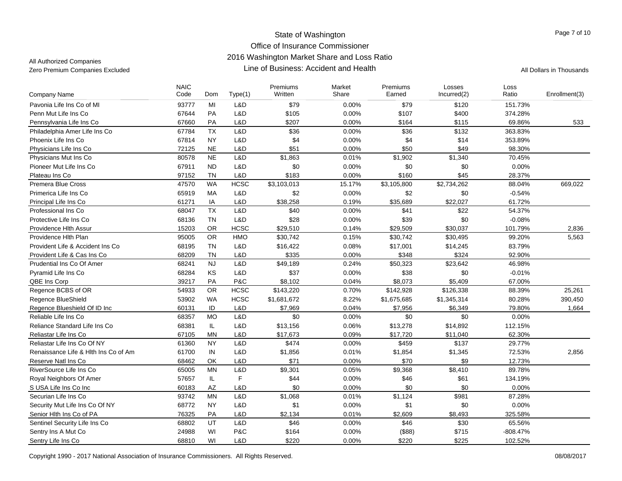| Company Name                         | <b>NAIC</b><br>Code | Dom       | Type(1)     | Premiums<br>Written | Market<br>Share | Premiums<br>Earned | Losses<br>Incurred(2) | Loss<br>Ratio | Enrollment(3) |
|--------------------------------------|---------------------|-----------|-------------|---------------------|-----------------|--------------------|-----------------------|---------------|---------------|
| Pavonia Life Ins Co of MI            | 93777               | MI        | L&D         | \$79                | 0.00%           | \$79               | \$120                 | 151.73%       |               |
| Penn Mut Life Ins Co                 | 67644               | PA        | L&D         | \$105               | 0.00%           | \$107              | \$400                 | 374.28%       |               |
| Pennsylvania Life Ins Co             | 67660               | <b>PA</b> | L&D         | \$207               | 0.00%           | \$164              | \$115                 | 69.86%        | 533           |
| Philadelphia Amer Life Ins Co        | 67784               | <b>TX</b> | L&D         | \$36                | 0.00%           | \$36               | \$132                 | 363.83%       |               |
| Phoenix Life Ins Co                  | 67814               | <b>NY</b> | L&D         | \$4                 | 0.00%           | \$4                | \$14                  | 353.89%       |               |
| Physicians Life Ins Co               | 72125               | <b>NE</b> | L&D         | \$51                | 0.00%           | \$50               | \$49                  | 98.30%        |               |
| Physicians Mut Ins Co                | 80578               | <b>NE</b> | L&D         | \$1,863             | 0.01%           | \$1,902            | \$1,340               | 70.45%        |               |
| Pioneer Mut Life Ins Co              | 67911               | <b>ND</b> | L&D         | \$0                 | 0.00%           | \$0                | \$0                   | 0.00%         |               |
| Plateau Ins Co                       | 97152               | <b>TN</b> | L&D         | \$183               | 0.00%           | \$160              | \$45                  | 28.37%        |               |
| <b>Premera Blue Cross</b>            | 47570               | <b>WA</b> | <b>HCSC</b> | \$3,103,013         | 15.17%          | \$3,105,800        | \$2,734,262           | 88.04%        | 669,022       |
| Primerica Life Ins Co                | 65919               | MA        | L&D         | \$2                 | 0.00%           | \$2                | \$0                   | $-0.54%$      |               |
| Principal Life Ins Co                | 61271               | IA        | L&D         | \$38,258            | 0.19%           | \$35,689           | \$22,027              | 61.72%        |               |
| Professional Ins Co                  | 68047               | <b>TX</b> | L&D         | \$40                | 0.00%           | \$41               | \$22                  | 54.37%        |               |
| Protective Life Ins Co               | 68136               | <b>TN</b> | L&D         | \$28                | 0.00%           | \$39               | \$0                   | $-0.08%$      |               |
| Providence Hith Assur                | 15203               | <b>OR</b> | <b>HCSC</b> | \$29,510            | 0.14%           | \$29,509           | \$30,037              | 101.79%       | 2,836         |
| Providence Hlth Plan                 | 95005               | OR        | HMO         | \$30,742            | 0.15%           | \$30,742           | \$30,495              | 99.20%        | 5,563         |
| Provident Life & Accident Ins Co.    | 68195               | <b>TN</b> | L&D         | \$16,422            | 0.08%           | \$17,001           | \$14,245              | 83.79%        |               |
| Provident Life & Cas Ins Co          | 68209               | <b>TN</b> | L&D         | \$335               | 0.00%           | \$348              | \$324                 | 92.90%        |               |
| Prudential Ins Co Of Amer            | 68241               | <b>NJ</b> | L&D         | \$49,189            | 0.24%           | \$50,323           | \$23,642              | 46.98%        |               |
| Pyramid Life Ins Co                  | 68284               | KS        | L&D         | \$37                | 0.00%           | \$38               | \$0                   | $-0.01%$      |               |
| QBE Ins Corp                         | 39217               | PA        | P&C         | \$8,102             | 0.04%           | \$8,073            | \$5,409               | 67.00%        |               |
| Regence BCBS of OR                   | 54933               | <b>OR</b> | <b>HCSC</b> | \$143,220           | 0.70%           | \$142,928          | \$126,338             | 88.39%        | 25,261        |
| Regence BlueShield                   | 53902               | <b>WA</b> | <b>HCSC</b> | \$1,681,672         | 8.22%           | \$1,675,685        | \$1,345,314           | 80.28%        | 390,450       |
| Regence Blueshield Of ID Inc         | 60131               | ID        | L&D         | \$7,969             | 0.04%           | \$7,956            | \$6,349               | 79.80%        | 1,664         |
| Reliable Life Ins Co                 | 68357               | <b>MO</b> | L&D         | \$0                 | 0.00%           | \$0                | \$0                   | 0.00%         |               |
| Reliance Standard Life Ins Co        | 68381               | IL        | L&D         | \$13,156            | 0.06%           | \$13,278           | \$14,892              | 112.15%       |               |
| Reliastar Life Ins Co                | 67105               | <b>MN</b> | L&D         | \$17,673            | 0.09%           | \$17,720           | \$11,040              | 62.30%        |               |
| Reliastar Life Ins Co Of NY          | 61360               | <b>NY</b> | L&D         | \$474               | 0.00%           | \$459              | \$137                 | 29.77%        |               |
| Renaissance Life & Hlth Ins Co of Am | 61700               | IN        | L&D         | \$1,856             | 0.01%           | \$1,854            | \$1,345               | 72.53%        | 2,856         |
| Reserve Natl Ins Co                  | 68462               | <b>OK</b> | L&D         | \$71                | 0.00%           | \$70               | \$9                   | 12.73%        |               |
| RiverSource Life Ins Co              | 65005               | <b>MN</b> | L&D         | \$9,301             | 0.05%           | \$9,368            | \$8,410               | 89.78%        |               |
| Royal Neighbors Of Amer              | 57657               | IL.       | F           | \$44                | 0.00%           | \$46               | \$61                  | 134.19%       |               |
| S USA Life Ins Co Inc                | 60183               | AZ        | L&D         | \$0                 | 0.00%           | \$0                | \$0                   | 0.00%         |               |
| Securian Life Ins Co                 | 93742               | <b>MN</b> | L&D         | \$1,068             | 0.01%           | \$1,124            | \$981                 | 87.28%        |               |
| Security Mut Life Ins Co Of NY       | 68772               | <b>NY</b> | L&D         | \$1                 | 0.00%           | \$1                | \$0                   | 0.00%         |               |
| Senior Hlth Ins Co of PA             | 76325               | PA        | L&D         | \$2,134             | 0.01%           | \$2,609            | \$8,493               | 325.58%       |               |
| Sentinel Security Life Ins Co        | 68802               | UT        | L&D         | \$46                | 0.00%           | \$46               | \$30                  | 65.56%        |               |
| Sentry Ins A Mut Co                  | 24988               | WI        | P&C         | \$164               | 0.00%           | (\$88)             | \$715                 | $-808.47%$    |               |
| Sentry Life Ins Co                   | 68810               | WI        | L&D         | \$220               | 0.00%           | \$220              | \$225                 | 102.52%       |               |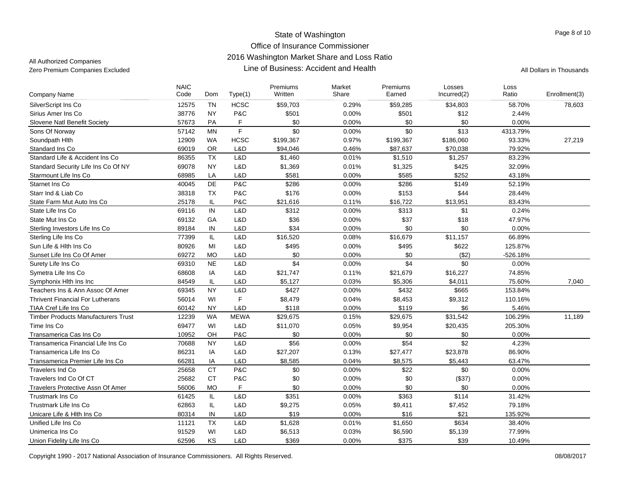| <b>Company Name</b>                        | <b>NAIC</b><br>Code | Dom       | Type(1)      | Premiums<br>Written | Market<br>Share | Premiums<br>Earned | Losses<br>Incurred(2) | Loss<br>Ratio | Enrollment(3) |
|--------------------------------------------|---------------------|-----------|--------------|---------------------|-----------------|--------------------|-----------------------|---------------|---------------|
| SilverScript Ins Co                        | 12575               | <b>TN</b> | <b>HCSC</b>  | \$59,703            | 0.29%           | \$59,285           | \$34,803              | 58.70%        | 78,603        |
| Sirius Amer Ins Co                         | 38776               | <b>NY</b> | P&C          | \$501               | 0.00%           | \$501              | \$12                  | 2.44%         |               |
| Slovene Natl Benefit Society               | 57673               | PA        | F            | \$0                 | 0.00%           | \$0                | \$0                   | 0.00%         |               |
| Sons Of Norway                             | 57142               | MN        | $\mathsf{F}$ | \$0                 | 0.00%           | \$0                | \$13                  | 4313.79%      |               |
| Soundpath Hith                             | 12909               | <b>WA</b> | <b>HCSC</b>  | \$199,367           | 0.97%           | \$199,367          | \$186,060             | 93.33%        | 27,219        |
| Standard Ins Co                            | 69019               | <b>OR</b> | L&D          | \$94,046            | 0.46%           | \$87,637           | \$70,038              | 79.92%        |               |
| Standard Life & Accident Ins Co.           | 86355               | <b>TX</b> | L&D          | \$1,460             | 0.01%           | \$1,510            | \$1,257               | 83.23%        |               |
| Standard Security Life Ins Co Of NY        | 69078               | <b>NY</b> | L&D          | \$1,369             | 0.01%           | \$1,325            | \$425                 | 32.09%        |               |
| Starmount Life Ins Co                      | 68985               | LA        | L&D          | \$581               | 0.00%           | \$585              | \$252                 | 43.18%        |               |
| Starnet Ins Co                             | 40045               | DE        | P&C          | \$286               | 0.00%           | \$286              | \$149                 | 52.19%        |               |
| Starr Ind & Liab Co                        | 38318               | <b>TX</b> | P&C          | \$176               | 0.00%           | \$153              | \$44                  | 28.44%        |               |
| State Farm Mut Auto Ins Co                 | 25178               | IL        | P&C          | \$21,616            | 0.11%           | \$16,722           | \$13,951              | 83.43%        |               |
| State Life Ins Co                          | 69116               | IN        | L&D          | \$312               | 0.00%           | \$313              | \$1                   | 0.24%         |               |
| State Mut Ins Co                           | 69132               | GA        | L&D          | \$36                | 0.00%           | \$37               | \$18                  | 47.97%        |               |
| Sterling Investors Life Ins Co             | 89184               | IN        | L&D          | \$34                | 0.00%           | \$0                | \$0                   | 0.00%         |               |
| Sterling Life Ins Co                       | 77399               | IL        | L&D          | \$16,520            | 0.08%           | \$16,679           | \$11,157              | 66.89%        |               |
| Sun Life & Hith Ins Co                     | 80926               | MI        | L&D          | \$495               | 0.00%           | \$495              | \$622                 | 125.87%       |               |
| Sunset Life Ins Co Of Amer                 | 69272               | <b>MO</b> | L&D          | \$0                 | 0.00%           | \$0                | (\$2)                 | $-526.18%$    |               |
| Surety Life Ins Co                         | 69310               | <b>NE</b> | L&D          | \$4                 | 0.00%           | \$4                | \$0                   | 0.00%         |               |
| Symetra Life Ins Co                        | 68608               | IA        | L&D          | \$21,747            | 0.11%           | \$21,679           | \$16,227              | 74.85%        |               |
| Symphonix Hlth Ins Inc                     | 84549               | IL        | L&D          | \$5,127             | 0.03%           | \$5,306            | \$4,011               | 75.60%        | 7,040         |
| Teachers Ins & Ann Assoc Of Amer           | 69345               | <b>NY</b> | L&D          | \$427               | 0.00%           | \$432              | \$665                 | 153.84%       |               |
| <b>Thrivent Financial For Lutherans</b>    | 56014               | WI        | F            | \$8,479             | 0.04%           | \$8,453            | \$9,312               | 110.16%       |               |
| TIAA Cref Life Ins Co                      | 60142               | <b>NY</b> | L&D          | \$118               | 0.00%           | \$119              | \$6                   | 5.46%         |               |
| <b>Timber Products Manufacturers Trust</b> | 12239               | <b>WA</b> | <b>MEWA</b>  | \$29,675            | 0.15%           | \$29,675           | \$31,542              | 106.29%       | 11,189        |
| Time Ins Co                                | 69477               | WI        | L&D          | \$11,070            | 0.05%           | \$9,954            | \$20,435              | 205.30%       |               |
| Transamerica Cas Ins Co                    | 10952               | OH        | P&C          | \$0                 | 0.00%           | \$0                | \$0                   | 0.00%         |               |
| Transamerica Financial Life Ins Co         | 70688               | <b>NY</b> | L&D          | \$56                | 0.00%           | \$54               | \$2                   | 4.23%         |               |
| Transamerica Life Ins Co                   | 86231               | IA        | L&D          | \$27,207            | 0.13%           | \$27,477           | \$23,878              | 86.90%        |               |
| Transamerica Premier Life Ins Co           | 66281               | IA        | L&D          | \$8,585             | 0.04%           | \$8,575            | \$5,443               | 63.47%        |               |
| <b>Travelers Ind Co</b>                    | 25658               | <b>CT</b> | P&C          | \$0                 | 0.00%           | \$22               | \$0                   | 0.00%         |               |
| Travelers Ind Co Of CT                     | 25682               | <b>CT</b> | P&C          | \$0                 | 0.00%           | \$0                | (\$37)                | 0.00%         |               |
| Travelers Protective Assn Of Amer          | 56006               | <b>MO</b> | F            | \$0                 | 0.00%           | \$0                | \$0                   | 0.00%         |               |
| <b>Trustmark Ins Co</b>                    | 61425               | IL        | L&D          | \$351               | 0.00%           | \$363              | \$114                 | 31.42%        |               |
| Trustmark Life Ins Co                      | 62863               | IL        | L&D          | \$9,275             | 0.05%           | \$9,411            | \$7,452               | 79.18%        |               |
| Unicare Life & Hith Ins Co                 | 80314               | IN        | L&D          | \$19                | 0.00%           | \$16               | \$21                  | 135.92%       |               |
| Unified Life Ins Co.                       | 11121               | <b>TX</b> | L&D          | \$1,628             | 0.01%           | \$1,650            | \$634                 | 38.40%        |               |
| Unimerica Ins Co                           | 91529               | WI        | L&D          | \$6,513             | 0.03%           | \$6,590            | \$5,139               | 77.99%        |               |
| Union Fidelity Life Ins Co                 | 62596               | KS        | L&D          | \$369               | 0.00%           | \$375              | \$39                  | 10.49%        |               |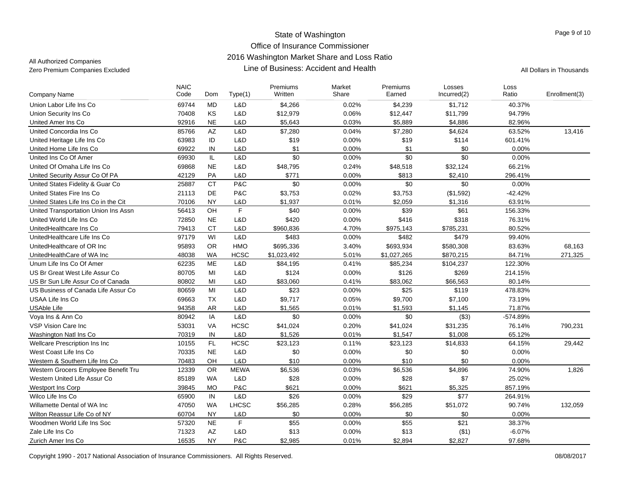All Authorized Companies

| <b>Company Name</b>                  | <b>NAIC</b><br>Code | Dom           | Type(1)     | Premiums<br>Written | Market<br>Share | Premiums<br>Earned | Losses<br>Incurred(2) | Loss<br>Ratio | Enrollment(3) |
|--------------------------------------|---------------------|---------------|-------------|---------------------|-----------------|--------------------|-----------------------|---------------|---------------|
| Union Labor Life Ins Co              | 69744               | <b>MD</b>     | L&D         | \$4,266             | 0.02%           | \$4,239            | \$1,712               | 40.37%        |               |
| Union Security Ins Co                | 70408               | KS            | L&D         | \$12,979            | 0.06%           | \$12,447           | \$11,799              | 94.79%        |               |
| United Amer Ins Co                   | 92916               | <b>NE</b>     | L&D         | \$5,643             | 0.03%           | \$5,889            | \$4,886               | 82.96%        |               |
| United Concordia Ins Co              | 85766               | AZ            | L&D         | \$7,280             | 0.04%           | \$7,280            | \$4,624               | 63.52%        | 13,416        |
|                                      |                     |               |             |                     |                 |                    |                       |               |               |
| United Heritage Life Ins Co          | 63983               | ID            | L&D         | \$19                | 0.00%           | \$19               | \$114                 | 601.41%       |               |
| United Home Life Ins Co              | 69922               | IN            | L&D         | \$1                 | 0.00%           | \$1                | \$0                   | 0.00%         |               |
| United Ins Co Of Amer                | 69930               | $\mathsf{IL}$ | L&D         | $\sqrt{6}$          | 0.00%           | $\sqrt{6}$         | \$0                   | 0.00%         |               |
| United Of Omaha Life Ins Co          | 69868               | <b>NE</b>     | L&D         | \$48,795            | 0.24%           | \$48,518           | \$32,124              | 66.21%        |               |
| United Security Assur Co Of PA       | 42129               | PA            | L&D         | \$771               | 0.00%           | \$813              | \$2,410               | 296.41%       |               |
| United States Fidelity & Guar Co     | 25887               | <b>CT</b>     | P&C         | \$0                 | 0.00%           | \$0                | \$0                   | 0.00%         |               |
| United States Fire Ins Co            | 21113               | DE            | P&C         | \$3,753             | 0.02%           | \$3,753            | (\$1,592)             | $-42.42%$     |               |
| United States Life Ins Co in the Cit | 70106               | <b>NY</b>     | L&D         | \$1,937             | 0.01%           | \$2,059            | \$1,316               | 63.91%        |               |
| United Transportation Union Ins Assn | 56413               | OH            | $\mathsf F$ | \$40                | 0.00%           | \$39               | \$61                  | 156.33%       |               |
| United World Life Ins Co             | 72850               | <b>NE</b>     | L&D         | \$420               | 0.00%           | \$416              | \$318                 | 76.31%        |               |
| UnitedHealthcare Ins Co              | 79413               | <b>CT</b>     | L&D         | \$960,836           | 4.70%           | \$975,143          | \$785,231             | 80.52%        |               |
| UnitedHealthcare Life Ins Co         | 97179               | WI            | L&D         | \$483               | 0.00%           | \$482              | \$479                 | 99.40%        |               |
| UnitedHealthcare of OR Inc           | 95893               | <b>OR</b>     | HMO         | \$695,336           | 3.40%           | \$693,934          | \$580,308             | 83.63%        | 68,163        |
| UnitedHealthCare of WA Inc           | 48038               | <b>WA</b>     | <b>HCSC</b> | \$1,023,492         | 5.01%           | \$1,027,265        | \$870,215             | 84.71%        | 271,325       |
| Unum Life Ins Co Of Amer             | 62235               | ME            | L&D         | \$84,195            | 0.41%           | \$85,234           | \$104,237             | 122.30%       |               |
| US Br Great West Life Assur Co       | 80705               | MI            | L&D         | \$124               | 0.00%           | \$126              | \$269                 | 214.15%       |               |
| US Br Sun Life Assur Co of Canada    | 80802               | MI            | L&D         | \$83,060            | 0.41%           | \$83,062           | \$66,563              | 80.14%        |               |
| US Business of Canada Life Assur Co  | 80659               | MI            | L&D         | \$23                | 0.00%           | \$25               | \$119                 | 478.83%       |               |
| USAA Life Ins Co                     | 69663               | <b>TX</b>     | L&D         | \$9,717             | 0.05%           | \$9,700            | \$7,100               | 73.19%        |               |
| <b>USAble Life</b>                   | 94358               | <b>AR</b>     | L&D         | \$1,565             | 0.01%           | \$1,593            | \$1,145               | 71.87%        |               |
| Voya Ins & Ann Co                    | 80942               | IA            | L&D         | \$0                 | 0.00%           | \$0                | (\$3)                 | -574.89%      |               |
| <b>VSP Vision Care Inc</b>           | 53031               | VA            | <b>HCSC</b> | \$41,024            | 0.20%           | \$41,024           | \$31,235              | 76.14%        | 790,231       |
| Washington Natl Ins Co.              | 70319               | IN            | L&D         | \$1,526             | 0.01%           | \$1,547            | \$1,008               | 65.12%        |               |
| Wellcare Prescription Ins Inc        | 10155               | FL.           | <b>HCSC</b> | \$23,123            | 0.11%           | \$23,123           | \$14,833              | 64.15%        | 29,442        |
| West Coast Life Ins Co               | 70335               | <b>NE</b>     | L&D         | \$0                 | 0.00%           | \$0                | \$0                   | 0.00%         |               |
| Western & Southern Life Ins Co       | 70483               | OH            | L&D         | \$10                | 0.00%           | \$10               | \$0                   | 0.00%         |               |
| Western Grocers Employee Benefit Tru | 12339               | <b>OR</b>     | <b>MEWA</b> | \$6,536             | 0.03%           | \$6,536            | \$4,896               | 74.90%        | 1.826         |
| Western United Life Assur Co         | 85189               | <b>WA</b>     | L&D         | \$28                | 0.00%           | \$28               | \$7                   | 25.02%        |               |
| <b>Westport Ins Corp</b>             | 39845               | <b>MO</b>     | P&C         | \$621               | 0.00%           | \$621              | \$5,325               | 857.19%       |               |
| Wilco Life Ins Co                    | 65900               | IN            | L&D         | \$26                | 0.00%           | \$29               | \$77                  | 264.91%       |               |
| Willamette Dental of WA Inc          | 47050               | <b>WA</b>     | LHCSC       | \$56,285            | 0.28%           | \$56,285           | \$51,072              | 90.74%        | 132,059       |
| Wilton Reassur Life Co of NY         | 60704               | <b>NY</b>     | L&D         | \$0                 | 0.00%           | \$0                | \$0                   | 0.00%         |               |
| Woodmen World Life Ins Soc           | 57320               | <b>NE</b>     | F           | \$55                | 0.00%           | \$55               | \$21                  | 38.37%        |               |
| Zale Life Ins Co                     | 71323               | AZ            | L&D         | \$13                | 0.00%           | \$13               | ( \$1)                | $-6.07%$      |               |
| Zurich Amer Ins Co                   | 16535               | <b>NY</b>     | P&C         | \$2,985             | 0.01%           | \$2,894            | \$2,827               | 97.68%        |               |
|                                      |                     |               |             |                     |                 |                    |                       |               |               |

Copyright 1990 - 2017 National Association of Insurance Commissioners. All Rights Reserved. 08/08/2017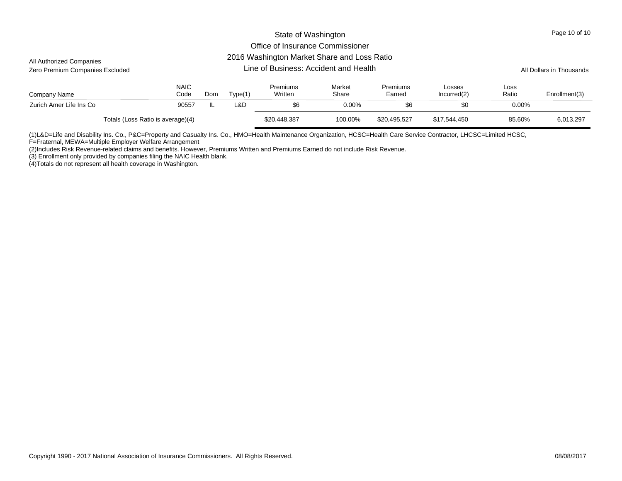#### 2016 Washington Market Share and Loss Ratio

| All Authorized Companies<br>Zero Premium Companies Excluded |                     |     | All Dollars in Thousands |                     |                 |                    |                       |               |               |
|-------------------------------------------------------------|---------------------|-----|--------------------------|---------------------|-----------------|--------------------|-----------------------|---------------|---------------|
| Company Name                                                | <b>NAIC</b><br>Code | Dom | Type(1)                  | Premiums<br>Written | Market<br>Share | Premiums<br>Earned | Losses<br>Incurred(2) | Loss<br>Ratio | Enrollment(3) |
| Zurich Amer Life Ins Co                                     | 90557               | IL. | L&D                      | \$6                 | 0.00%           | \$6                | \$0                   | $0.00\%$      |               |
| Totals (Loss Ratio is average)(4)                           |                     |     |                          | \$20,448,387        | 100.00%         | \$20,495,527       | \$17,544,450          | 85.60%        | 6,013,297     |

(1)L&D=Life and Disability Ins. Co., P&C=Property and Casualty Ins. Co., HMO=Health Maintenance Organization, HCSC=Health Care Service Contractor, LHCSC=Limited HCSC,

F=Fraternal, MEWA=Multiple Employer Welfare Arrangement

(2)Includes Risk Revenue-related claims and benefits. However, Premiums Written and Premiums Earned do not include Risk Revenue.

(3) Enrollment only provided by companies filing the NAIC Health blank.

(4)Totals do not represent all health coverage in Washington.

Page 10 of 10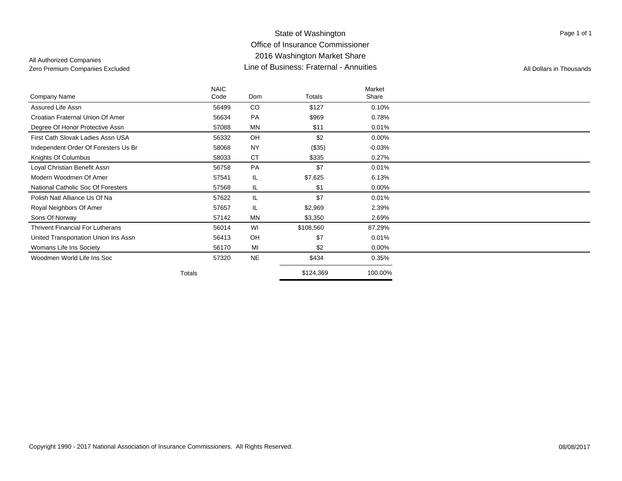Page 1 of 1

|                                         | <b>NAIC</b> |           |           | Market    |  |
|-----------------------------------------|-------------|-----------|-----------|-----------|--|
| Company Name                            | Code        | Dom       | Totals    | Share     |  |
| Assured Life Assn                       | 56499       | CO        | \$127     | 0.10%     |  |
| Croatian Fraternal Union Of Amer        | 56634       | PA        | \$969     | 0.78%     |  |
| Degree Of Honor Protective Assn         | 57088       | <b>MN</b> | \$11      | 0.01%     |  |
| First Cath Slovak Ladies Assn USA       | 56332       | OH        | \$2       | $0.00\%$  |  |
| Independent Order Of Foresters Us Br    | 58068       | <b>NY</b> | (\$35)    | $-0.03\%$ |  |
| Knights Of Columbus                     | 58033       | <b>CT</b> | \$335     | 0.27%     |  |
| Loyal Christian Benefit Assn            | 56758       | PA        | \$7       | 0.01%     |  |
| Modern Woodmen Of Amer                  | 57541       | IL        | \$7,625   | 6.13%     |  |
| National Catholic Soc Of Foresters      | 57568       | IL        | \$1       | $0.00\%$  |  |
| Polish Natl Alliance Us Of Na           | 57622       | IL        | \$7       | 0.01%     |  |
| Royal Neighbors Of Amer                 | 57657       | IL        | \$2,969   | 2.39%     |  |
| Sons Of Norway                          | 57142       | <b>MN</b> | \$3,350   | 2.69%     |  |
| <b>Thrivent Financial For Lutherans</b> | 56014       | WI        | \$108,560 | 87.29%    |  |
| United Transportation Union Ins Assn    | 56413       | OH        | \$7       | 0.01%     |  |
| Womans Life Ins Society                 | 56170       | MI        | \$2       | 0.00%     |  |
| Woodmen World Life Ins Soc              | 57320       | <b>NE</b> | \$434     | 0.35%     |  |
|                                         | Totals      |           | \$124,369 | 100.00%   |  |
|                                         |             |           |           |           |  |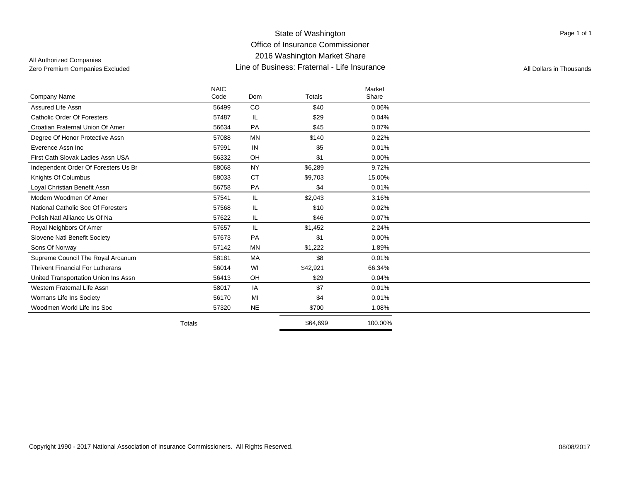### State of Washington Office of Insurance Commissioner 2016 Washington Market Share Line of Business: Fraternal - Life InsuranceZero Premium Companies Excluded **All Dollars in Thousands Line of Business: Fraternal - Life Insurance** All Dollars in Thousands

Page 1 of 1

|                                         | <b>NAIC</b> |           |               | Market   |  |
|-----------------------------------------|-------------|-----------|---------------|----------|--|
| <b>Company Name</b>                     | Code        | Dom       | <b>Totals</b> | Share    |  |
| Assured Life Assn                       | 56499       | CO        | \$40          | 0.06%    |  |
| <b>Catholic Order Of Foresters</b>      | 57487       | IL.       | \$29          | 0.04%    |  |
| Croatian Fraternal Union Of Amer        | 56634       | PA        | \$45          | 0.07%    |  |
| Degree Of Honor Protective Assn         | 57088       | <b>MN</b> | \$140         | 0.22%    |  |
| Everence Assn Inc                       | 57991       | IN        | \$5           | 0.01%    |  |
| First Cath Slovak Ladies Assn USA       | 56332       | OH        | \$1           | $0.00\%$ |  |
| Independent Order Of Foresters Us Br    | 58068       | <b>NY</b> | \$6,289       | 9.72%    |  |
| Knights Of Columbus                     | 58033       | <b>CT</b> | \$9,703       | 15.00%   |  |
| Loyal Christian Benefit Assn            | 56758       | PA        | \$4           | 0.01%    |  |
| Modern Woodmen Of Amer                  | 57541       | IL.       | \$2,043       | 3.16%    |  |
| National Catholic Soc Of Foresters      | 57568       | IL        | \$10          | 0.02%    |  |
| Polish Natl Alliance Us Of Na           | 57622       | IL.       | \$46          | 0.07%    |  |
| Royal Neighbors Of Amer                 | 57657       | IL.       | \$1,452       | 2.24%    |  |
| Slovene Natl Benefit Society            | 57673       | PA        | \$1           | 0.00%    |  |
| Sons Of Norway                          | 57142       | <b>MN</b> | \$1,222       | 1.89%    |  |
| Supreme Council The Royal Arcanum       | 58181       | MA        | \$8           | 0.01%    |  |
| <b>Thrivent Financial For Lutherans</b> | 56014       | WI        | \$42,921      | 66.34%   |  |
| United Transportation Union Ins Assn    | 56413       | OH        | \$29          | 0.04%    |  |
| Western Fraternal Life Assn             | 58017       | IA        | \$7           | 0.01%    |  |
| Womans Life Ins Society                 | 56170       | MI        | \$4           | 0.01%    |  |
| Woodmen World Life Ins Soc              | 57320       | <b>NE</b> | \$700         | 1.08%    |  |
|                                         | Totals      |           | \$64,699      | 100.00%  |  |
|                                         |             |           |               |          |  |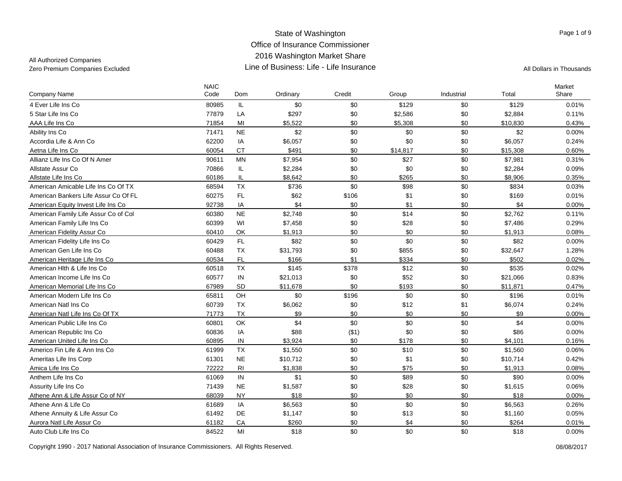## All Authorized Companies

| <b>Company Name</b>                  | <b>NAIC</b><br>Code | Dom            | Ordinary | Credit | Group    | Industrial | Total    | Market<br>Share |
|--------------------------------------|---------------------|----------------|----------|--------|----------|------------|----------|-----------------|
| 4 Ever Life Ins Co                   | 80985               | IL.            | \$0      | \$0    | \$129    | \$0        | \$129    | 0.01%           |
| 5 Star Life Ins Co                   | 77879               | LA             | \$297    | \$0    | \$2,586  | \$0        | \$2,884  | 0.11%           |
| AAA Life Ins Co                      | 71854               | MI             | \$5,522  | \$0    | \$5,308  | \$0        | \$10,830 | 0.43%           |
| Ability Ins Co                       | 71471               | <b>NE</b>      | \$2      | \$0    | \$0      | \$0        | \$2      | $0.00\%$        |
| Accordia Life & Ann Co               | 62200               | IA             | \$6,057  | \$0    | \$0      | \$0        | \$6,057  | 0.24%           |
| Aetna Life Ins Co                    | 60054               | <b>CT</b>      | \$491    | \$0    | \$14,817 | \$0        | \$15,308 | 0.60%           |
| Allianz Life Ins Co Of N Amer        | 90611               | MN             | \$7,954  | \$0    | \$27     | \$0        | \$7,981  | 0.31%           |
| Allstate Assur Co                    | 70866               | IL             | \$2,284  | \$0    | \$0      | \$0        | \$2,284  | 0.09%           |
| Allstate Life Ins Co                 | 60186               | IL             | \$8,642  | \$0    | \$265    | \$0        | \$8,906  | 0.35%           |
| American Amicable Life Ins Co Of TX  | 68594               | <b>TX</b>      | \$736    | \$0    | \$98     | \$0        | \$834    | 0.03%           |
| American Bankers Life Assur Co Of FL | 60275               | FL             | \$62     | \$106  | \$1      | \$0        | \$169    | 0.01%           |
| American Equity Invest Life Ins Co   | 92738               | IA             | \$4      | \$0    | \$1      | \$0        | \$4      | $0.00\%$        |
| American Family Life Assur Co of Col | 60380               | <b>NE</b>      | \$2,748  | \$0    | \$14     | \$0        | \$2,762  | 0.11%           |
| American Family Life Ins Co          | 60399               | WI             | \$7,458  | \$0    | \$28     | \$0        | \$7,486  | 0.29%           |
| American Fidelity Assur Co           | 60410               | OK             | \$1,913  | \$0    | \$0      | \$0        | \$1,913  | 0.08%           |
| American Fidelity Life Ins Co        | 60429               | FL             | \$82     | \$0    | \$0      | \$0        | \$82     | 0.00%           |
| American Gen Life Ins Co             | 60488               | <b>TX</b>      | \$31,793 | \$0    | \$855    | \$0        | \$32,647 | 1.28%           |
| American Heritage Life Ins Co        | 60534               | FL             | \$166    | \$1    | \$334    | \$0        | \$502    | 0.02%           |
| American Hith & Life Ins Co          | 60518               | <b>TX</b>      | \$145    | \$378  | \$12     | \$0        | \$535    | 0.02%           |
| American Income Life Ins Co          | 60577               | IN             | \$21,013 | \$0    | \$52     | \$0        | \$21,066 | 0.83%           |
| American Memorial Life Ins Co        | 67989               | <b>SD</b>      | \$11,678 | \$0    | \$193    | \$0        | \$11,871 | 0.47%           |
| American Modern Life Ins Co          | 65811               | OH             | \$0      | \$196  | \$0      | \$0        | \$196    | 0.01%           |
| American Natl Ins Co                 | 60739               | <b>TX</b>      | \$6,062  | \$0    | \$12     | \$1        | \$6,074  | 0.24%           |
| American Natl Life Ins Co Of TX      | 71773               | <b>TX</b>      | \$9      | \$0    | \$0      | \$0        | \$9      | $0.00\%$        |
| American Public Life Ins Co          | 60801               | OK             | \$4      | \$0    | \$0      | \$0        | \$4      | 0.00%           |
| American Republic Ins Co.            | 60836               | IA             | \$88     | ( \$1) | \$0      | \$0        | \$86     | 0.00%           |
| American United Life Ins Co          | 60895               | IN             | \$3,924  | \$0    | \$178    | \$0        | \$4,101  | 0.16%           |
| Americo Fin Life & Ann Ins Co        | 61999               | <b>TX</b>      | \$1,550  | \$0    | \$10     | \$0        | \$1,560  | 0.06%           |
| Ameritas Life Ins Corp               | 61301               | <b>NE</b>      | \$10,712 | \$0    | \$1      | \$0        | \$10,714 | 0.42%           |
| Amica Life Ins Co                    | 72222               | R <sub>l</sub> | \$1,838  | \$0    | \$75     | \$0        | \$1,913  | 0.08%           |
| Anthem Life Ins Co                   | 61069               | IN             | \$1      | \$0    | \$89     | \$0        | \$90     | 0.00%           |
| Assurity Life Ins Co                 | 71439               | <b>NE</b>      | \$1,587  | \$0    | \$28     | \$0        | \$1,615  | 0.06%           |
| Athene Ann & Life Assur Co of NY     | 68039               | <b>NY</b>      | \$18     | \$0    | \$0      | \$0        | \$18     | 0.00%           |
| Athene Ann & Life Co                 | 61689               | IA             | \$6,563  | \$0    | \$0      | \$0        | \$6,563  | 0.26%           |
| Athene Annuity & Life Assur Co       | 61492               | DE             | \$1,147  | \$0    | \$13     | \$0        | \$1,160  | 0.05%           |
| Aurora Natl Life Assur Co            | 61182               | CA             | \$260    | \$0    | \$4      | \$0        | \$264    | 0.01%           |
| Auto Club Life Ins Co                | 84522               | MI             | \$18     | \$0    | \$0      | \$0        | \$18     | 0.00%           |

Copyright 1990 - 2017 National Association of Insurance Commissioners. All Rights Reserved.

Page 1 of 9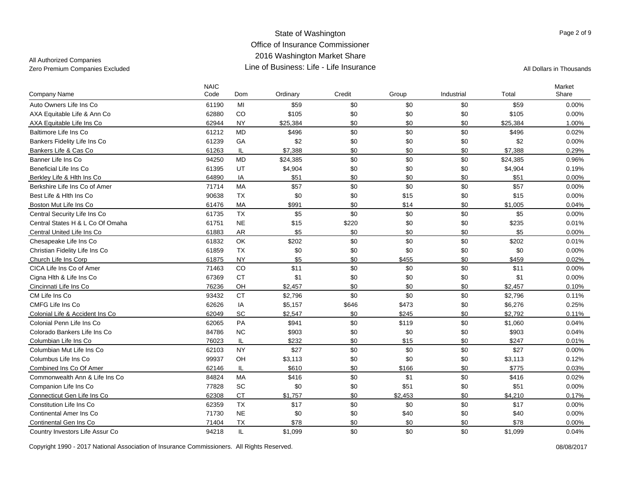All Authorized Companies

| Company Name                     | <b>NAIC</b><br>Code | Dom       | Ordinary | Credit | Group   | Industrial | Total    | Market<br>Share |
|----------------------------------|---------------------|-----------|----------|--------|---------|------------|----------|-----------------|
| Auto Owners Life Ins Co          | 61190               | MI        | \$59     | \$0    | \$0     | \$0        | \$59     | 0.00%           |
| AXA Equitable Life & Ann Co      | 62880               | CO        | \$105    | \$0    | \$0     | \$0        | \$105    | 0.00%           |
| AXA Equitable Life Ins Co        | 62944               | <b>NY</b> | \$25,384 | \$0    | \$0     | \$0        | \$25,384 | 1.00%           |
| Baltimore Life Ins Co            | 61212               | <b>MD</b> | \$496    | \$0    | \$0     | \$0        | \$496    | 0.02%           |
| Bankers Fidelity Life Ins Co     | 61239               | GA        | \$2      | \$0    | \$0     | \$0        | \$2      | 0.00%           |
| Bankers Life & Cas Co            | 61263               | IL        | \$7,388  | \$0    | \$0     | \$0        | \$7.388  | 0.29%           |
| Banner Life Ins Co               | 94250               | <b>MD</b> | \$24,385 | \$0    | \$0     | \$0        | \$24,385 | 0.96%           |
| Beneficial Life Ins Co           | 61395               | UT        | \$4,904  | \$0    | \$0     | \$0        | \$4,904  | 0.19%           |
| Berkley Life & Hith Ins Co       | 64890               | IA        | \$51     | \$0    | \$0     | \$0        | \$51     | $0.00\%$        |
| Berkshire Life Ins Co of Amer    | 71714               | <b>MA</b> | \$57     | \$0    | \$0     | \$0        | \$57     | $0.00\%$        |
| Best Life & Hith Ins Co          | 90638               | <b>TX</b> | \$0      | \$0    | \$15    | \$0        | \$15     | 0.00%           |
| Boston Mut Life Ins Co           | 61476               | MA        | \$991    | \$0    | \$14    | \$0        | \$1,005  | 0.04%           |
| Central Security Life Ins Co     | 61735               | <b>TX</b> | \$5      | \$0    | \$0     | \$0        | \$5      | 0.00%           |
| Central States H & L Co Of Omaha | 61751               | <b>NE</b> | \$15     | \$220  | \$0     | \$0        | \$235    | 0.01%           |
| Central United Life Ins Co       | 61883               | <b>AR</b> | \$5      | \$0    | \$0     | \$0        | \$5      | 0.00%           |
| Chesapeake Life Ins Co           | 61832               | OK        | \$202    | \$0    | \$0     | \$0        | \$202    | 0.01%           |
| Christian Fidelity Life Ins Co   | 61859               | <b>TX</b> | \$0      | \$0    | \$0     | \$0        | \$0      | 0.00%           |
| Church Life Ins Corp             | 61875               | <b>NY</b> | \$5      | \$0    | \$455   | \$0        | \$459    | 0.02%           |
| CICA Life Ins Co of Amer         | 71463               | CO        | \$11     | \$0    | \$0     | \$0        | \$11     | 0.00%           |
| Cigna Hlth & Life Ins Co         | 67369               | <b>CT</b> | \$1      | \$0    | \$0     | \$0        | \$1      | 0.00%           |
| Cincinnati Life Ins Co           | 76236               | OH        | \$2,457  | \$0    | \$0     | \$0        | \$2,457  | 0.10%           |
| CM Life Ins Co                   | 93432               | <b>CT</b> | \$2,796  | \$0    | \$0     | \$0        | \$2,796  | 0.11%           |
| CMFG Life Ins Co                 | 62626               | IA        | \$5,157  | \$646  | \$473   | \$0        | \$6,276  | 0.25%           |
| Colonial Life & Accident Ins Co  | 62049               | SC        | \$2,547  | \$0    | \$245   | \$0        | \$2.792  | 0.11%           |
| Colonial Penn Life Ins Co        | 62065               | PA        | \$941    | \$0    | \$119   | \$0        | \$1,060  | 0.04%           |
| Colorado Bankers Life Ins Co     | 84786               | <b>NC</b> | \$903    | \$0    | \$0     | \$0        | \$903    | 0.04%           |
| Columbian Life Ins Co            | 76023               | IL        | \$232    | \$0    | \$15    | \$0        | \$247    | 0.01%           |
| Columbian Mut Life Ins Co.       | 62103               | <b>NY</b> | \$27     | \$0    | \$0     | \$0        | \$27     | $0.00\%$        |
| Columbus Life Ins Co             | 99937               | OH        | \$3,113  | \$0    | \$0     | \$0        | \$3,113  | 0.12%           |
| Combined Ins Co Of Amer          | 62146               | IL        | \$610    | \$0    | \$166   | \$0        | \$775    | 0.03%           |
| Commonwealth Ann & Life Ins Co   | 84824               | MA        | \$416    | \$0    | \$1     | \$0        | \$416    | 0.02%           |
| Companion Life Ins Co            | 77828               | SC        | \$0      | \$0    | \$51    | \$0        | \$51     | 0.00%           |
| Connecticut Gen Life Ins Co      | 62308               | <b>CT</b> | \$1,757  | \$0    | \$2,453 | \$0        | \$4,210  | 0.17%           |
| Constitution Life Ins Co         | 62359               | <b>TX</b> | \$17     | \$0    | \$0     | \$0        | \$17     | 0.00%           |
| Continental Amer Ins Co          | 71730               | <b>NE</b> | \$0      | \$0    | \$40    | \$0        | \$40     | 0.00%           |
| Continental Gen Ins Co           | 71404               | <b>TX</b> | \$78     | \$0    | \$0     | \$0        | \$78     | 0.00%           |
| Country Investors Life Assur Co  | 94218               | IL        | \$1,099  | \$0    | \$0     | \$0        | \$1,099  | 0.04%           |

Copyright 1990 - 2017 National Association of Insurance Commissioners. All Rights Reserved. 08/08/2017

Page 2 of 9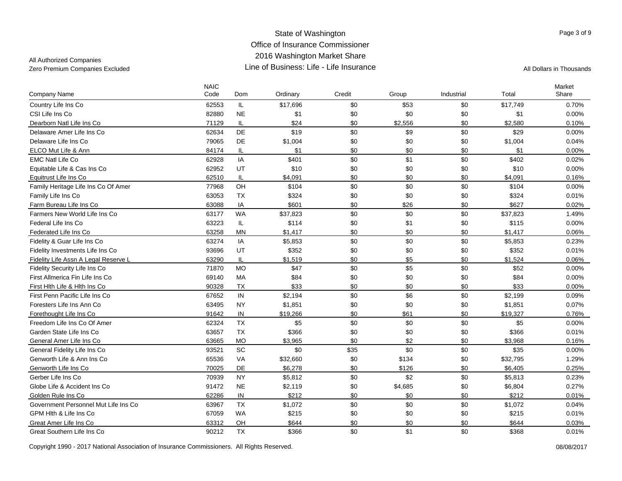## All Authorized Companies

| <b>Company Name</b>                  | <b>NAIC</b><br>Code | Dom       | Ordinary | Credit | Group   | Industrial | Total    | Market<br>Share |
|--------------------------------------|---------------------|-----------|----------|--------|---------|------------|----------|-----------------|
| Country Life Ins Co                  | 62553               | IL.       | \$17,696 | \$0    | \$53    | \$0        | \$17,749 | 0.70%           |
| CSI Life Ins Co                      | 82880               | <b>NE</b> | \$1      | \$0    | \$0     | \$0        | \$1      | 0.00%           |
| Dearborn Natl Life Ins Co            | 71129               | IL        | \$24     | \$0    | \$2,556 | \$0        | \$2,580  | 0.10%           |
| Delaware Amer Life Ins Co            | 62634               | DE        | \$19     | \$0    | \$9     | \$0        | \$29     | $0.00\%$        |
| Delaware Life Ins Co                 | 79065               | DE        | \$1,004  | \$0    | \$0     | \$0        | \$1,004  | 0.04%           |
| ELCO Mut Life & Ann                  | 84174               | IL        | \$1      | \$0    | \$0     | \$0        | \$1      | $0.00\%$        |
| <b>EMC Natl Life Co</b>              | 62928               | IA        | \$401    | \$0    | \$1     | \$0        | \$402    | 0.02%           |
| Equitable Life & Cas Ins Co          | 62952               | UT        | \$10     | \$0    | \$0     | \$0        | \$10     | 0.00%           |
| Equitrust Life Ins Co                | 62510               | IL        | \$4,091  | \$0    | \$0     | \$0        | \$4,091  | 0.16%           |
| Family Heritage Life Ins Co Of Amer  | 77968               | OH        | \$104    | \$0    | \$0     | \$0        | \$104    | $0.00\%$        |
| Family Life Ins Co                   | 63053               | <b>TX</b> | \$324    | \$0    | \$0     | \$0        | \$324    | 0.01%           |
| Farm Bureau Life Ins Co              | 63088               | IA        | \$601    | \$0    | \$26    | \$0        | \$627    | 0.02%           |
| Farmers New World Life Ins Co        | 63177               | <b>WA</b> | \$37,823 | \$0    | \$0     | \$0        | \$37,823 | 1.49%           |
| Federal Life Ins Co                  | 63223               | IL        | \$114    | \$0    | \$1     | \$0        | \$115    | 0.00%           |
| Federated Life Ins Co                | 63258               | <b>MN</b> | \$1,417  | \$0    | \$0     | \$0        | \$1,417  | 0.06%           |
| Fidelity & Guar Life Ins Co          | 63274               | IA        | \$5,853  | \$0    | \$0     | \$0        | \$5,853  | 0.23%           |
| Fidelity Investments Life Ins Co     | 93696               | UT        | \$352    | \$0    | \$0     | \$0        | \$352    | 0.01%           |
| Fidelity Life Assn A Legal Reserve L | 63290               | IL        | \$1,519  | \$0    | \$5     | \$0        | \$1,524  | 0.06%           |
| Fidelity Security Life Ins Co        | 71870               | <b>MO</b> | \$47     | \$0    | \$5     | \$0        | \$52     | 0.00%           |
| First Allmerica Fin Life Ins Co      | 69140               | <b>MA</b> | \$84     | \$0    | \$0     | \$0        | \$84     | 0.00%           |
| First Hlth Life & Hlth Ins Co        | 90328               | <b>TX</b> | \$33     | \$0    | \$0     | \$0        | \$33     | $0.00\%$        |
| First Penn Pacific Life Ins Co       | 67652               | IN        | \$2,194  | \$0    | \$6     | \$0        | \$2,199  | 0.09%           |
| Foresters Life Ins Ann Co            | 63495               | <b>NY</b> | \$1,851  | \$0    | \$0     | \$0        | \$1,851  | 0.07%           |
| Forethought Life Ins Co              | 91642               | IN        | \$19,266 | \$0    | \$61    | \$0        | \$19,327 | 0.76%           |
| Freedom Life Ins Co Of Amer          | 62324               | <b>TX</b> | \$5      | \$0    | \$0     | \$0        | \$5      | 0.00%           |
| Garden State Life Ins Co             | 63657               | <b>TX</b> | \$366    | \$0    | \$0     | \$0        | \$366    | 0.01%           |
| General Amer Life Ins Co             | 63665               | <b>MO</b> | \$3,965  | \$0    | \$2     | \$0        | \$3,968  | 0.16%           |
| General Fidelity Life Ins Co         | 93521               | SC        | \$0      | \$35   | \$0     | \$0        | \$35     | 0.00%           |
| Genworth Life & Ann Ins Co           | 65536               | VA        | \$32,660 | \$0    | \$134   | \$0        | \$32,795 | 1.29%           |
| Genworth Life Ins Co                 | 70025               | DE        | \$6,278  | \$0    | \$126   | \$0        | \$6.405  | 0.25%           |
| Gerber Life Ins Co                   | 70939               | <b>NY</b> | \$5,812  | \$0    | \$2     | \$0        | \$5,813  | 0.23%           |
| Globe Life & Accident Ins Co         | 91472               | <b>NE</b> | \$2,119  | \$0    | \$4,685 | \$0        | \$6,804  | 0.27%           |
| Golden Rule Ins Co                   | 62286               | IN        | \$212    | \$0    | \$0     | \$0        | \$212    | 0.01%           |
| Government Personnel Mut Life Ins Co | 63967               | <b>TX</b> | \$1,072  | \$0    | \$0     | \$0        | \$1,072  | 0.04%           |
| GPM Hith & Life Ins Co               | 67059               | <b>WA</b> | \$215    | \$0    | \$0     | \$0        | \$215    | 0.01%           |
| Great Amer Life Ins Co               | 63312               | OH        | \$644    | \$0    | \$0     | \$0        | \$644    | 0.03%           |
| Great Southern Life Ins Co           | 90212               | <b>TX</b> | \$366    | \$0    | \$1     | \$0        | \$368    | 0.01%           |

Copyright 1990 - 2017 National Association of Insurance Commissioners. All Rights Reserved. 08/08/2017

Page 3 of 9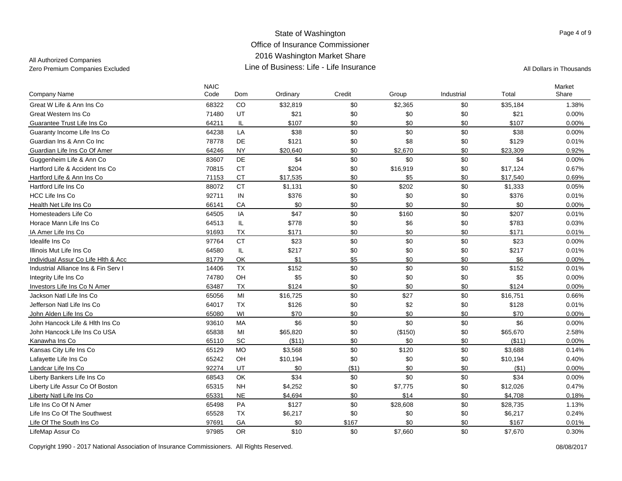All Authorized Companies

| <b>Company Name</b>                  | <b>NAIC</b><br>Code | Dom           | Ordinary | Credit | Group    | Industrial | Total    | Market<br>Share |
|--------------------------------------|---------------------|---------------|----------|--------|----------|------------|----------|-----------------|
| Great W Life & Ann Ins Co            | 68322               | CO            | \$32,819 | \$0    | \$2,365  | \$0        | \$35,184 | 1.38%           |
| Great Western Ins Co                 | 71480               | UT            | \$21     | \$0    | \$0      | \$0        | \$21     | 0.00%           |
| Guarantee Trust Life Ins Co          | 64211               | IL            | \$107    | \$0    | \$0      | \$0        | \$107    | 0.00%           |
| Guaranty Income Life Ins Co          | 64238               | LA            | \$38     | \$0    | \$0      | \$0        | \$38     | 0.00%           |
| Guardian Ins & Ann Co Inc            | 78778               | DE            | \$121    | \$0    | \$8      | \$0        | \$129    | 0.01%           |
| Guardian Life Ins Co Of Amer         | 64246               | <b>NY</b>     | \$20,640 | \$0    | \$2,670  | \$0        | \$23,309 | 0.92%           |
| Guggenheim Life & Ann Co             | 83607               | DE            | \$4      | \$0    | \$0      | \$0        | \$4      | 0.00%           |
| Hartford Life & Accident Ins Co      | 70815               | <b>CT</b>     | \$204    | \$0    | \$16,919 | \$0        | \$17,124 | 0.67%           |
| Hartford Life & Ann Ins Co           | 71153               | <b>CT</b>     | \$17,535 | \$0    | \$5      | \$0        | \$17,540 | 0.69%           |
| Hartford Life Ins Co                 | 88072               | <b>CT</b>     | \$1,131  | \$0    | \$202    | \$0        | \$1,333  | 0.05%           |
| <b>HCC Life Ins Co</b>               | 92711               | $\sf IN$      | \$376    | \$0    | \$0      | \$0        | \$376    | 0.01%           |
| Health Net Life Ins Co               | 66141               | CA            | \$0      | \$0    | \$0      | \$0        | \$0      | 0.00%           |
| Homesteaders Life Co                 | 64505               | IA            | \$47     | \$0    | \$160    | \$0        | \$207    | 0.01%           |
| Horace Mann Life Ins Co              | 64513               | $\mathsf{IL}$ | \$778    | \$0    | \$6      | \$0        | \$783    | 0.03%           |
| IA Amer Life Ins Co                  | 91693               | <b>TX</b>     | \$171    | \$0    | \$0      | \$0        | \$171    | 0.01%           |
| Idealife Ins Co                      | 97764               | <b>CT</b>     | \$23     | \$0    | \$0      | \$0        | \$23     | $0.00\%$        |
| Illinois Mut Life Ins Co             | 64580               | $\mathsf{IL}$ | \$217    | \$0    | \$0      | \$0        | \$217    | 0.01%           |
| Individual Assur Co Life Hlth & Acc  | 81779               | OK            | \$1      | \$5    | \$0      | \$0        | \$6      | 0.00%           |
| Industrial Alliance Ins & Fin Serv I | 14406               | <b>TX</b>     | \$152    | \$0    | \$0      | \$0        | \$152    | 0.01%           |
| Integrity Life Ins Co                | 74780               | OH            | \$5      | \$0    | \$0      | \$0        | \$5      | 0.00%           |
| Investors Life Ins Co N Amer         | 63487               | <b>TX</b>     | \$124    | \$0    | \$0      | \$0        | \$124    | 0.00%           |
| Jackson Natl Life Ins Co             | 65056               | MI            | \$16,725 | \$0    | \$27     | \$0        | \$16,751 | 0.66%           |
| Jefferson Natl Life Ins Co           | 64017               | <b>TX</b>     | \$126    | \$0    | \$2      | \$0        | \$128    | 0.01%           |
| John Alden Life Ins Co               | 65080               | WI            | \$70     | \$0    | \$0      | \$0        | \$70     | 0.00%           |
| John Hancock Life & Hith Ins Co      | 93610               | <b>MA</b>     | \$6      | \$0    | \$0      | \$0        | \$6      | 0.00%           |
| John Hancock Life Ins Co USA         | 65838               | MI            | \$65,820 | \$0    | (\$150)  | \$0        | \$65,670 | 2.58%           |
| Kanawha Ins Co                       | 65110               | SC            | ( \$11)  | \$0    | \$0      | \$0        | ( \$11)  | 0.00%           |
| Kansas City Life Ins Co              | 65129               | <b>MO</b>     | \$3,568  | \$0    | \$120    | \$0        | \$3,688  | 0.14%           |
| Lafayette Life Ins Co                | 65242               | OH            | \$10,194 | \$0    | \$0      | \$0        | \$10,194 | 0.40%           |
| Landcar Life Ins Co                  | 92274               | UT            | \$0      | (\$1)  | \$0      | \$0        | ( \$1)   | 0.00%           |
| Liberty Bankers Life Ins Co          | 68543               | <b>OK</b>     | \$34     | \$0    | \$0      | \$0        | \$34     | 0.00%           |
| Liberty Life Assur Co Of Boston      | 65315               | <b>NH</b>     | \$4,252  | \$0    | \$7,775  | \$0        | \$12,026 | 0.47%           |
| Liberty Natl Life Ins Co             | 65331               | <b>NE</b>     | \$4,694  | \$0    | \$14     | \$0        | \$4,708  | 0.18%           |
| Life Ins Co Of N Amer                | 65498               | PA            | \$127    | \$0    | \$28,608 | \$0        | \$28,735 | 1.13%           |
| Life Ins Co Of The Southwest         | 65528               | <b>TX</b>     | \$6,217  | \$0    | \$0      | \$0        | \$6,217  | 0.24%           |
| Life Of The South Ins Co             | 97691               | GA            | \$0      | \$167  | \$0      | \$0        | \$167    | 0.01%           |
| LifeMap Assur Co                     | 97985               | <b>OR</b>     | \$10     | \$0    | \$7,660  | \$0        | \$7,670  | 0.30%           |

Copyright 1990 - 2017 National Association of Insurance Commissioners. All Rights Reserved. 08/08/2017

Page 4 of 9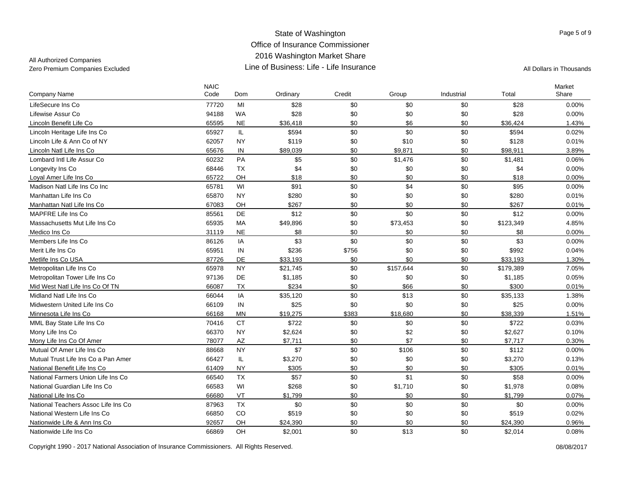## All Authorized Companies

| <b>Company Name</b>                 | <b>NAIC</b><br>Code | Dom        | Ordinary | Credit | Group     | Industrial | Total     | Market<br>Share |
|-------------------------------------|---------------------|------------|----------|--------|-----------|------------|-----------|-----------------|
| LifeSecure Ins Co                   | 77720               | MI         | \$28     | \$0    | \$0       | \$0        | \$28      | 0.00%           |
| Lifewise Assur Co                   | 94188               | <b>WA</b>  | \$28     | \$0    | \$0       | \$0        | \$28      | 0.00%           |
| Lincoln Benefit Life Co             | 65595               | <b>NE</b>  | \$36,418 | \$0    | \$6       | \$0        | \$36,424  | 1.43%           |
| Lincoln Heritage Life Ins Co        | 65927               | IL         | \$594    | \$0    | \$0       | \$0        | \$594     | 0.02%           |
| Lincoln Life & Ann Co of NY         | 62057               | <b>NY</b>  | \$119    | \$0    | \$10      | \$0        | \$128     | 0.01%           |
| Lincoln Natl Life Ins Co            | 65676               | ${\sf IN}$ | \$89,039 | \$0    | \$9,871   | \$0        | \$98,911  | 3.89%           |
| Lombard Intl Life Assur Co          | 60232               | PA         | \$5      | \$0    | \$1,476   | \$0        | \$1,481   | 0.06%           |
| Longevity Ins Co                    | 68446               | <b>TX</b>  | \$4      | \$0    | \$0       | \$0        | \$4       | 0.00%           |
| Loyal Amer Life Ins Co              | 65722               | OH         | \$18     | \$0    | \$0       | \$0        | \$18      | 0.00%           |
| Madison Natl Life Ins Co Inc        | 65781               | WI         | \$91     | \$0    | \$4       | \$0        | \$95      | 0.00%           |
| Manhattan Life Ins Co               | 65870               | <b>NY</b>  | \$280    | \$0    | \$0       | \$0        | \$280     | 0.01%           |
| Manhattan Natl Life Ins Co          | 67083               | OH         | \$267    | \$0    | \$0       | \$0        | \$267     | 0.01%           |
| MAPFRE Life Ins Co                  | 85561               | DE         | \$12     | \$0    | \$0       | \$0        | \$12      | 0.00%           |
| Massachusetts Mut Life Ins Co       | 65935               | MA         | \$49,896 | \$0    | \$73,453  | \$0        | \$123,349 | 4.85%           |
| Medico Ins Co                       | 31119               | <b>NE</b>  | \$8      | \$0    | \$0       | \$0        | \$8       | $0.00\%$        |
| Members Life Ins Co                 | 86126               | IA         | \$3      | \$0    | \$0       | \$0        | \$3       | 0.00%           |
| Merit Life Ins Co.                  | 65951               | IN         | \$236    | \$756  | \$0       | \$0        | \$992     | 0.04%           |
| Metlife Ins Co USA                  | 87726               | DE         | \$33,193 | \$0    | \$0       | \$0        | \$33,193  | 1.30%           |
| Metropolitan Life Ins Co            | 65978               | <b>NY</b>  | \$21,745 | \$0    | \$157,644 | \$0        | \$179,389 | 7.05%           |
| Metropolitan Tower Life Ins Co      | 97136               | DE         | \$1,185  | \$0    | \$0       | \$0        | \$1,185   | 0.05%           |
| Mid West Natl Life Ins Co Of TN     | 66087               | <b>TX</b>  | \$234    | \$0    | \$66      | \$0        | \$300     | 0.01%           |
| Midland Natl Life Ins Co            | 66044               | IA         | \$35,120 | \$0    | \$13      | \$0        | \$35,133  | 1.38%           |
| Midwestern United Life Ins Co       | 66109               | IN         | \$25     | \$0    | \$0       | \$0        | \$25      | 0.00%           |
| Minnesota Life Ins Co               | 66168               | <b>MN</b>  | \$19,275 | \$383  | \$18,680  | \$0        | \$38,339  | 1.51%           |
| MML Bay State Life Ins Co           | 70416               | <b>CT</b>  | \$722    | \$0    | \$0       | \$0        | \$722     | 0.03%           |
| Mony Life Ins Co                    | 66370               | <b>NY</b>  | \$2,624  | \$0    | \$2       | \$0        | \$2,627   | 0.10%           |
| Mony Life Ins Co Of Amer            | 78077               | <b>AZ</b>  | \$7,711  | \$0    | \$7       | \$0        | \$7,717   | 0.30%           |
| Mutual Of Amer Life Ins Co.         | 88668               | <b>NY</b>  | \$7      | \$0    | \$106     | \$0        | \$112     | 0.00%           |
| Mutual Trust Life Ins Co a Pan Amer | 66427               | IL.        | \$3,270  | \$0    | \$0       | \$0        | \$3,270   | 0.13%           |
| National Benefit Life Ins Co        | 61409               | <b>NY</b>  | \$305    | \$0    | \$0       | \$0        | \$305     | 0.01%           |
| National Farmers Union Life Ins Co  | 66540               | <b>TX</b>  | \$57     | \$0    | \$1       | \$0        | \$58      | 0.00%           |
| National Guardian Life Ins Co       | 66583               | WI         | \$268    | \$0    | \$1,710   | \$0        | \$1,978   | 0.08%           |
| National Life Ins Co                | 66680               | VT         | \$1,799  | \$0    | \$0       | \$0        | \$1,799   | 0.07%           |
| National Teachers Assoc Life Ins Co | 87963               | <b>TX</b>  | \$0      | \$0    | \$0       | \$0        | \$0       | 0.00%           |
| National Western Life Ins Co        | 66850               | CO         | \$519    | \$0    | \$0       | \$0        | \$519     | 0.02%           |
| Nationwide Life & Ann Ins Co        | 92657               | OH         | \$24,390 | \$0    | \$0       | \$0        | \$24.390  | 0.96%           |
| Nationwide Life Ins Co              | 66869               | OH         | \$2,001  | \$0    | \$13      | \$0        | \$2,014   | 0.08%           |

Copyright 1990 - 2017 National Association of Insurance Commissioners. All Rights Reserved. 08/08/2017

Page 5 of 9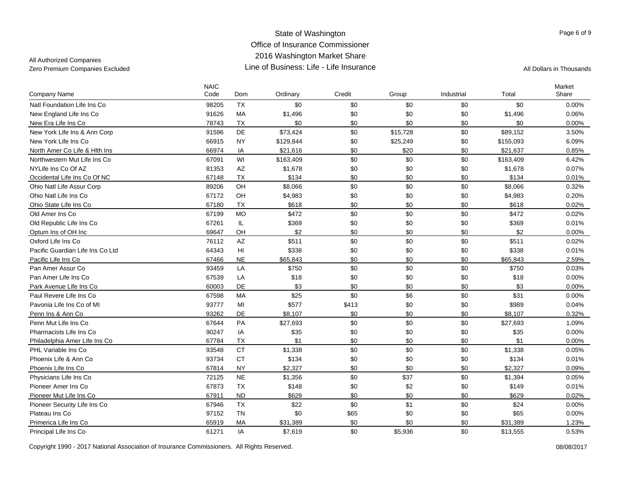All Authorized Companies

| <b>Company Name</b>              | <b>NAIC</b><br>Code | Dom       | Ordinary  | Credit | Group    | Industrial | Total     | Market<br>Share |
|----------------------------------|---------------------|-----------|-----------|--------|----------|------------|-----------|-----------------|
| Natl Foundation Life Ins Co      | 98205               | <b>TX</b> | \$0       | \$0    | \$0      | \$0        | \$0       | 0.00%           |
| New England Life Ins Co          | 91626               | MA        | \$1,496   | \$0    | \$0      | \$0        | \$1,496   | 0.06%           |
| New Era Life Ins Co              | 78743               | TX        | \$0       | \$0    | \$0      | \$0        | \$0       | 0.00%           |
| New York Life Ins & Ann Corp     | 91596               | <b>DE</b> | \$73,424  | \$0    | \$15,728 | \$0        | \$89,152  | 3.50%           |
| New York Life Ins Co             | 66915               | <b>NY</b> | \$129,844 | \$0    | \$25,249 | \$0        | \$155,093 | 6.09%           |
| North Amer Co Life & Hith Ins    | 66974               | IA        | \$21,616  | \$0    | \$20     | \$0        | \$21,637  | 0.85%           |
| Northwestern Mut Life Ins Co     | 67091               | WI        | \$163,409 | \$0    | \$0      | \$0        | \$163,409 | 6.42%           |
| NYLife Ins Co Of AZ              | 81353               | AZ        | \$1,678   | \$0    | \$0      | \$0        | \$1,678   | 0.07%           |
| Occidental Life Ins Co Of NC     | 67148               | <b>TX</b> | \$134     | \$0    | \$0      | \$0        | \$134     | 0.01%           |
| Ohio Natl Life Assur Corp        | 89206               | OH        | \$8,066   | \$0    | \$0      | \$0        | \$8,066   | 0.32%           |
| Ohio Natl Life Ins Co            | 67172               | OH        | \$4,983   | \$0    | \$0      | \$0        | \$4,983   | 0.20%           |
| Ohio State Life Ins Co           | 67180               | <b>TX</b> | \$618     | \$0    | \$0      | \$0        | \$618     | 0.02%           |
| Old Amer Ins Co                  | 67199               | <b>MO</b> | \$472     | \$0    | \$0      | \$0        | \$472     | 0.02%           |
| Old Republic Life Ins Co         | 67261               | IL        | \$369     | \$0    | \$0      | \$0        | \$369     | 0.01%           |
| Optum Ins of OH Inc              | 69647               | OH        | \$2       | \$0    | \$0      | \$0        | \$2       | 0.00%           |
| Oxford Life Ins Co               | 76112               | AZ        | \$511     | \$0    | \$0      | \$0        | \$511     | 0.02%           |
| Pacific Guardian Life Ins Co Ltd | 64343               | HI        | \$338     | \$0    | \$0      | \$0        | \$338     | 0.01%           |
| Pacific Life Ins Co              | 67466               | <b>NE</b> | \$65,843  | \$0    | \$0      | \$0        | \$65,843  | 2.59%           |
| Pan Amer Assur Co                | 93459               | LA        | \$750     | \$0    | \$0      | \$0        | \$750     | 0.03%           |
| Pan Amer Life Ins Co             | 67539               | LA        | \$18      | \$0    | \$0      | \$0        | \$18      | 0.00%           |
| Park Avenue Life Ins Co          | 60003               | DE        | \$3       | \$0    | \$0      | \$0        | \$3       | $0.00\%$        |
| Paul Revere Life Ins Co          | 67598               | MA        | \$25      | \$0    | \$6      | \$0        | \$31      | $0.00\%$        |
| Pavonia Life Ins Co of MI        | 93777               | MI        | \$577     | \$413  | \$0      | \$0        | \$989     | 0.04%           |
| Penn Ins & Ann Co                | 93262               | DE        | \$8,107   | \$0    | \$0      | \$0        | \$8.107   | 0.32%           |
| Penn Mut Life Ins Co             | 67644               | PA        | \$27,693  | \$0    | \$0      | \$0        | \$27,693  | 1.09%           |
| Pharmacists Life Ins Co          | 90247               | IA        | \$35      | \$0    | \$0      | \$0        | \$35      | 0.00%           |
| Philadelphia Amer Life Ins Co    | 67784               | <b>TX</b> | \$1       | \$0    | \$0      | \$0        | \$1       | 0.00%           |
| PHL Variable Ins Co.             | 93548               | <b>CT</b> | \$1,338   | \$0    | \$0      | \$0        | \$1,338   | 0.05%           |
| Phoenix Life & Ann Co            | 93734               | <b>CT</b> | \$134     | \$0    | \$0      | \$0        | \$134     | 0.01%           |
| Phoenix Life Ins Co              | 67814               | NY.       | \$2,327   | \$0    | \$0      | \$0        | \$2,327   | 0.09%           |
| Physicians Life Ins Co           | 72125               | <b>NE</b> | \$1,356   | \$0    | \$37     | \$0        | \$1,394   | 0.05%           |
| Pioneer Amer Ins Co              | 67873               | <b>TX</b> | \$148     | \$0    | \$2      | \$0        | \$149     | 0.01%           |
| Pioneer Mut Life Ins Co          | 67911               | ND        | \$629     | \$0    | \$0      | \$0        | \$629     | 0.02%           |
| Pioneer Security Life Ins Co     | 67946               | TX        | \$22      | \$0    | \$1      | \$0        | \$24      | 0.00%           |
| Plateau Ins Co                   | 97152               | <b>TN</b> | \$0       | \$65   | \$0      | \$0        | \$65      | 0.00%           |
| Primerica Life Ins Co            | 65919               | MA        | \$31,389  | \$0    | \$0      | \$0        | \$31,389  | 1.23%           |
| Principal Life Ins Co            | 61271               | IA        | \$7,619   | \$0    | \$5,936  | \$0        | \$13,555  | 0.53%           |

Copyright 1990 - 2017 National Association of Insurance Commissioners. All Rights Reserved. 08/08/2017

Page 6 of 9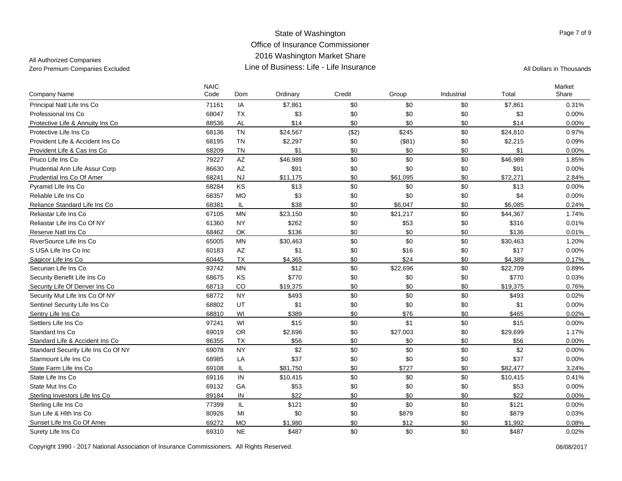### All Authorized Companies

| Company Name                        | <b>NAIC</b><br>Code | Dom       | Ordinary | Credit | Group    | Industrial | Total    | Market<br>Share |
|-------------------------------------|---------------------|-----------|----------|--------|----------|------------|----------|-----------------|
| Principal Natl Life Ins Co          | 71161               | IA        | \$7,861  | \$0    | \$0      | \$0        | \$7,861  | 0.31%           |
| Professional Ins Co                 | 68047               | <b>TX</b> | \$3      | \$0    | \$0      | \$0        | \$3      | 0.00%           |
| Protective Life & Annuity Ins Co.   | 88536               | <b>AL</b> | \$14     | \$0    | \$0      | \$0        | \$14     | $0.00\%$        |
| Protective Life Ins Co              | 68136               | <b>TN</b> | \$24,567 | (\$2)  | \$245    | \$0        | \$24,810 | 0.97%           |
| Provident Life & Accident Ins Co    | 68195               | <b>TN</b> | \$2,297  | \$0    | (\$81)   | \$0        | \$2,215  | 0.09%           |
| Provident Life & Cas Ins Co         | 68209               | <b>TN</b> | \$1      | \$0    | \$0      | \$0        | \$1      | 0.00%           |
| Pruco Life Ins Co                   | 79227               | AZ        | \$46,989 | \$0    | \$0      | \$0        | \$46,989 | 1.85%           |
| Prudential Ann Life Assur Corp      | 86630               | AZ        | \$91     | \$0    | \$0      | \$0        | \$91     | 0.00%           |
| Prudential Ins Co Of Amer           | 68241               | <b>NJ</b> | \$11,175 | \$0    | \$61,095 | \$0        | \$72,271 | 2.84%           |
| Pyramid Life Ins Co                 | 68284               | KS        | \$13     | \$0    | \$0      | \$0        | \$13     | 0.00%           |
| Reliable Life Ins Co                | 68357               | <b>MO</b> | \$3      | \$0    | \$0      | \$0        | \$4      | 0.00%           |
| Reliance Standard Life Ins Co       | 68381               | <b>IL</b> | \$38     | \$0    | \$6.047  | \$0        | \$6.085  | 0.24%           |
| Reliastar Life Ins Co               | 67105               | <b>MN</b> | \$23,150 | \$0    | \$21,217 | \$0        | \$44,367 | 1.74%           |
| Reliastar Life Ins Co Of NY         | 61360               | <b>NY</b> | \$262    | \$0    | \$53     | \$0        | \$316    | 0.01%           |
| Reserve Natl Ins Co                 | 68462               | OK        | \$136    | \$0    | \$0      | \$0        | \$136    | 0.01%           |
| RiverSource Life Ins Co             | 65005               | <b>MN</b> | \$30,463 | \$0    | \$0      | \$0        | \$30,463 | 1.20%           |
| S USA Life Ins Co Inc.              | 60183               | AZ        | \$1      | \$0    | \$16     | \$0        | \$17     | 0.00%           |
| Sagicor Life Ins Co                 | 60445               | <b>TX</b> | \$4,365  | \$0    | \$24     | \$0        | \$4,389  | 0.17%           |
| Securian Life Ins Co                | 93742               | <b>MN</b> | \$12     | \$0    | \$22,696 | \$0        | \$22,709 | 0.89%           |
| Security Benefit Life Ins Co        | 68675               | KS        | \$770    | \$0    | \$0      | \$0        | \$770    | 0.03%           |
| Security Life Of Denver Ins Co      | 68713               | CO        | \$19,375 | \$0    | \$0      | \$0        | \$19,375 | 0.76%           |
| Security Mut Life Ins Co Of NY      | 68772               | <b>NY</b> | \$493    | \$0    | \$0      | \$0        | \$493    | 0.02%           |
| Sentinel Security Life Ins Co       | 68802               | UT        | \$1      | \$0    | \$0      | \$0        | \$1      | 0.00%           |
| Sentry Life Ins Co                  | 68810               | WI        | \$389    | \$0    | \$76     | \$0        | \$465    | 0.02%           |
| Settlers Life Ins Co                | 97241               | WI        | \$15     | \$0    | \$1      | \$0        | \$15     | 0.00%           |
| Standard Ins Co                     | 69019               | <b>OR</b> | \$2,696  | \$0    | \$27,003 | \$0        | \$29,699 | 1.17%           |
| Standard Life & Accident Ins Co     | 86355               | <b>TX</b> | \$56     | \$0    | \$0      | \$0        | \$56     | $0.00\%$        |
| Standard Security Life Ins Co Of NY | 69078               | <b>NY</b> | \$2      | \$0    | \$0      | \$0        | \$2      | 0.00%           |
| Starmount Life Ins Co               | 68985               | LA        | \$37     | \$0    | \$0      | \$0        | \$37     | 0.00%           |
| State Farm Life Ins Co              | 69108               | IL        | \$81,750 | \$0    | \$727    | \$0        | \$82,477 | 3.24%           |
| State Life Ins Co                   | 69116               | IN        | \$10,415 | \$0    | \$0      | \$0        | \$10,415 | 0.41%           |
| State Mut Ins Co                    | 69132               | GA        | \$53     | \$0    | \$0      | \$0        | \$53     | 0.00%           |
| Sterling Investors Life Ins Co      | 89184               | $\sf IN$  | \$22     | \$0    | \$0      | \$0        | \$22     | 0.00%           |
| Sterling Life Ins Co                | 77399               | IL        | \$121    | \$0    | \$0      | \$0        | \$121    | 0.00%           |
| Sun Life & Hith Ins Co              | 80926               | MI        | \$0      | \$0    | \$879    | \$0        | \$879    | 0.03%           |
| Sunset Life Ins Co Of Amer          | 69272               | <b>MO</b> | \$1,980  | \$0    | \$12     | \$0        | \$1.992  | 0.08%           |
| Surety Life Ins Co                  | 69310               | <b>NE</b> | \$487    | \$0    | \$0      | \$0        | \$487    | 0.02%           |

Copyright 1990 - 2017 National Association of Insurance Commissioners. All Rights Reserved.

Page 7 of 9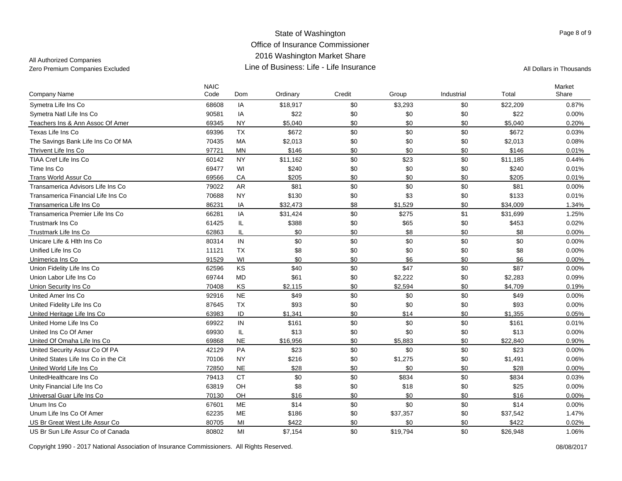All Authorized Companies

| <b>Company Name</b>                  | <b>NAIC</b><br>Code | Dom        | Ordinary | Credit | Group    | Industrial | Total    | Market<br>Share |
|--------------------------------------|---------------------|------------|----------|--------|----------|------------|----------|-----------------|
| Symetra Life Ins Co                  | 68608               | IA         | \$18,917 | \$0    | \$3,293  | \$0        | \$22,209 | 0.87%           |
| Symetra Natl Life Ins Co             | 90581               | IA         | \$22     | \$0    | \$0      | \$0        | \$22     | 0.00%           |
| Teachers Ins & Ann Assoc Of Amer     | 69345               | <b>NY</b>  | \$5,040  | \$0    | \$0      | \$0        | \$5,040  | 0.20%           |
| Texas Life Ins Co                    | 69396               | <b>TX</b>  | \$672    | \$0    | \$0      | \$0        | \$672    | 0.03%           |
| The Savings Bank Life Ins Co Of MA   | 70435               | <b>MA</b>  | \$2,013  | \$0    | \$0      | \$0        | \$2,013  | 0.08%           |
| Thrivent Life Ins Co                 | 97721               | <b>MN</b>  | \$146    | \$0    | \$0      | \$0        | \$146    | 0.01%           |
| <b>TIAA Cref Life Ins Co</b>         | 60142               | <b>NY</b>  | \$11,162 | \$0    | \$23     | \$0        | \$11,185 | 0.44%           |
| Time Ins Co                          | 69477               | WI         | \$240    | \$0    | \$0      | \$0        | \$240    | 0.01%           |
| Trans World Assur Co                 | 69566               | CA         | \$205    | \$0    | \$0      | \$0        | \$205    | 0.01%           |
| Transamerica Advisors Life Ins Co    | 79022               | <b>AR</b>  | \$81     | \$0    | \$0      | \$0        | \$81     | $0.00\%$        |
| Transamerica Financial Life Ins Co   | 70688               | <b>NY</b>  | \$130    | \$0    | \$3      | \$0        | \$133    | 0.01%           |
| Transamerica Life Ins Co             | 86231               | IA         | \$32,473 | \$8    | \$1,529  | \$0        | \$34,009 | 1.34%           |
| Transamerica Premier Life Ins Co     | 66281               | IA         | \$31,424 | \$0    | \$275    | \$1        | \$31,699 | 1.25%           |
| <b>Trustmark Ins Co</b>              | 61425               | IL         | \$388    | \$0    | \$65     | \$0        | \$453    | 0.02%           |
| Trustmark Life Ins Co                | 62863               | IL         | \$0      | \$0    | \$8      | \$0        | \$8      | 0.00%           |
| Unicare Life & Hith Ins Co           | 80314               | IN         | \$0      | \$0    | \$0      | \$0        | \$0      | 0.00%           |
| Unified Life Ins Co.                 | 11121               | <b>TX</b>  | \$8      | \$0    | \$0      | \$0        | \$8      | 0.00%           |
| Unimerica Ins Co                     | 91529               | WI         | \$0      | \$0    | \$6      | \$0        | \$6      | $0.00\%$        |
| Union Fidelity Life Ins Co           | 62596               | KS         | \$40     | \$0    | \$47     | \$0        | \$87     | 0.00%           |
| Union Labor Life Ins Co              | 69744               | <b>MD</b>  | \$61     | \$0    | \$2,222  | \$0        | \$2,283  | 0.09%           |
| Union Security Ins Co                | 70408               | KS         | \$2,115  | \$0    | \$2,594  | \$0        | \$4,709  | 0.19%           |
| United Amer Ins Co                   | 92916               | <b>NE</b>  | \$49     | \$0    | \$0      | \$0        | \$49     | 0.00%           |
| United Fidelity Life Ins Co          | 87645               | <b>TX</b>  | \$93     | \$0    | \$0      | \$0        | \$93     | 0.00%           |
| United Heritage Life Ins Co          | 63983               | ID         | \$1,341  | \$0    | \$14     | \$0        | \$1.355  | 0.05%           |
| United Home Life Ins Co              | 69922               | ${\sf IN}$ | \$161    | \$0    | \$0      | \$0        | \$161    | 0.01%           |
| United Ins Co Of Amer                | 69930               | IL         | \$13     | \$0    | \$0      | \$0        | \$13     | 0.00%           |
| United Of Omaha Life Ins Co          | 69868               | <b>NE</b>  | \$16,956 | \$0    | \$5,883  | \$0        | \$22,840 | 0.90%           |
| United Security Assur Co Of PA       | 42129               | PA         | \$23     | \$0    | \$0      | \$0        | \$23     | 0.00%           |
| United States Life Ins Co in the Cit | 70106               | <b>NY</b>  | \$216    | \$0    | \$1,275  | \$0        | \$1,491  | 0.06%           |
| United World Life Ins Co             | 72850               | <b>NE</b>  | \$28     | \$0    | \$0      | \$0        | \$28     | 0.00%           |
| UnitedHealthcare Ins Co              | 79413               | <b>CT</b>  | \$0      | \$0    | \$834    | \$0        | \$834    | 0.03%           |
| Unity Financial Life Ins Co          | 63819               | OH         | \$8      | \$0    | \$18     | \$0        | \$25     | 0.00%           |
| Universal Guar Life Ins Co           | 70130               | OH         | \$16     | \$0    | \$0      | \$0        | \$16     | 0.00%           |
| Unum Ins Co                          | 67601               | <b>ME</b>  | \$14     | \$0    | \$0      | \$0        | \$14     | 0.00%           |
| Unum Life Ins Co Of Amer             | 62235               | <b>ME</b>  | \$186    | \$0    | \$37,357 | \$0        | \$37,542 | 1.47%           |
| US Br Great West Life Assur Co       | 80705               | MI         | \$422    | \$0    | \$0      | \$0        | \$422    | 0.02%           |
| US Br Sun Life Assur Co of Canada    | 80802               | MI         | \$7,154  | \$0    | \$19,794 | \$0        | \$26,948 | 1.06%           |

Copyright 1990 - 2017 National Association of Insurance Commissioners. All Rights Reserved. 08/08/2017

Page 8 of 9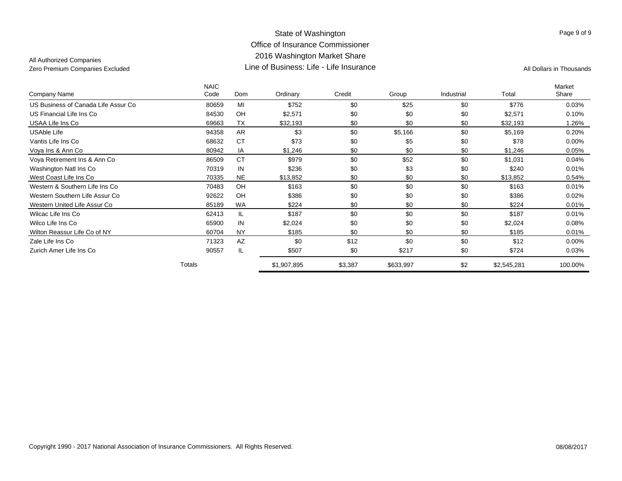|                                     | <b>NAIC</b> |           |             |         |           |            |             | Market   |
|-------------------------------------|-------------|-----------|-------------|---------|-----------|------------|-------------|----------|
| Company Name                        | Code        | Dom       | Ordinary    | Credit  | Group     | Industrial | Total       | Share    |
| US Business of Canada Life Assur Co | 80659       | MI        | \$752       | \$0     | \$25      | \$0        | \$776       | 0.03%    |
| US Financial Life Ins Co            | 84530       | OH        | \$2,571     | \$0     | \$0       | \$0        | \$2,571     | 0.10%    |
| USAA Life Ins Co                    | 69663       | <b>TX</b> | \$32,193    | \$0     | \$0       | \$0        | \$32,193    | 1.26%    |
| <b>USAble Life</b>                  | 94358       | <b>AR</b> | \$3         | \$0     | \$5,166   | \$0        | \$5,169     | 0.20%    |
| Vantis Life Ins Co                  | 68632       | <b>CT</b> | \$73        | \$0     | \$5       | \$0        | \$78        | $0.00\%$ |
| Voya Ins & Ann Co                   | 80942       | IA        | \$1,246     | \$0     | \$0       | \$0        | \$1,246     | 0.05%    |
| Voya Retirement Ins & Ann Co        | 86509       | <b>CT</b> | \$979       | \$0     | \$52      | \$0        | \$1,031     | 0.04%    |
| Washington Natl Ins Co              | 70319       | IN        | \$236       | \$0     | \$3       | \$0        | \$240       | 0.01%    |
| West Coast Life Ins Co              | 70335       | <b>NE</b> | \$13,852    | \$0     | \$0       | \$0        | \$13,852    | 0.54%    |
| Western & Southern Life Ins Co      | 70483       | OH        | \$163       | \$0     | \$0       | \$0        | \$163       | 0.01%    |
| Western Southern Life Assur Co      | 92622       | OH        | \$386       | \$0     | \$0       | \$0        | \$386       | 0.02%    |
| Western United Life Assur Co        | 85189       | <b>WA</b> | \$224       | \$0     | \$0       | \$0        | \$224       | 0.01%    |
| Wilcac Life Ins Co                  | 62413       | IL        | \$187       | \$0     | \$0       | \$0        | \$187       | 0.01%    |
| Wilco Life Ins Co                   | 65900       | IN        | \$2,024     | \$0     | \$0       | \$0        | \$2,024     | 0.08%    |
| Wilton Reassur Life Co of NY        | 60704       | <b>NY</b> | \$185       | \$0     | \$0       | \$0        | \$185       | 0.01%    |
| Zale Life Ins Co                    | 71323       | AZ        | \$0         | \$12    | \$0       | \$0        | \$12        | $0.00\%$ |
| Zurich Amer Life Ins Co             | 90557       | IL        | \$507       | \$0     | \$217     | \$0        | \$724       | 0.03%    |
|                                     | Totals      |           | \$1,907,895 | \$3,387 | \$633,997 | \$2        | \$2,545,281 | 100.00%  |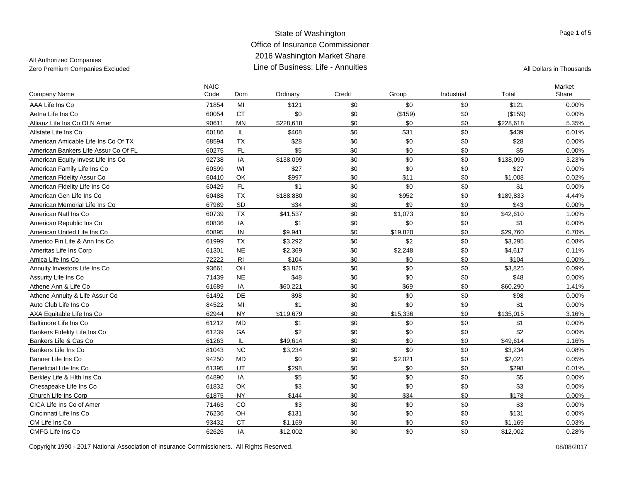### All Authorized Companies

| Company Name                         | <b>NAIC</b><br>Code | Dom            | Ordinary  | Credit | Group    | Industrial | Total     | Market<br>Share |
|--------------------------------------|---------------------|----------------|-----------|--------|----------|------------|-----------|-----------------|
| AAA Life Ins Co                      | 71854               | MI             | \$121     | \$0    | \$0      | \$0        | \$121     | 0.00%           |
| Aetna Life Ins Co                    | 60054               | <b>CT</b>      | \$0       | \$0    | (\$159)  | \$0        | (\$159)   | 0.00%           |
| Allianz Life Ins Co Of N Amer        | 90611               | <b>MN</b>      | \$228,618 | \$0    | \$0      | \$0        | \$228,618 | 5.35%           |
| Allstate Life Ins Co                 | 60186               | IL.            | \$408     | \$0    | \$31     | \$0        | \$439     | 0.01%           |
| American Amicable Life Ins Co Of TX  | 68594               | <b>TX</b>      | \$28      | \$0    | \$0      | \$0        | \$28      | 0.00%           |
| American Bankers Life Assur Co Of FL | 60275               | <b>FL</b>      | \$5       | \$0    | \$0      | \$0        | \$5       | 0.00%           |
| American Equity Invest Life Ins Co   | 92738               | IA             | \$138,099 | \$0    | \$0      | \$0        | \$138,099 | 3.23%           |
| American Family Life Ins Co          | 60399               | WI             | \$27      | \$0    | \$0      | \$0        | \$27      | 0.00%           |
| American Fidelity Assur Co           | 60410               | OK             | \$997     | \$0    | \$11     | \$0        | \$1,008   | 0.02%           |
| American Fidelity Life Ins Co        | 60429               | FL.            | \$1       | \$0    | \$0      | \$0        | \$1       | 0.00%           |
| American Gen Life Ins Co             | 60488               | <b>TX</b>      | \$188,880 | \$0    | \$952    | \$0        | \$189,833 | 4.44%           |
| American Memorial Life Ins Co        | 67989               | SD             | \$34      | \$0    | \$9      | \$0        | \$43      | 0.00%           |
| American Natl Ins Co                 | 60739               | <b>TX</b>      | \$41,537  | \$0    | \$1,073  | \$0        | \$42,610  | 1.00%           |
| American Republic Ins Co             | 60836               | ΙA             | \$1       | \$0    | \$0      | \$0        | \$1       | 0.00%           |
| American United Life Ins Co          | 60895               | IN             | \$9,941   | \$0    | \$19,820 | \$0        | \$29,760  | 0.70%           |
| Americo Fin Life & Ann Ins Co        | 61999               | <b>TX</b>      | \$3,292   | \$0    | \$2      | \$0        | \$3,295   | 0.08%           |
| Ameritas Life Ins Corp               | 61301               | <b>NE</b>      | \$2,369   | \$0    | \$2,248  | \$0        | \$4,617   | 0.11%           |
| Amica Life Ins Co                    | 72222               | R <sub>l</sub> | \$104     | \$0    | \$0      | \$0        | \$104     | 0.00%           |
| Annuity Investors Life Ins Co        | 93661               | OH             | \$3,825   | \$0    | \$0      | \$0        | \$3,825   | 0.09%           |
| Assurity Life Ins Co                 | 71439               | <b>NE</b>      | \$48      | \$0    | \$0      | \$0        | \$48      | 0.00%           |
| Athene Ann & Life Co                 | 61689               | IA             | \$60,221  | \$0    | \$69     | \$0        | \$60,290  | 1.41%           |
| Athene Annuity & Life Assur Co       | 61492               | DE             | \$98      | \$0    | \$0      | \$0        | \$98      | $0.00\%$        |
| Auto Club Life Ins Co                | 84522               | MI             | \$1       | \$0    | \$0      | \$0        | \$1       | 0.00%           |
| AXA Equitable Life Ins Co            | 62944               | <b>NY</b>      | \$119,679 | \$0    | \$15,336 | \$0        | \$135,015 | 3.16%           |
| Baltimore Life Ins Co                | 61212               | <b>MD</b>      | \$1       | \$0    | \$0      | \$0        | \$1       | 0.00%           |
| Bankers Fidelity Life Ins Co         | 61239               | GA             | \$2       | \$0    | \$0      | \$0        | \$2       | 0.00%           |
| Bankers Life & Cas Co                | 61263               | IL             | \$49,614  | \$0    | \$0      | \$0        | \$49.614  | 1.16%           |
| Bankers Life Ins Co                  | 81043               | <b>NC</b>      | \$3,234   | \$0    | \$0      | \$0        | \$3,234   | 0.08%           |
| Banner Life Ins Co                   | 94250               | <b>MD</b>      | \$0       | \$0    | \$2,021  | \$0        | \$2,021   | 0.05%           |
| Beneficial Life Ins Co               | 61395               | UT             | \$298     | \$0    | \$0      | \$0        | \$298     | 0.01%           |
| Berkley Life & Hith Ins Co           | 64890               | IA             | \$5       | \$0    | \$0      | \$0        | \$5       | 0.00%           |
| Chesapeake Life Ins Co               | 61832               | OK             | \$3       | \$0    | \$0      | \$0        | \$3       | 0.00%           |
| Church Life Ins Corp                 | 61875               | <b>NY</b>      | \$144     | \$0    | \$34     | \$0        | \$178     | 0.00%           |
| CICA Life Ins Co of Amer             | 71463               | CO             | \$3       | \$0    | \$0      | \$0        | \$3       | 0.00%           |
| Cincinnati Life Ins Co               | 76236               | OH             | \$131     | \$0    | \$0      | \$0        | \$131     | 0.00%           |
| CM Life Ins Co                       | 93432               | <b>CT</b>      | \$1,169   | \$0    | \$0      | \$0        | \$1,169   | 0.03%           |
| CMFG Life Ins Co                     | 62626               | IA             | \$12,002  | \$0    | \$0      | \$0        | \$12,002  | 0.28%           |

Page 1 of 5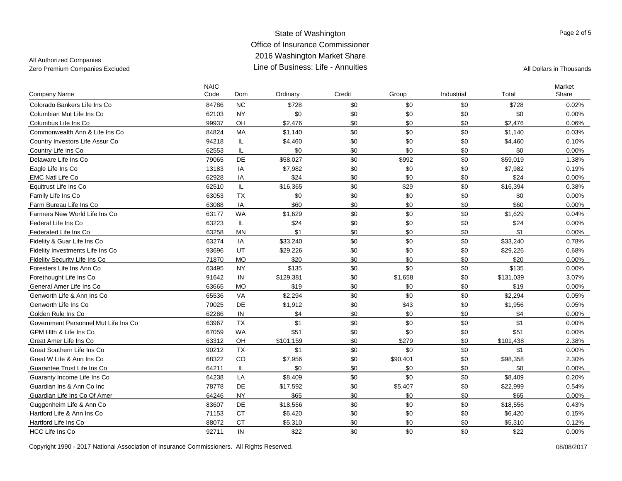## All Authorized Companies

| Company Name                         | <b>NAIC</b><br>Code | Dom        | Ordinary  | Credit | Group    | Industrial | Total     | Market<br>Share |
|--------------------------------------|---------------------|------------|-----------|--------|----------|------------|-----------|-----------------|
| Colorado Bankers Life Ins Co         | 84786               | <b>NC</b>  | \$728     | \$0    | \$0      | \$0        | \$728     | 0.02%           |
| Columbian Mut Life Ins Co            | 62103               | <b>NY</b>  | \$0       | \$0    | \$0      | \$0        | \$0       | 0.00%           |
| Columbus Life Ins Co                 | 99937               | OH         | \$2,476   | \$0    | \$0      | \$0        | \$2,476   | 0.06%           |
| Commonwealth Ann & Life Ins Co       | 84824               | MA         | \$1,140   | \$0    | \$0      | \$0        | \$1,140   | 0.03%           |
| Country Investors Life Assur Co      | 94218               | IL.        | \$4,460   | \$0    | \$0      | \$0        | \$4,460   | 0.10%           |
| Country Life Ins Co                  | 62553               | IL         | \$0       | \$0    | \$0      | \$0        | \$0       | $0.00\%$        |
| Delaware Life Ins Co                 | 79065               | DE         | \$58,027  | \$0    | \$992    | \$0        | \$59,019  | 1.38%           |
| Eagle Life Ins Co                    | 13183               | IA         | \$7,982   | \$0    | \$0      | \$0        | \$7,982   | 0.19%           |
| <b>EMC Natl Life Co</b>              | 62928               | IA         | \$24      | \$0    | \$0      | \$0        | \$24      | 0.00%           |
| Equitrust Life Ins Co                | 62510               | IL.        | \$16,365  | \$0    | \$29     | \$0        | \$16,394  | 0.38%           |
| Family Life Ins Co                   | 63053               | <b>TX</b>  | \$0       | \$0    | \$0      | \$0        | \$0       | 0.00%           |
| Farm Bureau Life Ins Co              | 63088               | IA         | \$60      | \$0    | \$0      | \$0        | \$60      | $0.00\%$        |
| Farmers New World Life Ins Co        | 63177               | <b>WA</b>  | \$1,629   | \$0    | \$0      | \$0        | \$1,629   | 0.04%           |
| Federal Life Ins Co                  | 63223               | IL         | \$24      | \$0    | \$0      | \$0        | \$24      | 0.00%           |
| Federated Life Ins Co                | 63258               | <b>MN</b>  | \$1       | \$0    | \$0      | \$0        | \$1       | $0.00\%$        |
| Fidelity & Guar Life Ins Co          | 63274               | IA         | \$33,240  | \$0    | \$0      | \$0        | \$33,240  | 0.78%           |
| Fidelity Investments Life Ins Co     | 93696               | UT         | \$29,226  | \$0    | \$0      | \$0        | \$29,226  | 0.68%           |
| Fidelity Security Life Ins Co        | 71870               | <b>MO</b>  | \$20      | \$0    | \$0      | \$0        | \$20      | 0.00%           |
| Foresters Life Ins Ann Co            | 63495               | <b>NY</b>  | \$135     | \$0    | \$0      | \$0        | \$135     | 0.00%           |
| Forethought Life Ins Co              | 91642               | IN         | \$129,381 | \$0    | \$1,658  | \$0        | \$131,039 | 3.07%           |
| General Amer Life Ins Co             | 63665               | <b>MO</b>  | \$19      | \$0    | \$0      | \$0        | \$19      | $0.00\%$        |
| Genworth Life & Ann Ins Co.          | 65536               | VA         | \$2,294   | \$0    | \$0      | \$0        | \$2,294   | 0.05%           |
| Genworth Life Ins Co                 | 70025               | DE         | \$1,912   | \$0    | \$43     | \$0        | \$1,956   | 0.05%           |
| Golden Rule Ins Co                   | 62286               | ${\sf IN}$ | \$4       | \$0    | \$0      | \$0        | \$4       | 0.00%           |
| Government Personnel Mut Life Ins Co | 63967               | <b>TX</b>  | \$1       | \$0    | \$0      | \$0        | \$1       | 0.00%           |
| GPM Hith & Life Ins Co               | 67059               | <b>WA</b>  | \$51      | \$0    | \$0      | \$0        | \$51      | 0.00%           |
| Great Amer Life Ins Co               | 63312               | OH         | \$101,159 | \$0    | \$279    | \$0        | \$101,438 | 2.38%           |
| Great Southern Life Ins Co           | 90212               | <b>TX</b>  | \$1       | \$0    | \$0      | \$0        | \$1       | 0.00%           |
| Great W Life & Ann Ins Co            | 68322               | CO         | \$7,956   | \$0    | \$90,401 | \$0        | \$98,358  | 2.30%           |
| Guarantee Trust Life Ins Co          | 64211               | IL         | \$0       | \$0    | \$0      | \$0        | \$0       | 0.00%           |
| Guaranty Income Life Ins Co          | 64238               | LA         | \$8,409   | \$0    | \$0      | \$0        | \$8,409   | 0.20%           |
| Guardian Ins & Ann Co Inc            | 78778               | DE         | \$17,592  | \$0    | \$5,407  | \$0        | \$22,999  | 0.54%           |
| Guardian Life Ins Co Of Amer         | 64246               | <b>NY</b>  | \$65      | \$0    | \$0      | \$0        | \$65      | 0.00%           |
| Guggenheim Life & Ann Co             | 83607               | DE         | \$18,556  | \$0    | \$0      | \$0        | \$18,556  | 0.43%           |
| Hartford Life & Ann Ins Co           | 71153               | <b>CT</b>  | \$6,420   | \$0    | \$0      | \$0        | \$6,420   | 0.15%           |
| Hartford Life Ins Co                 | 88072               | <b>CT</b>  | \$5,310   | \$0    | \$0      | \$0        | \$5,310   | 0.12%           |
| <b>HCC Life Ins Co</b>               | 92711               | IN         | \$22      | \$0    | \$0      | \$0        | \$22      | 0.00%           |

Copyright 1990 - 2017 National Association of Insurance Commissioners. All Rights Reserved. 08/08/2017

Page 2 of 5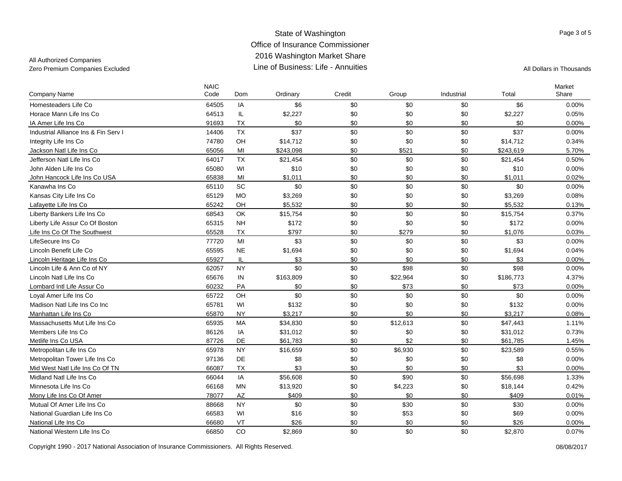### All Authorized Companies

| Company Name                         | <b>NAIC</b><br>Code | Dom       | Ordinary  | Credit | Group    | Industrial | Total     | Market<br>Share |
|--------------------------------------|---------------------|-----------|-----------|--------|----------|------------|-----------|-----------------|
| Homesteaders Life Co                 | 64505               | IA        | \$6       | \$0    | \$0      | \$0        | \$6       | 0.00%           |
| Horace Mann Life Ins Co              | 64513               | IL        | \$2,227   | \$0    | \$0      | \$0        | \$2,227   | 0.05%           |
| IA Amer Life Ins Co                  | 91693               | <b>TX</b> | \$0       | \$0    | \$0      | \$0        | \$0       | 0.00%           |
| Industrial Alliance Ins & Fin Serv I | 14406               | <b>TX</b> | \$37      | \$0    | \$0      | \$0        | \$37      | 0.00%           |
| Integrity Life Ins Co                | 74780               | OH        | \$14,712  | \$0    | \$0      | \$0        | \$14,712  | 0.34%           |
| Jackson Natl Life Ins Co             | 65056               | MI        | \$243,098 | \$0    | \$521    | \$0        | \$243,619 | 5.70%           |
| Jefferson Natl Life Ins Co           | 64017               | <b>TX</b> | \$21,454  | \$0    | \$0      | \$0        | \$21,454  | 0.50%           |
| John Alden Life Ins Co               | 65080               | WI        | \$10      | \$0    | \$0      | \$0        | \$10      | 0.00%           |
| John Hancock Life Ins Co USA         | 65838               | MI        | \$1,011   | \$0    | \$0      | \$0        | \$1,011   | 0.02%           |
| Kanawha Ins Co                       | 65110               | SC        | \$0       | \$0    | \$0      | \$0        | \$0       | 0.00%           |
| Kansas City Life Ins Co              | 65129               | <b>MO</b> | \$3,269   | \$0    | \$0      | \$0        | \$3,269   | 0.08%           |
| Lafayette Life Ins Co                | 65242               | OH        | \$5,532   | \$0    | \$0      | \$0        | \$5,532   | 0.13%           |
| Liberty Bankers Life Ins Co          | 68543               | OK        | \$15,754  | \$0    | \$0      | \$0        | \$15,754  | 0.37%           |
| Liberty Life Assur Co Of Boston      | 65315               | <b>NH</b> | \$172     | \$0    | \$0      | \$0        | \$172     | 0.00%           |
| Life Ins Co Of The Southwest         | 65528               | <b>TX</b> | \$797     | \$0    | \$279    | \$0        | \$1,076   | 0.03%           |
| LifeSecure Ins Co                    | 77720               | MI        | \$3       | \$0    | \$0      | \$0        | \$3       | 0.00%           |
| Lincoln Benefit Life Co              | 65595               | <b>NE</b> | \$1,694   | \$0    | \$0      | \$0        | \$1,694   | 0.04%           |
| Lincoln Heritage Life Ins Co         | 65927               | IL        | \$3       | \$0    | \$0      | \$0        | \$3       | 0.00%           |
| Lincoln Life & Ann Co of NY          | 62057               | <b>NY</b> | \$0       | \$0    | \$98     | \$0        | \$98      | $0.00\%$        |
| Lincoln Natl Life Ins Co             | 65676               | IN        | \$163,809 | \$0    | \$22,964 | \$0        | \$186,773 | 4.37%           |
| Lombard Intl Life Assur Co           | 60232               | PA        | \$0       | \$0    | \$73     | \$0        | \$73      | 0.00%           |
| Loyal Amer Life Ins Co               | 65722               | OH        | \$0       | \$0    | \$0      | \$0        | \$0       | $0.00\%$        |
| Madison Natl Life Ins Co Inc         | 65781               | WI        | \$132     | \$0    | \$0      | \$0        | \$132     | 0.00%           |
| Manhattan Life Ins Co                | 65870               | <b>NY</b> | \$3.217   | \$0    | \$0      | \$0        | \$3.217   | 0.08%           |
| Massachusetts Mut Life Ins Co        | 65935               | MA        | \$34,830  | \$0    | \$12,613 | \$0        | \$47,443  | 1.11%           |
| Members Life Ins Co                  | 86126               | IA        | \$31,012  | \$0    | \$0      | \$0        | \$31,012  | 0.73%           |
| Metlife Ins Co USA                   | 87726               | DE        | \$61,783  | \$0    | \$2      | \$0        | \$61,785  | 1.45%           |
| Metropolitan Life Ins Co             | 65978               | <b>NY</b> | \$16,659  | \$0    | \$6,930  | \$0        | \$23,589  | 0.55%           |
| Metropolitan Tower Life Ins Co       | 97136               | DE        | \$8       | \$0    | \$0      | \$0        | \$8       | 0.00%           |
| Mid West Natl Life Ins Co Of TN      | 66087               | <b>TX</b> | \$3       | \$0    | \$0      | \$0        | \$3       | 0.00%           |
| Midland Natl Life Ins Co             | 66044               | IA        | \$56,608  | \$0    | \$90     | \$0        | \$56,698  | 1.33%           |
| Minnesota Life Ins Co                | 66168               | ΜN        | \$13,920  | \$0    | \$4,223  | \$0        | \$18,144  | 0.42%           |
| Mony Life Ins Co Of Amer             | 78077               | AZ        | \$409     | \$0    | \$0      | \$0        | \$409     | 0.01%           |
| Mutual Of Amer Life Ins Co           | 88668               | <b>NY</b> | \$0       | \$0    | \$30     | \$0        | \$30      | 0.00%           |
| National Guardian Life Ins Co        | 66583               | WI        | \$16      | \$0    | \$53     | \$0        | \$69      | 0.00%           |
| National Life Ins Co                 | 66680               | VT        | \$26      | \$0    | \$0      | \$0        | \$26      | 0.00%           |
| National Western Life Ins Co         | 66850               | CO        | \$2.869   | \$0    | \$0      | \$0        | \$2.870   | 0.07%           |

Copyright 1990 - 2017 National Association of Insurance Commissioners. All Rights Reserved. 08/08/2017

Page 3 of 5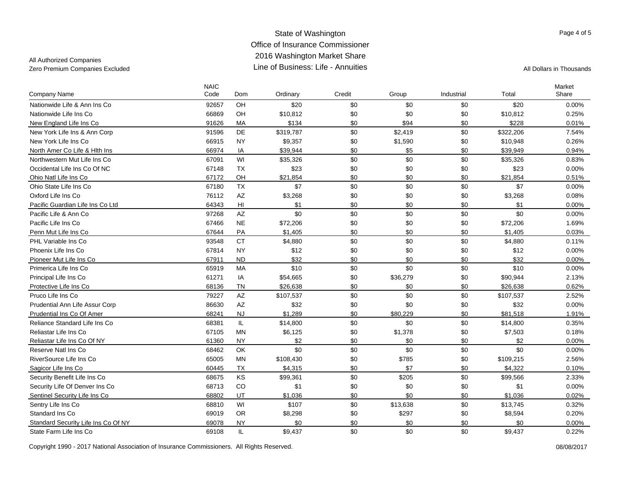## All Authorized Companies

| Company Name                        | <b>NAIC</b><br>Code | Dom                    | Ordinary  | Credit | Group    | Industrial | Total     | Market<br>Share |
|-------------------------------------|---------------------|------------------------|-----------|--------|----------|------------|-----------|-----------------|
| Nationwide Life & Ann Ins Co        | 92657               | OH                     | \$20      | \$0    | \$0      | \$0        | \$20      | 0.00%           |
| Nationwide Life Ins Co              | 66869               | OH                     | \$10,812  | \$0    | \$0      | \$0        | \$10,812  | 0.25%           |
| New England Life Ins Co.            | 91626               | MA                     | \$134     | \$0    | \$94     | \$0        | \$228     | 0.01%           |
| New York Life Ins & Ann Corp        | 91596               | DE                     | \$319,787 | \$0    | \$2,419  | \$0        | \$322,206 | 7.54%           |
| New York Life Ins Co                | 66915               | <b>NY</b>              | \$9,357   | \$0    | \$1,590  | \$0        | \$10,948  | 0.26%           |
| North Amer Co Life & Hith Ins       | 66974               | IA                     | \$39,944  | \$0    | \$5      | \$0        | \$39,949  | 0.94%           |
| Northwestern Mut Life Ins Co        | 67091               | WI                     | \$35,326  | \$0    | \$0      | \$0        | \$35,326  | 0.83%           |
| Occidental Life Ins Co Of NC        | 67148               | <b>TX</b>              | \$23      | \$0    | \$0      | \$0        | \$23      | 0.00%           |
| Ohio Natl Life Ins Co               | 67172               | OH                     | \$21,854  | \$0    | \$0      | \$0        | \$21,854  | 0.51%           |
| Ohio State Life Ins Co              | 67180               | <b>TX</b>              | \$7       | \$0    | \$0      | \$0        | \$7       | 0.00%           |
| Oxford Life Ins Co                  | 76112               | $\mathsf{A}\mathsf{Z}$ | \$3,268   | \$0    | \$0      | \$0        | \$3,268   | 0.08%           |
| Pacific Guardian Life Ins Co Ltd    | 64343               | HI                     | \$1       | \$0    | \$0      | \$0        | \$1       | 0.00%           |
| Pacific Life & Ann Co               | 97268               | AZ                     | \$0       | \$0    | \$0      | \$0        | \$0       | 0.00%           |
| Pacific Life Ins Co                 | 67466               | $N\mathsf{E}$          | \$72,206  | \$0    | \$0      | \$0        | \$72,206  | 1.69%           |
| Penn Mut Life Ins Co                | 67644               | PA                     | \$1,405   | \$0    | \$0      | \$0        | \$1,405   | 0.03%           |
| PHL Variable Ins Co                 | 93548               | <b>CT</b>              | \$4,880   | \$0    | \$0      | \$0        | \$4,880   | 0.11%           |
| Phoenix Life Ins Co                 | 67814               | <b>NY</b>              | \$12      | \$0    | \$0      | \$0        | \$12      | 0.00%           |
| Pioneer Mut Life Ins Co             | 67911               | <b>ND</b>              | \$32      | \$0    | \$0      | \$0        | \$32      | 0.00%           |
| Primerica Life Ins Co               | 65919               | MA                     | \$10      | \$0    | \$0      | \$0        | \$10      | 0.00%           |
| Principal Life Ins Co               | 61271               | IA                     | \$54,665  | \$0    | \$36,279 | \$0        | \$90,944  | 2.13%           |
| Protective Life Ins Co              | 68136               | <b>TN</b>              | \$26,638  | \$0    | \$0      | \$0        | \$26,638  | 0.62%           |
| Pruco Life Ins Co                   | 79227               | AZ                     | \$107,537 | \$0    | \$0      | \$0        | \$107,537 | 2.52%           |
| Prudential Ann Life Assur Corp      | 86630               | AZ                     | \$32      | \$0    | \$0      | \$0        | \$32      | 0.00%           |
| Prudential Ins Co Of Amer           | 68241               | <b>NJ</b>              | \$1,289   | \$0    | \$80,229 | \$0        | \$81,518  | 1.91%           |
| Reliance Standard Life Ins Co.      | 68381               | IL.                    | \$14,800  | \$0    | \$0      | \$0        | \$14,800  | 0.35%           |
| Reliastar Life Ins Co               | 67105               | <b>MN</b>              | \$6,125   | \$0    | \$1,378  | \$0        | \$7,503   | 0.18%           |
| Reliastar Life Ins Co Of NY         | 61360               | <b>NY</b>              | \$2       | \$0    | \$0      | \$0        | \$2       | 0.00%           |
| Reserve Natl Ins Co.                | 68462               | OK                     | \$0       | \$0    | \$0      | \$0        | \$0       | 0.00%           |
| RiverSource Life Ins Co             | 65005               | <b>MN</b>              | \$108,430 | \$0    | \$785    | \$0        | \$109,215 | 2.56%           |
| Sagicor Life Ins Co                 | 60445               | <b>TX</b>              | \$4,315   | \$0    | \$7      | \$0        | \$4,322   | 0.10%           |
| Security Benefit Life Ins Co        | 68675               | KS                     | \$99,361  | \$0    | \$205    | \$0        | \$99,566  | 2.33%           |
| Security Life Of Denver Ins Co      | 68713               | CO                     | \$1       | \$0    | \$0      | \$0        | \$1       | 0.00%           |
| Sentinel Security Life Ins Co       | 68802               | UT                     | \$1,036   | \$0    | \$0      | \$0        | \$1,036   | 0.02%           |
| Sentry Life Ins Co                  | 68810               | WI                     | \$107     | \$0    | \$13,638 | \$0        | \$13,745  | 0.32%           |
| Standard Ins Co                     | 69019               | <b>OR</b>              | \$8,298   | \$0    | \$297    | \$0        | \$8,594   | 0.20%           |
| Standard Security Life Ins Co Of NY | 69078               | <b>NY</b>              | \$0       | \$0    | \$0      | \$0        | \$0       | 0.00%           |
| State Farm Life Ins Co              | 69108               | IL                     | \$9,437   | \$0    | \$0      | \$0        | \$9,437   | 0.22%           |

Copyright 1990 - 2017 National Association of Insurance Commissioners. All Rights Reserved. 08/08/2017

Page 4 of 5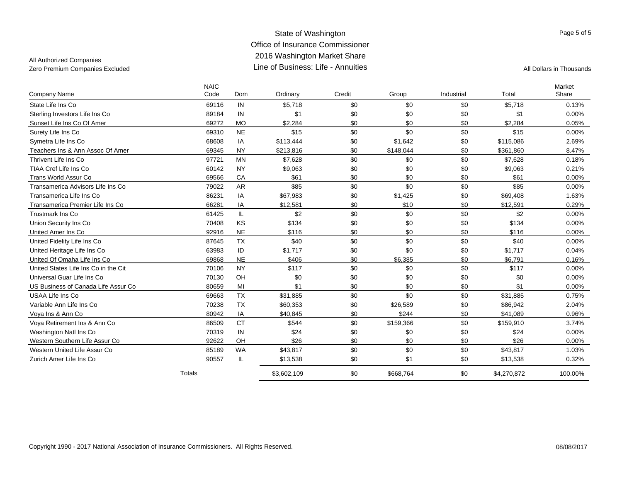### State of Washington Office of Insurance Commissioner 2016 Washington Market Share Line of Business: Life - AnnuitiesZero Premium Companies Excluded All Dollars in Thousands

### All Authorized Companies

|                                      | <b>NAIC</b> |           |             |        |           |            |             | Market   |
|--------------------------------------|-------------|-----------|-------------|--------|-----------|------------|-------------|----------|
| Company Name                         | Code        | Dom       | Ordinary    | Credit | Group     | Industrial | Total       | Share    |
| State Life Ins Co                    | 69116       | IN        | \$5.718     | \$0    | \$0       | \$0        | \$5.718     | 0.13%    |
| Sterling Investors Life Ins Co       | 89184       | IN        | \$1         | \$0    | \$0       | \$0        | \$1         | 0.00%    |
| Sunset Life Ins Co Of Amer           | 69272       | <b>MO</b> | \$2,284     | \$0    | \$0       | \$0        | \$2,284     | 0.05%    |
| Surety Life Ins Co                   | 69310       | <b>NE</b> | \$15        | \$0    | \$0       | \$0        | \$15        | 0.00%    |
| Symetra Life Ins Co                  | 68608       | IA        | \$113,444   | \$0    | \$1,642   | \$0        | \$115,086   | 2.69%    |
| Teachers Ins & Ann Assoc Of Amer     | 69345       | <b>NY</b> | \$213,816   | \$0    | \$148,044 | \$0        | \$361,860   | 8.47%    |
| Thrivent Life Ins Co                 | 97721       | <b>MN</b> | \$7,628     | \$0    | \$0       | \$0        | \$7,628     | 0.18%    |
| TIAA Cref Life Ins Co                | 60142       | <b>NY</b> | \$9,063     | \$0    | \$0       | \$0        | \$9,063     | 0.21%    |
| <b>Trans World Assur Co</b>          | 69566       | CA        | \$61        | \$0    | \$0       | \$0        | \$61        | 0.00%    |
| Transamerica Advisors Life Ins Co    | 79022       | <b>AR</b> | \$85        | \$0    | \$0       | \$0        | \$85        | 0.00%    |
| Transamerica Life Ins Co             | 86231       | IA        | \$67,983    | \$0    | \$1,425   | \$0        | \$69,408    | 1.63%    |
| Transamerica Premier Life Ins Co     | 66281       | IA        | \$12,581    | \$0    | \$10      | \$0        | \$12,591    | 0.29%    |
| <b>Trustmark Ins Co</b>              | 61425       | IL.       | \$2         | \$0    | \$0       | \$0        | \$2         | $0.00\%$ |
| Union Security Ins Co                | 70408       | KS        | \$134       | \$0    | \$0       | \$0        | \$134       | 0.00%    |
| United Amer Ins Co                   | 92916       | <b>NE</b> | \$116       | \$0    | \$0       | \$0        | \$116       | $0.00\%$ |
| United Fidelity Life Ins Co          | 87645       | <b>TX</b> | \$40        | \$0    | \$0       | \$0        | \$40        | 0.00%    |
| United Heritage Life Ins Co          | 63983       | ID        | \$1,717     | \$0    | \$0       | \$0        | \$1,717     | 0.04%    |
| United Of Omaha Life Ins Co          | 69868       | <b>NE</b> | \$406       | \$0    | \$6,385   | \$0        | \$6,791     | 0.16%    |
| United States Life Ins Co in the Cit | 70106       | <b>NY</b> | \$117       | \$0    | \$0       | \$0        | \$117       | 0.00%    |
| Universal Guar Life Ins Co           | 70130       | OH        | \$0         | \$0    | \$0       | \$0        | \$0         | 0.00%    |
| US Business of Canada Life Assur Co  | 80659       | MI        | \$1         | \$0    | \$0       | \$0        | \$1         | 0.00%    |
| USAA Life Ins Co                     | 69663       | <b>TX</b> | \$31,885    | \$0    | \$0       | \$0        | \$31.885    | 0.75%    |
| Variable Ann Life Ins Co             | 70238       | <b>TX</b> | \$60,353    | \$0    | \$26,589  | \$0        | \$86,942    | 2.04%    |
| Voya Ins & Ann Co                    | 80942       | IA        | \$40,845    | \$0    | \$244     | \$0        | \$41,089    | 0.96%    |
| Voya Retirement Ins & Ann Co         | 86509       | <b>CT</b> | \$544       | \$0    | \$159,366 | \$0        | \$159,910   | 3.74%    |
| Washington Natl Ins Co               | 70319       | IN        | \$24        | \$0    | \$0       | \$0        | \$24        | 0.00%    |
| Western Southern Life Assur Co       | 92622       | OH        | \$26        | \$0    | \$0       | \$0        | \$26        | $0.00\%$ |
| Western United Life Assur Co.        | 85189       | <b>WA</b> | \$43,817    | \$0    | \$0       | \$0        | \$43,817    | 1.03%    |
| Zurich Amer Life Ins Co              | 90557       | IL        | \$13,538    | \$0    | \$1       | \$0        | \$13,538    | 0.32%    |
|                                      | Totals      |           | \$3,602,109 | \$0    | \$668,764 | \$0        | \$4,270,872 | 100.00%  |

Page 5 of 5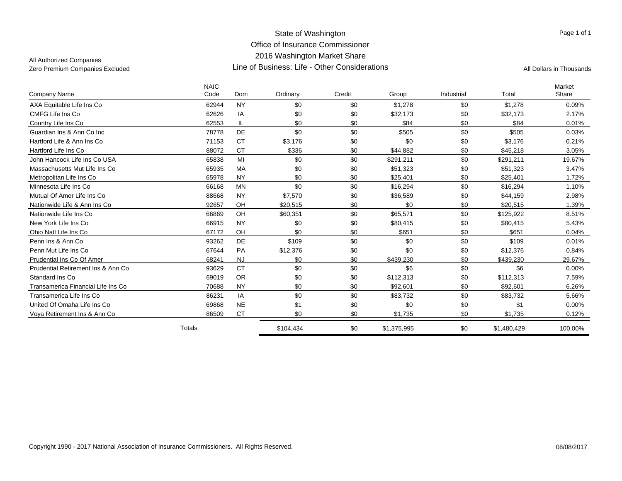All Authorized Companies

|                                     | <b>NAIC</b> |            |           |        |             |            |             | Market   |
|-------------------------------------|-------------|------------|-----------|--------|-------------|------------|-------------|----------|
| Company Name                        | Code        | <b>Dom</b> | Ordinary  | Credit | Group       | Industrial | Total       | Share    |
| AXA Equitable Life Ins Co           | 62944       | <b>NY</b>  | \$0       | \$0    | \$1,278     | \$0        | \$1,278     | 0.09%    |
| CMFG Life Ins Co                    | 62626       | IA         | \$0       | \$0    | \$32,173    | \$0        | \$32,173    | 2.17%    |
| Country Life Ins Co                 | 62553       | IL         | \$0       | \$0    | \$84        | \$0        | \$84        | 0.01%    |
| Guardian Ins & Ann Co Inc           | 78778       | <b>DE</b>  | \$0       | \$0    | \$505       | \$0        | \$505       | 0.03%    |
| Hartford Life & Ann Ins Co          | 71153       | <b>CT</b>  | \$3,176   | \$0    | \$0         | \$0        | \$3,176     | 0.21%    |
| Hartford Life Ins Co                | 88072       | <b>CT</b>  | \$336     | \$0    | \$44,882    | \$0        | \$45,218    | 3.05%    |
| John Hancock Life Ins Co USA        | 65838       | MI         | \$0       | \$0    | \$291,211   | \$0        | \$291,211   | 19.67%   |
| Massachusetts Mut Life Ins Co       | 65935       | MA         | \$0       | \$0    | \$51,323    | \$0        | \$51,323    | 3.47%    |
| Metropolitan Life Ins Co            | 65978       | <b>NY</b>  | \$0       | \$0    | \$25,401    | \$0        | \$25,401    | 1.72%    |
| Minnesota Life Ins Co               | 66168       | <b>MN</b>  | \$0       | \$0    | \$16,294    | \$0        | \$16,294    | 1.10%    |
| Mutual Of Amer Life Ins Co          | 88668       | <b>NY</b>  | \$7,570   | \$0    | \$36,589    | \$0        | \$44,159    | 2.98%    |
| Nationwide Life & Ann Ins Co        | 92657       | OH         | \$20,515  | \$0    | \$0         | \$0        | \$20,515    | 1.39%    |
| Nationwide Life Ins Co              | 66869       | OH         | \$60,351  | \$0    | \$65,571    | \$0        | \$125,922   | 8.51%    |
| New York Life Ins Co                | 66915       | <b>NY</b>  | \$0       | \$0    | \$80,415    | \$0        | \$80,415    | 5.43%    |
| Ohio Natl Life Ins Co               | 67172       | OH         | \$0       | \$0    | \$651       | \$0        | \$651       | 0.04%    |
| Penn Ins & Ann Co                   | 93262       | <b>DE</b>  | \$109     | \$0    | \$0         | \$0        | \$109       | 0.01%    |
| Penn Mut Life Ins Co                | 67644       | PA         | \$12,376  | \$0    | \$0         | \$0        | \$12,376    | 0.84%    |
| Prudential Ins Co Of Amer           | 68241       | <b>NJ</b>  | \$0       | \$0    | \$439,230   | \$0        | \$439,230   | 29.67%   |
| Prudential Retirement Ins & Ann Co. | 93629       | <b>CT</b>  | \$0       | \$0    | \$6         | \$0        | \$6         | $0.00\%$ |
| Standard Ins Co.                    | 69019       | <b>OR</b>  | \$0       | \$0    | \$112,313   | \$0        | \$112,313   | 7.59%    |
| Transamerica Financial Life Ins Co  | 70688       | <b>NY</b>  | \$0       | \$0    | \$92,601    | \$0        | \$92,601    | 6.26%    |
| Transamerica Life Ins Co            | 86231       | IA         | \$0       | \$0    | \$83,732    | \$0        | \$83,732    | 5.66%    |
| United Of Omaha Life Ins Co         | 69868       | <b>NE</b>  | \$1       | \$0    | \$0         | \$0        | \$1         | $0.00\%$ |
| Voya Retirement Ins & Ann Co        | 86509       | <b>CT</b>  | \$0       | \$0    | \$1,735     | \$0        | \$1,735     | 0.12%    |
|                                     | Totals      |            | \$104,434 | \$0    | \$1,375,995 | \$0        | \$1,480,429 | 100.00%  |

Page 1 of 1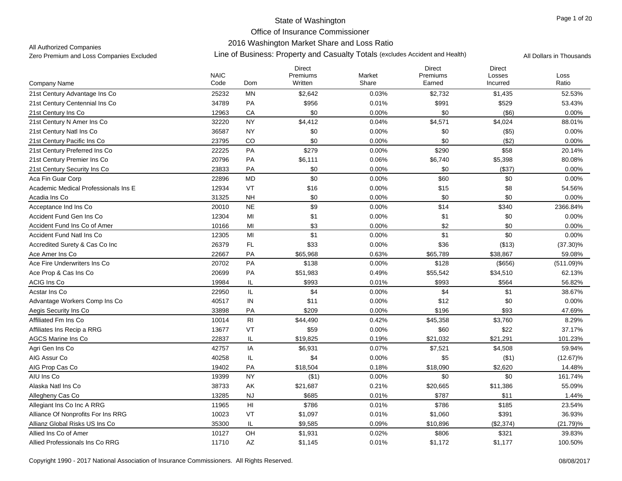## 2016 Washington Market Share and Loss Ratio

All Authorized Companies

|                                      | <b>NAIC</b> |                | <b>Direct</b><br>Premiums | Market | <b>Direct</b><br>Premiums | <b>Direct</b><br>Losses | Loss         |
|--------------------------------------|-------------|----------------|---------------------------|--------|---------------------------|-------------------------|--------------|
| Company Name                         | Code        | Dom            | Written                   | Share  | Earned                    | Incurred                | Ratio        |
| 21st Century Advantage Ins Co        | 25232       | MN             | \$2,642                   | 0.03%  | \$2,732                   | \$1,435                 | 52.53%       |
| 21st Century Centennial Ins Co       | 34789       | PA             | \$956                     | 0.01%  | \$991                     | \$529                   | 53.43%       |
| 21st Century Ins Co                  | 12963       | СA             | \$0                       | 0.00%  | \$0                       | $($ \$6)                | $0.00\%$     |
| 21st Century N Amer Ins Co           | 32220       | <b>NY</b>      | \$4,412                   | 0.04%  | \$4,571                   | \$4,024                 | 88.01%       |
| 21st Century Natl Ins Co             | 36587       | <b>NY</b>      | \$0                       | 0.00%  | \$0                       | $($ \$5)                | 0.00%        |
| 21st Century Pacific Ins Co          | 23795       | CO             | \$0                       | 0.00%  | \$0                       | (\$2)                   | 0.00%        |
| 21st Century Preferred Ins Co        | 22225       | PA             | \$279                     | 0.00%  | \$290                     | \$58                    | 20.14%       |
| 21st Century Premier Ins Co          | 20796       | PA             | \$6,111                   | 0.06%  | \$6,740                   | \$5,398                 | 80.08%       |
| 21st Century Security Ins Co         | 23833       | PA             | \$0                       | 0.00%  | \$0                       | (\$37)                  | 0.00%        |
| Aca Fin Guar Corp                    | 22896       | <b>MD</b>      | \$0                       | 0.00%  | \$60                      | \$0                     | 0.00%        |
| Academic Medical Professionals Ins E | 12934       | VT             | \$16                      | 0.00%  | \$15                      | \$8                     | 54.56%       |
| Acadia Ins Co                        | 31325       | <b>NH</b>      | \$0                       | 0.00%  | \$0                       | \$0                     | 0.00%        |
| Acceptance Ind Ins Co                | 20010       | <b>NE</b>      | \$9                       | 0.00%  | \$14                      | \$340                   | 2366.84%     |
| Accident Fund Gen Ins Co             | 12304       | MI             | \$1                       | 0.00%  | \$1                       | \$0                     | 0.00%        |
| Accident Fund Ins Co of Amer         | 10166       | MI             | \$3                       | 0.00%  | \$2                       | \$0                     | 0.00%        |
| <b>Accident Fund Natl Ins Co</b>     | 12305       | MI             | \$1                       | 0.00%  | \$1                       | \$0                     | 0.00%        |
| Accredited Surety & Cas Co Inc       | 26379       | FL             | \$33                      | 0.00%  | \$36                      | (\$13)                  | $(37.30)\%$  |
| Ace Amer Ins Co                      | 22667       | PA             | \$65,968                  | 0.63%  | \$65,789                  | \$38,867                | 59.08%       |
| Ace Fire Underwriters Ins Co         | 20702       | PA             | \$138                     | 0.00%  | \$128                     | (\$656)                 | $(511.09)\%$ |
| Ace Prop & Cas Ins Co                | 20699       | PA             | \$51,983                  | 0.49%  | \$55,542                  | \$34,510                | 62.13%       |
| ACIG Ins Co                          | 19984       | IL             | \$993                     | 0.01%  | \$993                     | \$564                   | 56.82%       |
| Acstar Ins Co                        | 22950       | IL.            | \$4                       | 0.00%  | \$4                       | \$1                     | 38.67%       |
| Advantage Workers Comp Ins Co        | 40517       | IN             | \$11                      | 0.00%  | \$12                      | \$0                     | 0.00%        |
| Aegis Security Ins Co.               | 33898       | PA             | \$209                     | 0.00%  | \$196                     | \$93                    | 47.69%       |
| Affiliated Fm Ins Co                 | 10014       | R <sub>l</sub> | \$44,490                  | 0.42%  | \$45,358                  | \$3,760                 | 8.29%        |
| Affiliates Ins Recip a RRG           | 13677       | VT             | \$59                      | 0.00%  | \$60                      | \$22                    | 37.17%       |
| <b>AGCS Marine Ins Co</b>            | 22837       | IL             | \$19,825                  | 0.19%  | \$21,032                  | \$21,291                | 101.23%      |
| Agri Gen Ins Co                      | 42757       | IA             | \$6,931                   | 0.07%  | \$7,521                   | \$4,508                 | 59.94%       |
| AIG Assur Co                         | 40258       | IL             | \$4                       | 0.00%  | \$5                       | ( \$1)                  | $(12.67)\%$  |
| AIG Prop Cas Co                      | 19402       | PA             | \$18,504                  | 0.18%  | \$18,090                  | \$2,620                 | 14.48%       |
| AIU Ins Co                           | 19399       | <b>NY</b>      | ( \$1)                    | 0.00%  | \$0                       | \$0                     | 161.74%      |
| Alaska Natl Ins Co                   | 38733       | AK             | \$21,687                  | 0.21%  | \$20,665                  | \$11,386                | 55.09%       |
| Allegheny Cas Co                     | 13285       | <b>NJ</b>      | \$685                     | 0.01%  | \$787                     | \$11                    | 1.44%        |
| Allegiant Ins Co Inc A RRG           | 11965       | H <sub>l</sub> | \$786                     | 0.01%  | \$786                     | \$185                   | 23.54%       |
| Alliance Of Nonprofits For Ins RRG   | 10023       | VT             | \$1,097                   | 0.01%  | \$1,060                   | \$391                   | 36.93%       |
| Allianz Global Risks US Ins Co       | 35300       | IL             | \$9,585                   | 0.09%  | \$10,896                  | (\$2,374)               | $(21.79)\%$  |
| Allied Ins Co of Amer                | 10127       | OH             | \$1,931                   | 0.02%  | \$806                     | \$321                   | 39.83%       |
| Allied Professionals Ins Co RRG      | 11710       | AZ             | \$1,145                   | 0.01%  | \$1,172                   | \$1,177                 | 100.50%      |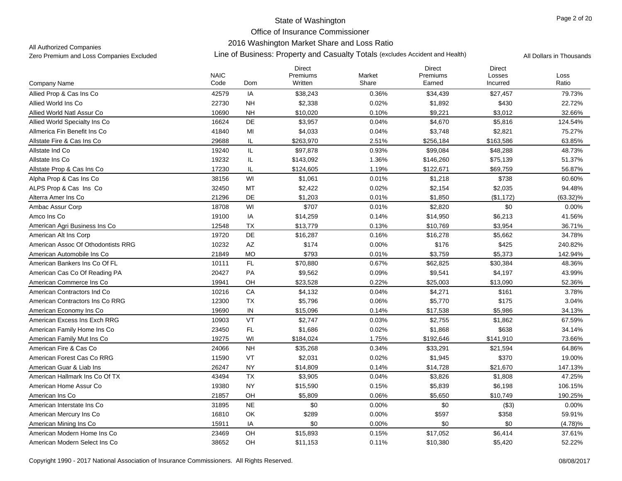## 2016 Washington Market Share and Loss Ratio

All Authorized Companies

|                                    | <b>NAIC</b> |            | <b>Direct</b><br>Premiums | Market | <b>Direct</b><br>Premiums | <b>Direct</b><br>Losses | Loss     |
|------------------------------------|-------------|------------|---------------------------|--------|---------------------------|-------------------------|----------|
| Company Name                       | Code        | Dom        | Written                   | Share  | Earned                    | Incurred                | Ratio    |
| Allied Prop & Cas Ins Co           | 42579       | IA         | \$38,243                  | 0.36%  | \$34,439                  | \$27,457                | 79.73%   |
| Allied World Ins Co.               | 22730       | <b>NH</b>  | \$2,338                   | 0.02%  | \$1,892                   | \$430                   | 22.72%   |
| Allied World Natl Assur Co.        | 10690       | <b>NH</b>  | \$10,020                  | 0.10%  | \$9,221                   | \$3,012                 | 32.66%   |
| Allied World Specialty Ins Co      | 16624       | DE         | \$3,957                   | 0.04%  | \$4,670                   | \$5,816                 | 124.54%  |
| Allmerica Fin Benefit Ins Co       | 41840       | MI         | \$4,033                   | 0.04%  | \$3,748                   | \$2,821                 | 75.27%   |
| Allstate Fire & Cas Ins Co         | 29688       | IL         | \$263,970                 | 2.51%  | \$256,184                 | \$163,586               | 63.85%   |
| Allstate Ind Co                    | 19240       | IL         | \$97,878                  | 0.93%  | \$99,084                  | \$48,288                | 48.73%   |
| Allstate Ins Co                    | 19232       | IL         | \$143,092                 | 1.36%  | \$146,260                 | \$75,139                | 51.37%   |
| Allstate Prop & Cas Ins Co         | 17230       | IL         | \$124,605                 | 1.19%  | \$122,671                 | \$69,759                | 56.87%   |
| Alpha Prop & Cas Ins Co            | 38156       | WI         | \$1,061                   | 0.01%  | \$1,218                   | \$738                   | 60.60%   |
| ALPS Prop & Cas Ins Co             | 32450       | MT         | \$2,422                   | 0.02%  | \$2,154                   | \$2,035                 | 94.48%   |
| Alterra Amer Ins Co                | 21296       | DE         | \$1,203                   | 0.01%  | \$1,850                   | (\$1,172)               | (63.32)% |
| Ambac Assur Corp                   | 18708       | WI         | \$707                     | 0.01%  | \$2,820                   | \$0                     | 0.00%    |
| Amco Ins Co                        | 19100       | IA         | \$14,259                  | 0.14%  | \$14,950                  | \$6,213                 | 41.56%   |
| American Agri Business Ins Co      | 12548       | TX         | \$13,779                  | 0.13%  | \$10,769                  | \$3,954                 | 36.71%   |
| American Alt Ins Corp              | 19720       | DE         | \$16,287                  | 0.16%  | \$16,278                  | \$5,662                 | 34.78%   |
| American Assoc Of Othodontists RRG | 10232       | AZ         | \$174                     | 0.00%  | \$176                     | \$425                   | 240.82%  |
| American Automobile Ins Co         | 21849       | <b>MO</b>  | \$793                     | 0.01%  | \$3,759                   | \$5,373                 | 142.94%  |
| American Bankers Ins Co Of FL      | 10111       | FL         | \$70,880                  | 0.67%  | \$62,825                  | \$30,384                | 48.36%   |
| American Cas Co Of Reading PA      | 20427       | PA         | \$9,562                   | 0.09%  | \$9,541                   | \$4,197                 | 43.99%   |
| American Commerce Ins Co           | 19941       | OH         | \$23,528                  | 0.22%  | \$25,003                  | \$13,090                | 52.36%   |
| American Contractors Ind Co        | 10216       | ${\sf CA}$ | \$4,132                   | 0.04%  | \$4,271                   | \$161                   | 3.78%    |
| American Contractors Ins Co RRG    | 12300       | <b>TX</b>  | \$5,796                   | 0.06%  | \$5,770                   | \$175                   | 3.04%    |
| American Economy Ins Co            | 19690       | IN         | \$15,096                  | 0.14%  | \$17,538                  | \$5,986                 | 34.13%   |
| American Excess Ins Exch RRG       | 10903       | VT         | \$2,747                   | 0.03%  | \$2,755                   | \$1,862                 | 67.59%   |
| American Family Home Ins Co        | 23450       | FL         | \$1,686                   | 0.02%  | \$1,868                   | \$638                   | 34.14%   |
| American Family Mut Ins Co         | 19275       | WI         | \$184,024                 | 1.75%  | \$192,646                 | \$141,910               | 73.66%   |
| American Fire & Cas Co             | 24066       | <b>NH</b>  | \$35,268                  | 0.34%  | \$33,291                  | \$21,594                | 64.86%   |
| American Forest Cas Co RRG         | 11590       | VT         | \$2,031                   | 0.02%  | \$1,945                   | \$370                   | 19.00%   |
| American Guar & Liab Ins           | 26247       | <b>NY</b>  | \$14,809                  | 0.14%  | \$14,728                  | \$21,670                | 147.13%  |
| American Hallmark Ins Co Of TX     | 43494       | <b>TX</b>  | \$3,905                   | 0.04%  | \$3,826                   | \$1,808                 | 47.25%   |
| American Home Assur Co             | 19380       | <b>NY</b>  | \$15,590                  | 0.15%  | \$5,839                   | \$6,198                 | 106.15%  |
| American Ins Co                    | 21857       | OH         | \$5,809                   | 0.06%  | \$5,650                   | \$10,749                | 190.25%  |
| American Interstate Ins Co         | 31895       | <b>NE</b>  | \$0                       | 0.00%  | \$0                       | (\$3)                   | 0.00%    |
| American Mercury Ins Co            | 16810       | OK         | \$289                     | 0.00%  | \$597                     | \$358                   | 59.91%   |
| American Mining Ins Co             | 15911       | IA         | \$0                       | 0.00%  | \$0                       | \$0                     | (4.78)%  |
| American Modern Home Ins Co        | 23469       | OH         | \$15,893                  | 0.15%  | \$17,052                  | \$6,414                 | 37.61%   |
| American Modern Select Ins Co.     | 38652       | OH         | \$11,153                  | 0.11%  | \$10,380                  | \$5,420                 | 52.22%   |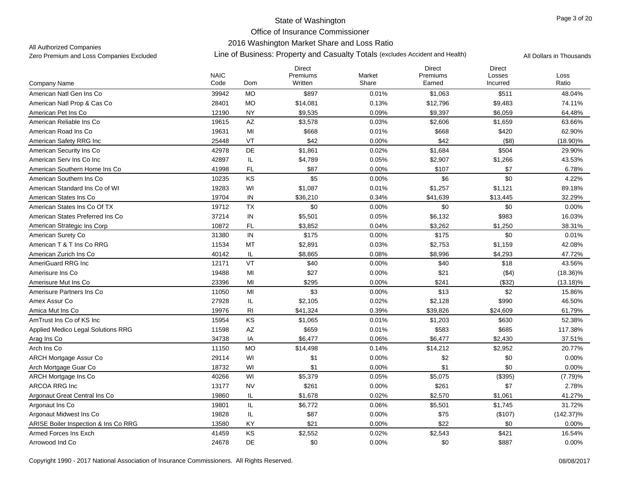## 2016 Washington Market Share and Loss Ratio

All Authorized Companies

|                                      | <b>NAIC</b> |                        | <b>Direct</b><br>Premiums | Market | <b>Direct</b><br>Premiums | <b>Direct</b><br>Losses | Loss         |
|--------------------------------------|-------------|------------------------|---------------------------|--------|---------------------------|-------------------------|--------------|
| Company Name                         | Code        | Dom                    | Written                   | Share  | Earned                    | Incurred                | Ratio        |
| American Natl Gen Ins Co             | 39942       | <b>MO</b>              | \$897                     | 0.01%  | \$1,063                   | \$511                   | 48.04%       |
| American Natl Prop & Cas Co          | 28401       | <b>MO</b>              | \$14,081                  | 0.13%  | \$12,796                  | \$9,483                 | 74.11%       |
| American Pet Ins Co                  | 12190       | <b>NY</b>              | \$9,535                   | 0.09%  | \$9,397                   | \$6,059                 | 64.48%       |
| American Reliable Ins Co             | 19615       | AZ                     | \$3,578                   | 0.03%  | \$2,606                   | \$1,659                 | 63.66%       |
| American Road Ins Co                 | 19631       | MI                     | \$668                     | 0.01%  | \$668                     | \$420                   | 62.90%       |
| American Safety RRG Inc              | 25448       | VT                     | \$42                      | 0.00%  | \$42                      | ( \$8)                  | $(18.90)\%$  |
| American Security Ins Co.            | 42978       | DE                     | \$1,861                   | 0.02%  | \$1,684                   | \$504                   | 29.90%       |
| American Serv Ins Co Inc             | 42897       | IL                     | \$4,789                   | 0.05%  | \$2,907                   | \$1,266                 | 43.53%       |
| American Southern Home Ins Co        | 41998       | FL                     | \$87                      | 0.00%  | \$107                     | \$7                     | 6.78%        |
| American Southern Ins Co             | 10235       | KS                     | \$5                       | 0.00%  | \$6                       | \$0                     | 4.22%        |
| American Standard Ins Co of WI       | 19283       | WI                     | \$1,087                   | 0.01%  | \$1,257                   | \$1,121                 | 89.18%       |
| American States Ins Co               | 19704       | IN                     | \$36,210                  | 0.34%  | \$41,639                  | \$13,445                | 32.29%       |
| American States Ins Co Of TX         | 19712       | <b>TX</b>              | \$0                       | 0.00%  | \$0                       | \$0                     | 0.00%        |
| American States Preferred Ins Co     | 37214       | IN                     | \$5,501                   | 0.05%  | \$6,132                   | \$983                   | 16.03%       |
| American Strategic Ins Corp          | 10872       | FL                     | \$3,852                   | 0.04%  | \$3,262                   | \$1,250                 | 38.31%       |
| American Surety Co                   | 31380       | IN                     | \$175                     | 0.00%  | \$175                     | \$0                     | 0.01%        |
| American T & T Ins Co RRG            | 11534       | MT                     | \$2,891                   | 0.03%  | \$2,753                   | \$1,159                 | 42.08%       |
| American Zurich Ins Co               | 40142       | IL                     | \$8,865                   | 0.08%  | \$8,996                   | \$4,293                 | 47.72%       |
| AmeriGuard RRG Inc.                  | 12171       | VT                     | \$40                      | 0.00%  | \$40                      | \$18                    | 43.56%       |
| Amerisure Ins Co                     | 19488       | MI                     | \$27                      | 0.00%  | \$21                      | (\$4)                   | $(18.36)\%$  |
| Amerisure Mut Ins Co                 | 23396       | MI                     | \$295                     | 0.00%  | \$241                     | (\$32)                  | $(13.18)\%$  |
| Amerisure Partners Ins Co            | 11050       | MI                     | \$3                       | 0.00%  | \$13                      | \$2                     | 15.86%       |
| Amex Assur Co                        | 27928       | IL                     | \$2,105                   | 0.02%  | \$2,128                   | \$990                   | 46.50%       |
| Amica Mut Ins Co                     | 19976       | R <sub>l</sub>         | \$41,324                  | 0.39%  | \$39,826                  | \$24,609                | 61.79%       |
| AmTrust Ins Co of KS Inc.            | 15954       | KS                     | \$1,065                   | 0.01%  | \$1,203                   | \$630                   | 52.38%       |
| Applied Medico Legal Solutions RRG   | 11598       | $\mathsf{A}\mathsf{Z}$ | \$659                     | 0.01%  | \$583                     | \$685                   | 117.38%      |
| Arag Ins Co                          | 34738       | IA                     | \$6,477                   | 0.06%  | \$6,477                   | \$2,430                 | 37.51%       |
| Arch Ins Co                          | 11150       | <b>MO</b>              | \$14,498                  | 0.14%  | \$14,212                  | \$2,952                 | 20.77%       |
| <b>ARCH Mortgage Assur Co</b>        | 29114       | WI                     | \$1                       | 0.00%  | \$2                       | \$0                     | 0.00%        |
| Arch Mortgage Guar Co                | 18732       | WI                     | \$1                       | 0.00%  | \$1                       | \$0                     | 0.00%        |
| <b>ARCH Mortgage Ins Co</b>          | 40266       | WI                     | \$5,379                   | 0.05%  | \$5,075                   | (\$395)                 | (7.79)%      |
| <b>ARCOA RRG Inc</b>                 | 13177       | <b>NV</b>              | \$261                     | 0.00%  | \$261                     | \$7                     | 2.78%        |
| Argonaut Great Central Ins Co        | 19860       | IL                     | \$1,678                   | 0.02%  | \$2,570                   | \$1,061                 | 41.27%       |
| Argonaut Ins Co                      | 19801       | IL                     | \$6,772                   | 0.06%  | \$5,501                   | \$1,745                 | 31.72%       |
| Argonaut Midwest Ins Co              | 19828       | IL                     | \$87                      | 0.00%  | \$75                      | (\$107)                 | $(142.37)\%$ |
| ARISE Boiler Inspection & Ins Co RRG | 13580       | KY                     | \$21                      | 0.00%  | \$22                      | \$0                     | $0.00\%$     |
| Armed Forces Ins Exch                | 41459       | KS                     | \$2,552                   | 0.02%  | \$2,543                   | \$421                   | 16.54%       |
| Arrowood Ind Co                      | 24678       | <b>DE</b>              | \$0                       | 0.00%  | \$0                       | \$887                   | 0.00%        |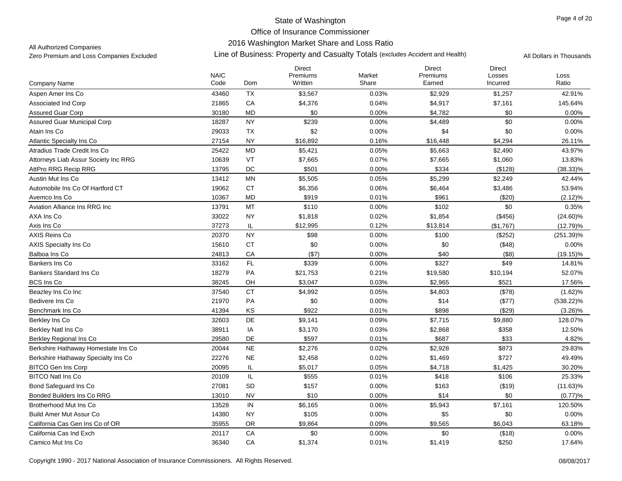## 2016 Washington Market Share and Loss Ratio

All Authorized Companies

|                                      | <b>NAIC</b> |           | <b>Direct</b><br>Premiums | Market | <b>Direct</b><br>Premiums | <b>Direct</b><br>Losses | Loss         |
|--------------------------------------|-------------|-----------|---------------------------|--------|---------------------------|-------------------------|--------------|
| Company Name                         | Code        | Dom       | Written                   | Share  | Earned                    | Incurred                | Ratio        |
| Aspen Amer Ins Co                    | 43460       | TX        | \$3,567                   | 0.03%  | \$2,929                   | \$1,257                 | 42.91%       |
| <b>Associated Ind Corp</b>           | 21865       | CA        | \$4,376                   | 0.04%  | \$4,917                   | \$7,161                 | 145.64%      |
| <b>Assured Guar Corp</b>             | 30180       | <b>MD</b> | \$0                       | 0.00%  | \$4,782                   | \$0                     | 0.00%        |
| <b>Assured Guar Municipal Corp</b>   | 18287       | <b>NY</b> | \$239                     | 0.00%  | \$4,489                   | \$0                     | 0.00%        |
| Atain Ins Co                         | 29033       | <b>TX</b> | \$2                       | 0.00%  | \$4                       | \$0                     | 0.00%        |
| Atlantic Specialty Ins Co            | 27154       | <b>NY</b> | \$16,892                  | 0.16%  | \$16,448                  | \$4,294                 | 26.11%       |
| Atradius Trade Credit Ins Co         | 25422       | <b>MD</b> | \$5,421                   | 0.05%  | \$5,663                   | \$2,490                 | 43.97%       |
| Attorneys Liab Assur Society Inc RRG | 10639       | VT        | \$7,665                   | 0.07%  | \$7,665                   | \$1,060                 | 13.83%       |
| AttPro RRG Recip RRG                 | 13795       | DC        | \$501                     | 0.00%  | \$334                     | (\$128)                 | $(38.33)\%$  |
| Austin Mut Ins Co                    | 13412       | <b>MN</b> | \$5,505                   | 0.05%  | \$5,299                   | \$2,249                 | 42.44%       |
| Automobile Ins Co Of Hartford CT     | 19062       | <b>CT</b> | \$6,356                   | 0.06%  | \$6,464                   | \$3,486                 | 53.94%       |
| Avemco Ins Co                        | 10367       | MD        | \$919                     | 0.01%  | \$961                     | (\$20)                  | $(2.12)\%$   |
| Aviation Alliance Ins RRG Inc        | 13791       | MT        | \$110                     | 0.00%  | \$102                     | \$0                     | 0.35%        |
| AXA Ins Co                           | 33022       | <b>NY</b> | \$1,818                   | 0.02%  | \$1,854                   | (\$456)                 | $(24.60)\%$  |
| Axis Ins Co                          | 37273       | IL.       | \$12,995                  | 0.12%  | \$13,814                  | (\$1,767)               | $(12.79)\%$  |
| AXIS Reins Co                        | 20370       | <b>NY</b> | \$98                      | 0.00%  | \$100                     | (\$252)                 | $(251.39)\%$ |
| <b>AXIS Specialty Ins Co</b>         | 15610       | <b>CT</b> | \$0                       | 0.00%  | \$0                       | (\$48)                  | 0.00%        |
| Balboa Ins Co                        | 24813       | CA        | (\$7)                     | 0.00%  | \$40                      | ( \$8)                  | $(19.15)\%$  |
| Bankers Ins Co                       | 33162       | FL        | \$339                     | 0.00%  | \$327                     | \$49                    | 14.81%       |
| <b>Bankers Standard Ins Co</b>       | 18279       | PA        | \$21,753                  | 0.21%  | \$19,580                  | \$10,194                | 52.07%       |
| <b>BCS Ins Co</b>                    | 38245       | OH        | \$3,047                   | 0.03%  | \$2,965                   | \$521                   | 17.56%       |
| Beazley Ins Co Inc                   | 37540       | <b>CT</b> | \$4,992                   | 0.05%  | \$4,803                   | (\$78)                  | (1.62)%      |
| Bedivere Ins Co                      | 21970       | PA        | \$0                       | 0.00%  | \$14                      | (\$77)                  | $(538.22)\%$ |
| Benchmark Ins Co                     | 41394       | KS        | \$922                     | 0.01%  | \$898                     | (\$29)                  | $(3.26)\%$   |
| Berkley Ins Co                       | 32603       | DE        | \$9,141                   | 0.09%  | \$7,715                   | \$9,880                 | 128.07%      |
| Berkley Natl Ins Co                  | 38911       | IA        | \$3,170                   | 0.03%  | \$2,868                   | \$358                   | 12.50%       |
| Berkley Regional Ins Co              | 29580       | <b>DE</b> | \$597                     | 0.01%  | \$687                     | \$33                    | 4.82%        |
| Berkshire Hathaway Homestate Ins Co  | 20044       | $\sf NE$  | \$2,276                   | 0.02%  | \$2,928                   | \$873                   | 29.83%       |
| Berkshire Hathaway Specialty Ins Co  | 22276       | <b>NE</b> | \$2,458                   | 0.02%  | \$1,469                   | \$727                   | 49.49%       |
| BITCO Gen Ins Corp                   | 20095       | IL        | \$5,017                   | 0.05%  | \$4,718                   | \$1,425                 | 30.20%       |
| <b>BITCO Natl Ins Co</b>             | 20109       | $\sf IL$  | \$555                     | 0.01%  | \$418                     | \$106                   | 25.33%       |
| <b>Bond Safequard Ins Co</b>         | 27081       | <b>SD</b> | \$157                     | 0.00%  | \$163                     | (\$19)                  | $(11.63)\%$  |
| Bonded Builders Ins Co RRG           | 13010       | <b>NV</b> | \$10                      | 0.00%  | \$14                      | \$0                     | (0.77)%      |
| Brotherhood Mut Ins Co               | 13528       | IN        | \$6,165                   | 0.06%  | \$5,943                   | \$7,161                 | 120.50%      |
| <b>Build Amer Mut Assur Co</b>       | 14380       | NY        | \$105                     | 0.00%  | \$5                       | \$0                     | 0.00%        |
| California Cas Gen Ins Co of OR      | 35955       | OR        | \$9,864                   | 0.09%  | \$9,565                   | \$6,043                 | 63.18%       |
| California Cas Ind Exch              | 20117       | CA        | \$0                       | 0.00%  | \$0                       | (\$18)                  | 0.00%        |
| Camico Mut Ins Co                    | 36340       | CA        | \$1,374                   | 0.01%  | \$1,419                   | \$250                   | 17.64%       |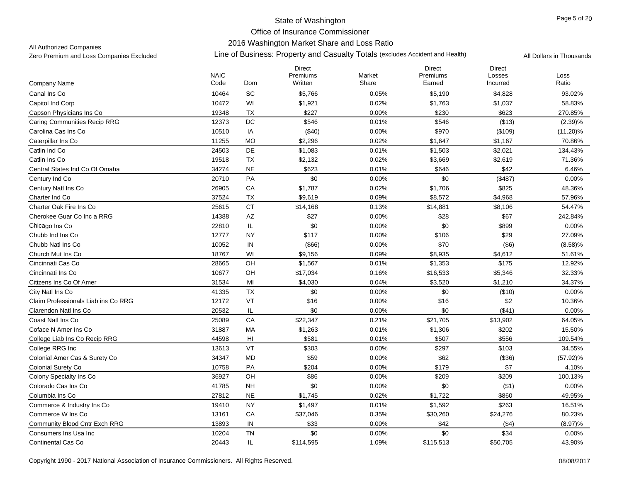## 2016 Washington Market Share and Loss Ratio

All Authorized Companies

|                                     | <b>NAIC</b> |                        | Direct<br>Premiums | Market | <b>Direct</b><br>Premiums | <b>Direct</b><br>Losses | Loss        |
|-------------------------------------|-------------|------------------------|--------------------|--------|---------------------------|-------------------------|-------------|
| Company Name                        | Code        | Dom                    | Written            | Share  | Earned                    | Incurred                | Ratio       |
| Canal Ins Co                        | 10464       | SC                     | \$5,766            | 0.05%  | \$5,190                   | \$4,828                 | 93.02%      |
| Capitol Ind Corp                    | 10472       | WI                     | \$1,921            | 0.02%  | \$1,763                   | \$1,037                 | 58.83%      |
| Capson Physicians Ins Co            | 19348       | TX                     | \$227              | 0.00%  | \$230                     | \$623                   | 270.85%     |
| <b>Caring Communities Recip RRG</b> | 12373       | $\mathsf{DC}$          | \$546              | 0.01%  | \$546                     | (\$13)                  | (2.39)%     |
| Carolina Cas Ins Co                 | 10510       | IA                     | (\$40)             | 0.00%  | \$970                     | (\$109)                 | $(11.20)\%$ |
| Caterpillar Ins Co                  | 11255       | <b>MO</b>              | \$2,296            | 0.02%  | \$1,647                   | \$1,167                 | 70.86%      |
| Catlin Ind Co                       | 24503       | DE                     | \$1,083            | 0.01%  | \$1,503                   | \$2,021                 | 134.43%     |
| Catlin Ins Co                       | 19518       | TX                     | \$2,132            | 0.02%  | \$3,669                   | \$2,619                 | 71.36%      |
| Central States Ind Co Of Omaha      | 34274       | <b>NE</b>              | \$623              | 0.01%  | \$646                     | \$42                    | 6.46%       |
| Century Ind Co                      | 20710       | PA                     | \$0                | 0.00%  | \$0                       | (\$487)                 | 0.00%       |
| Century Natl Ins Co                 | 26905       | CA                     | \$1,787            | 0.02%  | \$1,706                   | \$825                   | 48.36%      |
| Charter Ind Co                      | 37524       | TX                     | \$9,619            | 0.09%  | \$8,572                   | \$4,968                 | 57.96%      |
| Charter Oak Fire Ins Co             | 25615       | <b>CT</b>              | \$14,168           | 0.13%  | \$14,881                  | \$8,106                 | 54.47%      |
| Cherokee Guar Co Inc a RRG          | 14388       | $\mathsf{A}\mathsf{Z}$ | \$27               | 0.00%  | \$28                      | \$67                    | 242.84%     |
| Chicago Ins Co                      | 22810       | IL                     | \$0                | 0.00%  | \$0                       | \$899                   | 0.00%       |
| Chubb Ind Ins Co.                   | 12777       | NY                     | \$117              | 0.00%  | \$106                     | \$29                    | 27.09%      |
| Chubb Natl Ins Co.                  | 10052       | IN                     | (\$66)             | 0.00%  | \$70                      | $($ \$6)                | (8.58)%     |
| Church Mut Ins Co                   | 18767       | WI                     | \$9,156            | 0.09%  | \$8,935                   | \$4,612                 | 51.61%      |
| Cincinnati Cas Co                   | 28665       | OH                     | \$1,567            | 0.01%  | \$1,353                   | \$175                   | 12.92%      |
| Cincinnati Ins Co                   | 10677       | OH                     | \$17,034           | 0.16%  | \$16,533                  | \$5,346                 | 32.33%      |
| Citizens Ins Co Of Amer             | 31534       | MI                     | \$4,030            | 0.04%  | \$3,520                   | \$1,210                 | 34.37%      |
| City Natl Ins Co                    | 41335       | <b>TX</b>              | \$0                | 0.00%  | \$0                       | (\$10)                  | 0.00%       |
| Claim Professionals Liab ins Co RRG | 12172       | VT                     | \$16               | 0.00%  | \$16                      | \$2                     | 10.36%      |
| Clarendon Natl Ins Co               | 20532       | IL                     | \$0                | 0.00%  | \$0                       | (\$41)                  | 0.00%       |
| Coast Natl Ins Co                   | 25089       | CA                     | \$22,347           | 0.21%  | \$21,705                  | \$13,902                | 64.05%      |
| Coface N Amer Ins Co                | 31887       | MA                     | \$1,263            | 0.01%  | \$1,306                   | \$202                   | 15.50%      |
| College Liab Ins Co Recip RRG       | 44598       | H <sub>II</sub>        | \$581              | 0.01%  | \$507                     | \$556                   | 109.54%     |
| College RRG Inc                     | 13613       | VT                     | \$303              | 0.00%  | \$297                     | \$103                   | 34.55%      |
| Colonial Amer Cas & Surety Co       | 34347       | MD                     | \$59               | 0.00%  | \$62                      | (\$36)                  | $(57.92)\%$ |
| Colonial Surety Co                  | 10758       | PA                     | \$204              | 0.00%  | \$179                     | \$7                     | 4.10%       |
| Colony Specialty Ins Co             | 36927       | OH                     | \$86               | 0.00%  | \$209                     | \$209                   | 100.13%     |
| Colorado Cas Ins Co                 | 41785       | NH                     | \$0                | 0.00%  | \$0                       | (\$1)                   | 0.00%       |
| Columbia Ins Co                     | 27812       | <b>NE</b>              | \$1,745            | 0.02%  | \$1,722                   | \$860                   | 49.95%      |
| Commerce & Industry Ins Co          | 19410       | <b>NY</b>              | \$1,497            | 0.01%  | \$1,592                   | \$263                   | 16.51%      |
| Commerce W Ins Co                   | 13161       | CA                     | \$37,046           | 0.35%  | \$30,260                  | \$24,276                | 80.23%      |
| Community Blood Cntr Exch RRG       | 13893       | IN                     | \$33               | 0.00%  | \$42                      | $($ \$4)                | (8.97)%     |
| Consumers Ins Usa Inc               | 10204       | <b>TN</b>              | \$0                | 0.00%  | \$0                       | \$34                    | 0.00%       |
| <b>Continental Cas Co</b>           | 20443       | IL                     | \$114,595          | 1.09%  | \$115,513                 | \$50,705                | 43.90%      |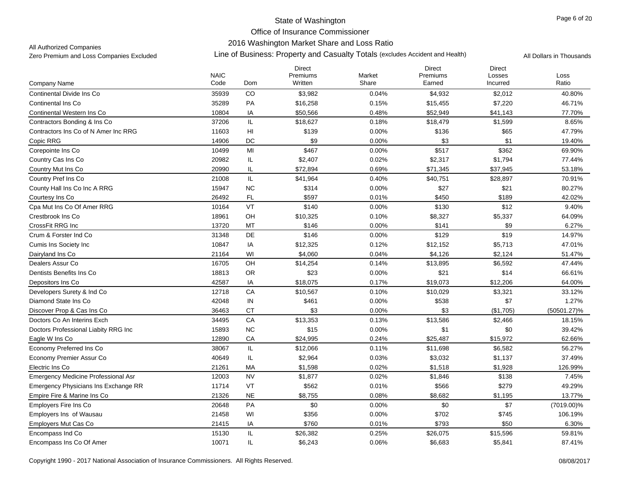## 2016 Washington Market Share and Loss Ratio

All Authorized Companies

|                                             | <b>NAIC</b> |           | <b>Direct</b><br>Premiums | Market   | <b>Direct</b><br>Premiums | <b>Direct</b><br>Losses | Loss          |
|---------------------------------------------|-------------|-----------|---------------------------|----------|---------------------------|-------------------------|---------------|
| Company Name                                | Code        | Dom       | Written                   | Share    | Earned                    | Incurred                | Ratio         |
| Continental Divide Ins Co                   | 35939       | CO        | \$3,982                   | 0.04%    | \$4,932                   | \$2,012                 | 40.80%        |
| <b>Continental Ins Co</b>                   | 35289       | PA        | \$16,258                  | 0.15%    | \$15,455                  | \$7,220                 | 46.71%        |
| Continental Western Ins Co                  | 10804       | IA        | \$50,566                  | 0.48%    | \$52,949                  | \$41,143                | 77.70%        |
| Contractors Bonding & Ins Co                | 37206       | IL.       | \$18,627                  | 0.18%    | \$18,479                  | \$1,599                 | 8.65%         |
| Contractors Ins Co of N Amer Inc RRG        | 11603       | HI        | \$139                     | $0.00\%$ | \$136                     | \$65                    | 47.79%        |
| Copic RRG                                   | 14906       | DC        | \$9                       | 0.00%    | \$3                       | \$1                     | 19.40%        |
| Corepointe Ins Co                           | 10499       | MI        | \$467                     | 0.00%    | \$517                     | \$362                   | 69.90%        |
| Country Cas Ins Co                          | 20982       | IL        | \$2,407                   | 0.02%    | \$2,317                   | \$1,794                 | 77.44%        |
| Country Mut Ins Co                          | 20990       | IL        | \$72,894                  | 0.69%    | \$71,345                  | \$37,945                | 53.18%        |
| Country Pref Ins Co                         | 21008       | IL        | \$41,964                  | 0.40%    | \$40,751                  | \$28,897                | 70.91%        |
| County Hall Ins Co Inc A RRG                | 15947       | <b>NC</b> | \$314                     | 0.00%    | \$27                      | \$21                    | 80.27%        |
| Courtesy Ins Co.                            | 26492       | <b>FL</b> | \$597                     | 0.01%    | \$450                     | \$189                   | 42.02%        |
| Cpa Mut Ins Co Of Amer RRG                  | 10164       | VT        | \$140                     | 0.00%    | \$130                     | \$12                    | 9.40%         |
| Crestbrook Ins Co                           | 18961       | OH        | \$10,325                  | 0.10%    | \$8,327                   | \$5,337                 | 64.09%        |
| CrossFit RRG Inc                            | 13720       | MT        | \$146                     | 0.00%    | \$141                     | \$9                     | 6.27%         |
| Crum & Forster Ind Co                       | 31348       | DE        | \$146                     | 0.00%    | \$129                     | \$19                    | 14.97%        |
| Cumis Ins Society Inc.                      | 10847       | IA        | \$12,325                  | 0.12%    | \$12,152                  | \$5,713                 | 47.01%        |
| Dairyland Ins Co                            | 21164       | WI        | \$4,060                   | 0.04%    | \$4,126                   | \$2,124                 | 51.47%        |
| Dealers Assur Co                            | 16705       | OH        | \$14,254                  | 0.14%    | \$13,895                  | \$6,592                 | 47.44%        |
| Dentists Benefits Ins Co                    | 18813       | <b>OR</b> | \$23                      | 0.00%    | \$21                      | \$14                    | 66.61%        |
| Depositors Ins Co                           | 42587       | IA        | \$18,075                  | 0.17%    | \$19,073                  | \$12,206                | 64.00%        |
| Developers Surety & Ind Co.                 | 12718       | CA        | \$10,567                  | 0.10%    | \$10,029                  | \$3,321                 | 33.12%        |
| Diamond State Ins Co                        | 42048       | IN        | \$461                     | 0.00%    | \$538                     | \$7                     | 1.27%         |
| Discover Prop & Cas Ins Co                  | 36463       | <b>CT</b> | \$3                       | 0.00%    | \$3                       | (\$1,705)               | (50501.27)%   |
| Doctors Co An Interins Exch                 | 34495       | CA        | \$13,353                  | 0.13%    | \$13,586                  | \$2,466                 | 18.15%        |
| Doctors Professional Liabity RRG Inc        | 15893       | <b>NC</b> | \$15                      | 0.00%    | \$1                       | \$0                     | 39.42%        |
| Eagle W Ins Co                              | 12890       | CA        | \$24,995                  | 0.24%    | \$25,487                  | \$15,972                | 62.66%        |
| Economy Preferred Ins Co                    | 38067       | IL        | \$12,066                  | 0.11%    | \$11,698                  | \$6,582                 | 56.27%        |
| Economy Premier Assur Co                    | 40649       | IL        | \$2,964                   | 0.03%    | \$3,032                   | \$1,137                 | 37.49%        |
| Electric Ins Co                             | 21261       | МA        | \$1,598                   | 0.02%    | \$1,518                   | \$1,928                 | 126.99%       |
| <b>Emergency Medicine Professional Asr</b>  | 12003       | <b>NV</b> | \$1,877                   | 0.02%    | \$1,846                   | \$138                   | 7.45%         |
| <b>Emergency Physicians Ins Exchange RR</b> | 11714       | VT        | \$562                     | 0.01%    | \$566                     | \$279                   | 49.29%        |
| Empire Fire & Marine Ins Co                 | 21326       | <b>NE</b> | \$8,755                   | 0.08%    | \$8,682                   | \$1,195                 | 13.77%        |
| Emplovers Fire Ins Co                       | 20648       | PA        | \$0                       | 0.00%    | \$0                       | \$7                     | $(7019.00)\%$ |
| <b>Employers Ins of Wausau</b>              | 21458       | WI        | \$356                     | 0.00%    | \$702                     | \$745                   | 106.19%       |
| Employers Mut Cas Co                        | 21415       | IA        | \$760                     | 0.01%    | \$793                     | \$50                    | 6.30%         |
| Encompass Ind Co                            | 15130       | IL        | \$26,382                  | 0.25%    | \$26,075                  | \$15,596                | 59.81%        |
| Encompass Ins Co Of Amer                    | 10071       | IL        | \$6,243                   | 0.06%    | \$6,683                   | \$5,841                 | 87.41%        |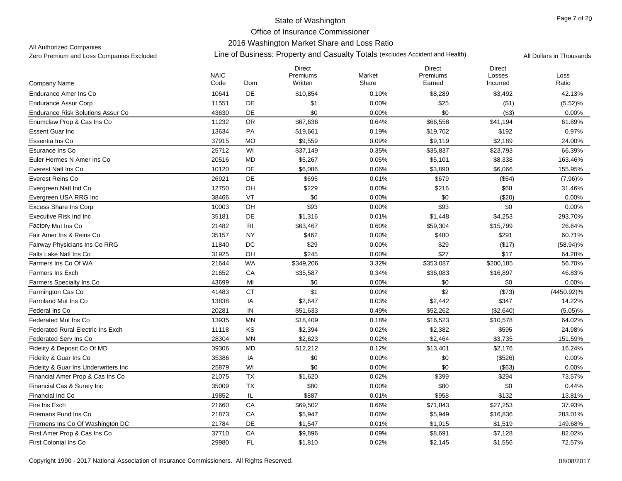## 2016 Washington Market Share and Loss Ratio

All Authorized Companies

|                                          | <b>NAIC</b> |                | <b>Direct</b><br>Premiums | Market | <b>Direct</b><br>Premiums | <b>Direct</b>      |               |
|------------------------------------------|-------------|----------------|---------------------------|--------|---------------------------|--------------------|---------------|
| Company Name                             | Code        | Dom            | Written                   | Share  | Earned                    | Losses<br>Incurred | Loss<br>Ratio |
| Endurance Amer Ins Co                    | 10641       | <b>DE</b>      | \$10,854                  | 0.10%  | \$8,289                   | \$3,492            | 42.13%        |
| <b>Endurance Assur Corp</b>              | 11551       | DE             | \$1                       | 0.00%  | \$25                      | ( \$1)             | (5.52)%       |
| Endurance Risk Solutions Assur Co        | 43630       | DE             | \$0                       | 0.00%  | \$0                       | (\$3)              | 0.00%         |
| Enumclaw Prop & Cas Ins Co               | 11232       | OR             | \$67,636                  | 0.64%  | \$66,558                  | \$41,194           | 61.89%        |
| <b>Essent Guar Inc</b>                   | 13634       | PA             | \$19,661                  | 0.19%  | \$19,702                  | \$192              | 0.97%         |
| Essentia Ins Co                          | 37915       | <b>MO</b>      | \$9,559                   | 0.09%  | \$9,119                   | \$2,189            | 24.00%        |
| Esurance Ins Co                          | 25712       | WI             | \$37,149                  | 0.35%  | \$35,837                  | \$23,793           | 66.39%        |
| Euler Hermes N Amer Ins Co               | 20516       | MD             | \$5,267                   | 0.05%  | \$5,101                   | \$8,338            | 163.46%       |
| Everest Natl Ins Co                      | 10120       | DE             | \$6,086                   | 0.06%  | \$3,890                   | \$6,066            | 155.95%       |
| Everest Reins Co                         | 26921       | DE             | \$695                     | 0.01%  | \$679                     | (\$54)             | $(7.96)\%$    |
| Evergreen Natl Ind Co                    | 12750       | OH             | \$229                     | 0.00%  | \$216                     | \$68               | 31.46%        |
| Evergreen USA RRG Inc                    | 38466       | VT             | \$0                       | 0.00%  | \$0                       | (\$20)             | 0.00%         |
| <b>Excess Share Ins Corp</b>             | 10003       | OH             | \$93                      | 0.00%  | \$93                      | \$0                | 0.00%         |
| Executive Risk Ind Inc                   | 35181       | DE             | \$1,316                   | 0.01%  | \$1,448                   | \$4,253            | 293.70%       |
| Factory Mut Ins Co                       | 21482       | R <sub>l</sub> | \$63,467                  | 0.60%  | \$59,304                  | \$15,799           | 26.64%        |
| Fair Amer Ins & Reins Co                 | 35157       | <b>NY</b>      | \$462                     | 0.00%  | \$480                     | \$291              | 60.71%        |
| <b>Fairway Physicians Ins Co RRG</b>     | 11840       | DC             | \$29                      | 0.00%  | \$29                      | (\$17)             | $(58.94)\%$   |
| Falls Lake Natl Ins Co                   | 31925       | OH             | \$245                     | 0.00%  | \$27                      | \$17               | 64.28%        |
| Farmers Ins Co Of WA                     | 21644       | <b>WA</b>      | \$349,206                 | 3.32%  | \$353,087                 | \$200,185          | 56.70%        |
| <b>Farmers Ins Exch</b>                  | 21652       | CA             | \$35,587                  | 0.34%  | \$36,083                  | \$16,897           | 46.83%        |
| Farmers Specialty Ins Co                 | 43699       | MI             | \$0                       | 0.00%  | \$0                       | \$0                | $0.00\%$      |
| Farmington Cas Co                        | 41483       | <b>CT</b>      | \$1                       | 0.00%  | \$2                       | (\$73)             | (4450.92)%    |
| Farmland Mut Ins Co.                     | 13838       | IA             | \$2,647                   | 0.03%  | \$2,442                   | \$347              | 14.22%        |
| Federal Ins Co                           | 20281       | IN             | \$51,633                  | 0.49%  | \$52,262                  | (\$2,640)          | $(5.05)\%$    |
| Federated Mut Ins Co                     | 13935       | <b>MN</b>      | \$18,409                  | 0.18%  | \$16,523                  | \$10,578           | 64.02%        |
| <b>Federated Rural Electric Ins Exch</b> | 11118       | KS             | \$2,394                   | 0.02%  | \$2,382                   | \$595              | 24.98%        |
| Federated Serv Ins Co                    | 28304       | MN             | \$2,623                   | 0.02%  | \$2,464                   | \$3,735            | 151.59%       |
| Fidelity & Deposit Co Of MD              | 39306       | <b>MD</b>      | \$12,212                  | 0.12%  | \$13,401                  | \$2,176            | 16.24%        |
| Fidelity & Guar Ins Co.                  | 35386       | IA             | \$0                       | 0.00%  | \$0                       | (\$526)            | 0.00%         |
| Fidelity & Guar Ins Underwriters Inc     | 25879       | WI             | \$0                       | 0.00%  | \$0                       | $($ \$63)          | 0.00%         |
| Financial Amer Prop & Cas Ins Co         | 21075       | <b>TX</b>      | \$1,620                   | 0.02%  | \$399                     | \$294              | 73.57%        |
| Financial Cas & Surety Inc               | 35009       | TX             | \$80                      | 0.00%  | \$80                      | \$0                | 0.44%         |
| Financial Ind Co                         | 19852       | IL             | \$887                     | 0.01%  | \$958                     | \$132              | 13.81%        |
| Fire Ins Exch                            | 21660       | CA             | \$69,502                  | 0.66%  | \$71,843                  | \$27,253           | 37.93%        |
| Firemans Fund Ins Co                     | 21873       | CA             | \$5,947                   | 0.06%  | \$5,949                   | \$16,836           | 283.01%       |
| Firemens Ins Co Of Washington DC         | 21784       | DE             | \$1,547                   | 0.01%  | \$1,015                   | \$1,519            | 149.68%       |
| First Amer Prop & Cas Ins Co             | 37710       | CA             | \$9,896                   | 0.09%  | \$8,691                   | \$7,128            | 82.02%        |
| <b>First Colonial Ins Co</b>             | 29980       | FL             | \$1,810                   | 0.02%  | \$2,145                   | \$1,556            | 72.57%        |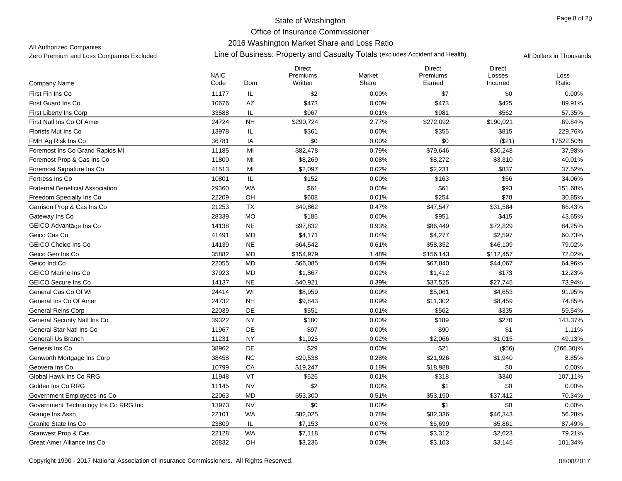### 2016 Washington Market Share and Loss Ratio

All Authorized Companies

|                                         | <b>NAIC</b> |           | <b>Direct</b><br>Premiums | Market | <b>Direct</b><br>Premiums | <b>Direct</b><br>Losses | Loss         |
|-----------------------------------------|-------------|-----------|---------------------------|--------|---------------------------|-------------------------|--------------|
| Company Name                            | Code        | Dom       | Written                   | Share  | Earned                    | Incurred                | Ratio        |
| First Fin Ins Co                        | 11177       | IL        | \$2                       | 0.00%  | \$7                       | \$0                     | 0.00%        |
| <b>First Guard Ins Co</b>               | 10676       | AZ        | \$473                     | 0.00%  | \$473                     | \$425                   | 89.91%       |
| First Liberty Ins Corp                  | 33588       | IL.       | \$967                     | 0.01%  | \$981                     | \$562                   | 57.35%       |
| First Natl Ins Co Of Amer               | 24724       | <b>NH</b> | \$290,724                 | 2.77%  | \$272,092                 | \$190,021               | 69.84%       |
| Florists Mut Ins Co.                    | 13978       | IL        | \$361                     | 0.00%  | \$355                     | \$815                   | 229.76%      |
| FMH Ag Risk Ins Co                      | 36781       | IA        | \$0                       | 0.00%  | \$0                       | ( \$21)                 | 17522.50%    |
| Foremost Ins Co Grand Rapids MI         | 11185       | MI        | \$82,478                  | 0.79%  | \$79,646                  | \$30,248                | 37.98%       |
| Foremost Prop & Cas Ins Co              | 11800       | MI        | \$8,269                   | 0.08%  | \$8,272                   | \$3,310                 | 40.01%       |
| Foremost Signature Ins Co               | 41513       | MI        | \$2,097                   | 0.02%  | \$2,231                   | \$837                   | 37.52%       |
| Fortress Ins Co                         | 10801       | IL        | \$152                     | 0.00%  | \$163                     | \$56                    | 34.06%       |
| <b>Fraternal Beneficial Association</b> | 29360       | <b>WA</b> | \$61                      | 0.00%  | \$61                      | \$93                    | 151.68%      |
| Freedom Specialty Ins Co                | 22209       | OH        | \$608                     | 0.01%  | \$254                     | \$78                    | 30.85%       |
| Garrison Prop & Cas Ins Co              | 21253       | <b>TX</b> | \$49,862                  | 0.47%  | \$47,547                  | \$31,584                | 66.43%       |
| Gateway Ins Co                          | 28339       | <b>MO</b> | \$185                     | 0.00%  | \$951                     | \$415                   | 43.65%       |
| GEICO Advantage Ins Co                  | 14138       | <b>NE</b> | \$97,832                  | 0.93%  | \$86,449                  | \$72,829                | 84.25%       |
| Geico Cas Co                            | 41491       | <b>MD</b> | \$4,171                   | 0.04%  | \$4,277                   | \$2,597                 | 60.73%       |
| <b>GEICO Choice Ins Co</b>              | 14139       | <b>NE</b> | \$64,542                  | 0.61%  | \$58,352                  | \$46,109                | 79.02%       |
| Geico Gen Ins Co                        | 35882       | <b>MD</b> | \$154,979                 | 1.48%  | \$156,143                 | \$112,457               | 72.02%       |
| Geico Ind Co                            | 22055       | <b>MD</b> | \$66,085                  | 0.63%  | \$67,840                  | \$44,067                | 64.96%       |
| <b>GEICO Marine Ins Co</b>              | 37923       | <b>MD</b> | \$1,867                   | 0.02%  | \$1,412                   | \$173                   | 12.23%       |
| <b>GEICO Secure Ins Co</b>              | 14137       | <b>NE</b> | \$40,921                  | 0.39%  | \$37,525                  | \$27,745                | 73.94%       |
| General Cas Co Of WI                    | 24414       | WI        | \$8,959                   | 0.09%  | \$5,061                   | \$4,653                 | 91.95%       |
| General Ins Co Of Amer                  | 24732       | <b>NH</b> | \$9,843                   | 0.09%  | \$11,302                  | \$8,459                 | 74.85%       |
| <b>General Reins Corp</b>               | 22039       | DE        | \$551                     | 0.01%  | \$562                     | \$335                   | 59.54%       |
| <b>General Security Natl Ins Co</b>     | 39322       | <b>NY</b> | \$180                     | 0.00%  | \$189                     | \$270                   | 143.37%      |
| General Star Natl Ins Co                | 11967       | <b>DE</b> | \$97                      | 0.00%  | \$90                      | \$1                     | 1.11%        |
| Generali Us Branch                      | 11231       | <b>NY</b> | \$1,925                   | 0.02%  | \$2,066                   | \$1,015                 | 49.13%       |
| Genesis Ins Co                          | 38962       | DE        | \$29                      | 0.00%  | \$21                      | (\$56)                  | $(266.30)\%$ |
| Genworth Mortgage Ins Corp              | 38458       | NC        | \$29,538                  | 0.28%  | \$21,926                  | \$1,940                 | 8.85%        |
| Geovera Ins Co                          | 10799       | CA        | \$19,247                  | 0.18%  | \$18,988                  | \$0                     | 0.00%        |
| Global Hawk Ins Co RRG                  | 11948       | VT        | \$526                     | 0.01%  | \$318                     | \$340                   | 107.11%      |
| Golden Ins Co RRG                       | 11145       | <b>NV</b> | \$2                       | 0.00%  | \$1                       | \$0                     | 0.00%        |
| Government Employees Ins Co             | 22063       | MD        | \$53,300                  | 0.51%  | \$53,190                  | \$37,412                | 70.34%       |
| Government Technology Ins Co RRG Inc    | 13973       | <b>NV</b> | \$0                       | 0.00%  | \$1                       | \$0                     | 0.00%        |
| Grange Ins Assn                         | 22101       | <b>WA</b> | \$82,025                  | 0.78%  | \$82,336                  | \$46,343                | 56.28%       |
| Granite State Ins Co                    | 23809       | IL        | \$7,153                   | 0.07%  | \$6,699                   | \$5,861                 | 87.49%       |
| Granwest Prop & Cas                     | 22128       | <b>WA</b> | \$7,118                   | 0.07%  | \$3,312                   | \$2,623                 | 79.21%       |
| Great Amer Alliance Ins Co              | 26832       | OH        | \$3,236                   | 0.03%  | \$3,103                   | \$3,145                 | 101.34%      |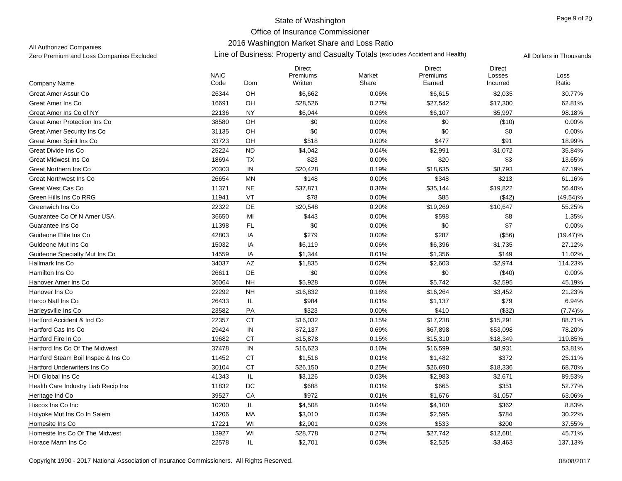## 2016 Washington Market Share and Loss Ratio

All Authorized Companies

|                                     | <b>NAIC</b> |               | <b>Direct</b><br>Premiums | Market | <b>Direct</b><br>Premiums | <b>Direct</b><br>Losses | Loss        |
|-------------------------------------|-------------|---------------|---------------------------|--------|---------------------------|-------------------------|-------------|
| Company Name                        | Code        | Dom           | Written                   | Share  | Earned                    | Incurred                | Ratio       |
| Great Amer Assur Co                 | 26344       | OH            | \$6,662                   | 0.06%  | \$6,615                   | \$2,035                 | 30.77%      |
| Great Amer Ins Co                   | 16691       | OH            | \$28,526                  | 0.27%  | \$27,542                  | \$17,300                | 62.81%      |
| Great Amer Ins Co of NY             | 22136       | <b>NY</b>     | \$6,044                   | 0.06%  | \$6,107                   | \$5,997                 | 98.18%      |
| <b>Great Amer Protection Ins Co</b> | 38580       | OH            | \$0                       | 0.00%  | \$0                       | (\$10)                  | 0.00%       |
| <b>Great Amer Security Ins Co</b>   | 31135       | OH            | \$0                       | 0.00%  | \$0                       | \$0                     | 0.00%       |
| Great Amer Spirit Ins Co            | 33723       | OH            | \$518                     | 0.00%  | \$477                     | \$91                    | 18.99%      |
| Great Divide Ins Co.                | 25224       | <b>ND</b>     | \$4,042                   | 0.04%  | \$2,991                   | \$1,072                 | 35.84%      |
| Great Midwest Ins Co                | 18694       | <b>TX</b>     | \$23                      | 0.00%  | \$20                      | \$3                     | 13.65%      |
| Great Northern Ins Co               | 20303       | IN            | \$20,428                  | 0.19%  | \$18,635                  | \$8,793                 | 47.19%      |
| <b>Great Northwest Ins Co</b>       | 26654       | <b>MN</b>     | \$148                     | 0.00%  | \$348                     | \$213                   | 61.16%      |
| Great West Cas Co                   | 11371       | $N\mathsf{E}$ | \$37,871                  | 0.36%  | \$35,144                  | \$19,822                | 56.40%      |
| Green Hills Ins Co RRG              | 11941       | VT            | \$78                      | 0.00%  | \$85                      | ( \$42)                 | $(49.54)\%$ |
| Greenwich Ins Co                    | 22322       | DE            | \$20,548                  | 0.20%  | \$19,269                  | \$10,647                | 55.25%      |
| Guarantee Co Of N Amer USA          | 36650       | MI            | \$443                     | 0.00%  | \$598                     | \$8                     | 1.35%       |
| Guarantee Ins Co                    | 11398       | <b>FL</b>     | \$0                       | 0.00%  | \$0                       | \$7                     | 0.00%       |
| Guideone Elite Ins Co               | 42803       | IA            | \$279                     | 0.00%  | \$287                     | (\$56)                  | $(19.47)\%$ |
| Guideone Mut Ins Co                 | 15032       | IA            | \$6,119                   | 0.06%  | \$6,396                   | \$1,735                 | 27.12%      |
| Guideone Specialty Mut Ins Co       | 14559       | IA            | \$1,344                   | 0.01%  | \$1,356                   | \$149                   | 11.02%      |
| Hallmark Ins Co                     | 34037       | AZ            | \$1,835                   | 0.02%  | \$2,603                   | \$2,974                 | 114.23%     |
| Hamilton Ins Co                     | 26611       | <b>DE</b>     | \$0                       | 0.00%  | \$0                       | (\$40)                  | 0.00%       |
| Hanover Amer Ins Co                 | 36064       | <b>NH</b>     | \$5,928                   | 0.06%  | \$5,742                   | \$2,595                 | 45.19%      |
| Hanover Ins Co                      | 22292       | <b>NH</b>     | \$16,832                  | 0.16%  | \$16,264                  | \$3,452                 | 21.23%      |
| Harco Natl Ins Co                   | 26433       | IL            | \$984                     | 0.01%  | \$1,137                   | \$79                    | 6.94%       |
| Harleysville Ins Co                 | 23582       | PA            | \$323                     | 0.00%  | \$410                     | (\$32)                  | (7.74)%     |
| Hartford Accident & Ind Co          | 22357       | CT            | \$16,032                  | 0.15%  | \$17,238                  | \$15,291                | 88.71%      |
| Hartford Cas Ins Co                 | 29424       | ${\sf IN}$    | \$72,137                  | 0.69%  | \$67,898                  | \$53,098                | 78.20%      |
| Hartford Fire In Co                 | 19682       | <b>CT</b>     | \$15,878                  | 0.15%  | \$15,310                  | \$18,349                | 119.85%     |
| Hartford Ins Co Of The Midwest      | 37478       | IN            | \$16,623                  | 0.16%  | \$16,599                  | \$8,931                 | 53.81%      |
| Hartford Steam Boil Inspec & Ins Co | 11452       | <b>CT</b>     | \$1,516                   | 0.01%  | \$1,482                   | \$372                   | 25.11%      |
| <b>Hartford Underwriters Ins Co</b> | 30104       | <b>CT</b>     | \$26,150                  | 0.25%  | \$26,690                  | \$18,336                | 68.70%      |
| <b>HDI Global Ins Co</b>            | 41343       | IL            | \$3,126                   | 0.03%  | \$2,983                   | \$2,671                 | 89.53%      |
| Health Care Industry Liab Recip Ins | 11832       | $\mathsf{DC}$ | \$688                     | 0.01%  | \$665                     | \$351                   | 52.77%      |
| Heritage Ind Co                     | 39527       | CA            | \$972                     | 0.01%  | \$1,676                   | \$1,057                 | 63.06%      |
| Hiscox Ins Co Inc                   | 10200       | IL            | \$4,508                   | 0.04%  | \$4,100                   | \$362                   | 8.83%       |
| Holyoke Mut Ins Co In Salem         | 14206       | МA            | \$3,010                   | 0.03%  | \$2,595                   | \$784                   | 30.22%      |
| Homesite Ins Co                     | 17221       | WI            | \$2,901                   | 0.03%  | \$533                     | \$200                   | 37.55%      |
| Homesite Ins Co Of The Midwest      | 13927       | WI            | \$28,778                  | 0.27%  | \$27,742                  | \$12,681                | 45.71%      |
| Horace Mann Ins Co                  | 22578       | IL            | \$2,701                   | 0.03%  | \$2,525                   | \$3,463                 | 137.13%     |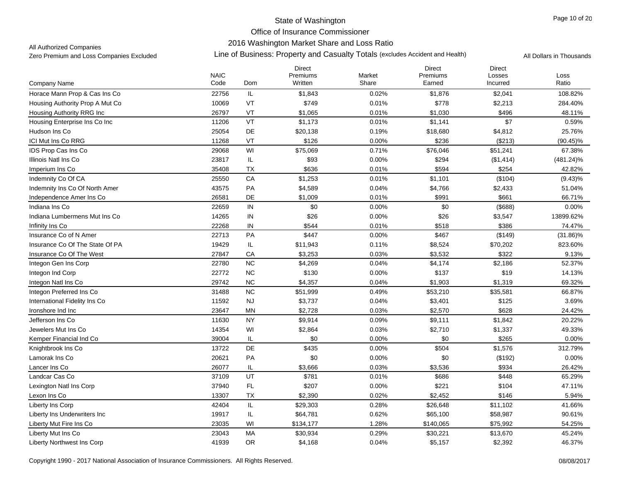## 2016 Washington Market Share and Loss Ratio

All Authorized Companies

|                                   | <b>NAIC</b> |            | <b>Direct</b><br>Premiums | Market | <b>Direct</b><br>Premiums | <b>Direct</b><br>Losses | Loss         |
|-----------------------------------|-------------|------------|---------------------------|--------|---------------------------|-------------------------|--------------|
| Company Name                      | Code        | Dom        | Written                   | Share  | Earned                    | Incurred                | Ratio        |
| Horace Mann Prop & Cas Ins Co     | 22756       | IL         | \$1,843                   | 0.02%  | \$1,876                   | \$2,041                 | 108.82%      |
| Housing Authority Prop A Mut Co   | 10069       | VT         | \$749                     | 0.01%  | \$778                     | \$2,213                 | 284.40%      |
| Housing Authority RRG Inc         | 26797       | VT         | \$1,065                   | 0.01%  | \$1,030                   | \$496                   | 48.11%       |
| Housing Enterprise Ins Co Inc     | 11206       | VT         | \$1,173                   | 0.01%  | \$1,141                   | \$7                     | 0.59%        |
| Hudson Ins Co                     | 25054       | DE         | \$20,138                  | 0.19%  | \$18,680                  | \$4,812                 | 25.76%       |
| ICI Mut Ins Co RRG                | 11268       | VT         | \$126                     | 0.00%  | \$236                     | (\$213)                 | $(90.45)\%$  |
| IDS Prop Cas Ins Co               | 29068       | WI         | \$75,069                  | 0.71%  | \$76,046                  | \$51,241                | 67.38%       |
| Illinois Natl Ins Co              | 23817       | IL         | \$93                      | 0.00%  | \$294                     | (\$1,414)               | $(481.24)\%$ |
| Imperium Ins Co                   | 35408       | <b>TX</b>  | \$636                     | 0.01%  | \$594                     | \$254                   | 42.82%       |
| Indemnity Co Of CA                | 25550       | CA         | \$1,253                   | 0.01%  | \$1,101                   | (\$104)                 | $(9.43)\%$   |
| Indemnity Ins Co Of North Amer    | 43575       | PA         | \$4,589                   | 0.04%  | \$4,766                   | \$2,433                 | 51.04%       |
| Independence Amer Ins Co          | 26581       | DE         | \$1,009                   | 0.01%  | \$991                     | \$661                   | 66.71%       |
| Indiana Ins Co                    | 22659       | IN         | \$0                       | 0.00%  | \$0                       | (\$688)                 | 0.00%        |
| Indiana Lumbermens Mut Ins Co     | 14265       | IN         | \$26                      | 0.00%  | \$26                      | \$3,547                 | 13899.62%    |
| Infinity Ins Co                   | 22268       | IN         | \$544                     | 0.01%  | \$518                     | \$386                   | 74.47%       |
| Insurance Co of N Amer            | 22713       | PA         | \$447                     | 0.00%  | \$467                     | (\$149)                 | $(31.86)\%$  |
| Insurance Co Of The State Of PA   | 19429       | IL         | \$11,943                  | 0.11%  | \$8,524                   | \$70,202                | 823.60%      |
| Insurance Co Of The West          | 27847       | CA         | \$3,253                   | 0.03%  | \$3,532                   | \$322                   | 9.13%        |
| Integon Gen Ins Corp              | 22780       | ${\sf NC}$ | \$4,269                   | 0.04%  | \$4,174                   | \$2,186                 | 52.37%       |
| Integon Ind Corp                  | 22772       | NC         | \$130                     | 0.00%  | \$137                     | \$19                    | 14.13%       |
| Integon Natl Ins Co               | 29742       | <b>NC</b>  | \$4,357                   | 0.04%  | \$1,903                   | \$1,319                 | 69.32%       |
| Integon Preferred Ins Co          | 31488       | <b>NC</b>  | \$51,999                  | 0.49%  | \$53,210                  | \$35,581                | 66.87%       |
| International Fidelity Ins Co     | 11592       | <b>NJ</b>  | \$3,737                   | 0.04%  | \$3,401                   | \$125                   | 3.69%        |
| Ironshore Ind Inc                 | 23647       | MN         | \$2,728                   | 0.03%  | \$2,570                   | \$628                   | 24.42%       |
| Jefferson Ins Co                  | 11630       | <b>NY</b>  | \$9,914                   | 0.09%  | \$9,111                   | \$1,842                 | 20.22%       |
| Jewelers Mut Ins Co               | 14354       | WI         | \$2,864                   | 0.03%  | \$2,710                   | \$1,337                 | 49.33%       |
| Kemper Financial Ind Co           | 39004       | IL         | \$0                       | 0.00%  | \$0                       | \$265                   | 0.00%        |
| Knightbrook Ins Co                | 13722       | DE         | \$435                     | 0.00%  | \$504                     | \$1,576                 | 312.79%      |
| Lamorak Ins Co                    | 20621       | PA         | \$0                       | 0.00%  | \$0                       | (\$192)                 | 0.00%        |
| Lancer Ins Co                     | 26077       | IL         | \$3,666                   | 0.03%  | \$3,536                   | \$934                   | 26.42%       |
| Landcar Cas Co                    | 37109       | UT         | \$781                     | 0.01%  | \$686                     | \$448                   | 65.29%       |
| Lexington Natl Ins Corp           | 37940       | FL         | \$207                     | 0.00%  | \$221                     | \$104                   | 47.11%       |
| Lexon Ins Co                      | 13307       | <b>TX</b>  | \$2,390                   | 0.02%  | \$2,452                   | \$146                   | 5.94%        |
| <b>Liberty Ins Corp</b>           | 42404       | IL         | \$29,303                  | 0.28%  | \$26,648                  | \$11,102                | 41.66%       |
| Liberty Ins Underwriters Inc      | 19917       | IL         | \$64,781                  | 0.62%  | \$65,100                  | \$58,987                | 90.61%       |
| Liberty Mut Fire Ins Co           | 23035       | WI         | \$134,177                 | 1.28%  | \$140,065                 | \$75,992                | 54.25%       |
| Liberty Mut Ins Co                | 23043       | <b>MA</b>  | \$30,934                  | 0.29%  | \$30,221                  | \$13,670                | 45.24%       |
| <b>Liberty Northwest Ins Corp</b> | 41939       | <b>OR</b>  | \$4,168                   | 0.04%  | \$5,157                   | \$2,392                 | 46.37%       |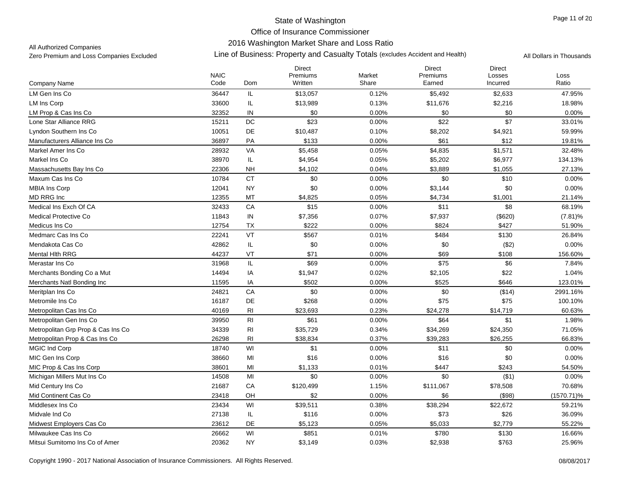## 2016 Washington Market Share and Loss Ratio

All Authorized Companies

|                                    |                     |                | <b>Direct</b><br>Premiums | Market | <b>Direct</b><br>Premiums | <b>Direct</b>      |               |
|------------------------------------|---------------------|----------------|---------------------------|--------|---------------------------|--------------------|---------------|
| <b>Company Name</b>                | <b>NAIC</b><br>Code | Dom            | Written                   | Share  | Earned                    | Losses<br>Incurred | Loss<br>Ratio |
| LM Gen Ins Co                      | 36447               | IL             | \$13,057                  | 0.12%  | \$5,492                   | \$2,633            | 47.95%        |
| <b>LM Ins Corp</b>                 | 33600               | IL             | \$13,989                  | 0.13%  | \$11,676                  | \$2,216            | 18.98%        |
| LM Prop & Cas Ins Co               | 32352               | IN             | \$0                       | 0.00%  | \$0                       | \$0                | 0.00%         |
| Lone Star Alliance RRG             | 15211               | $\mathsf{DC}$  | \$23                      | 0.00%  | \$22                      | \$7                | 33.01%        |
| Lyndon Southern Ins Co             | 10051               | DE             | \$10,487                  | 0.10%  | \$8,202                   | \$4,921            | 59.99%        |
| Manufacturers Alliance Ins Co      | 36897               | PA             | \$133                     | 0.00%  | \$61                      | \$12               | 19.81%        |
| Markel Amer Ins Co                 | 28932               | VA             | \$5,458                   | 0.05%  | \$4,835                   | \$1,571            | 32.48%        |
| Markel Ins Co                      | 38970               | IL             | \$4,954                   | 0.05%  | \$5,202                   | \$6,977            | 134.13%       |
| Massachusetts Bay Ins Co           | 22306               | <b>NH</b>      | \$4,102                   | 0.04%  | \$3,889                   | \$1,055            | 27.13%        |
| Maxum Cas Ins Co                   | 10784               | <b>CT</b>      | \$0                       | 0.00%  | \$0                       | \$10               | 0.00%         |
| <b>MBIA Ins Corp</b>               | 12041               | <b>NY</b>      | \$0                       | 0.00%  | \$3,144                   | \$0                | 0.00%         |
| MD RRG Inc                         | 12355               | MT             | \$4,825                   | 0.05%  | \$4,734                   | \$1,001            | 21.14%        |
| Medical Ins Exch Of CA             | 32433               | CA             | \$15                      | 0.00%  | \$11                      | \$8                | 68.19%        |
| Medical Protective Co              | 11843               | ${\sf IN}$     | \$7,356                   | 0.07%  | \$7,937                   | (\$620)            | $(7.81)\%$    |
| Medicus Ins Co                     | 12754               | TX             | \$222                     | 0.00%  | \$824                     | \$427              | 51.90%        |
| Medmarc Cas Ins Co                 | 22241               | VT             | \$567                     | 0.01%  | \$484                     | \$130              | 26.84%        |
| Mendakota Cas Co                   | 42862               | IL             | \$0                       | 0.00%  | \$0                       | (\$2)              | 0.00%         |
| Mental Hith RRG                    | 44237               | VT             | \$71                      | 0.00%  | \$69                      | \$108              | 156.60%       |
| Merastar Ins Co                    | 31968               | IL             | \$69                      | 0.00%  | \$75                      | \$6                | 7.84%         |
| Merchants Bonding Co a Mut         | 14494               | IA             | \$1,947                   | 0.02%  | \$2,105                   | \$22               | 1.04%         |
| Merchants Natl Bonding Inc         | 11595               | IA             | \$502                     | 0.00%  | \$525                     | \$646              | 123.01%       |
| Meritplan Ins Co                   | 24821               | CA             | \$0                       | 0.00%  | \$0                       | (\$14)             | 2991.16%      |
| Metromile Ins Co                   | 16187               | DE             | \$268                     | 0.00%  | \$75                      | \$75               | 100.10%       |
| Metropolitan Cas Ins Co            | 40169               | R <sub>l</sub> | \$23,693                  | 0.23%  | \$24,278                  | \$14,719           | 60.63%        |
| Metropolitan Gen Ins Co            | 39950               | R <sub>l</sub> | \$61                      | 0.00%  | \$64                      | \$1                | 1.98%         |
| Metropolitan Grp Prop & Cas Ins Co | 34339               | R <sub>l</sub> | \$35,729                  | 0.34%  | \$34,269                  | \$24,350           | 71.05%        |
| Metropolitan Prop & Cas Ins Co     | 26298               | R <sub>l</sub> | \$38,834                  | 0.37%  | \$39,283                  | \$26,255           | 66.83%        |
| <b>MGIC Ind Corp</b>               | 18740               | WI             | \$1                       | 0.00%  | \$11                      | \$0                | 0.00%         |
| MIC Gen Ins Corp                   | 38660               | MI             | \$16                      | 0.00%  | \$16                      | \$0                | 0.00%         |
| MIC Prop & Cas Ins Corp            | 38601               | MI             | \$1,133                   | 0.01%  | \$447                     | \$243              | 54.50%        |
| Michigan Millers Mut Ins Co.       | 14508               | MI             | \$0                       | 0.00%  | \$0                       | ( \$1)             | 0.00%         |
| Mid Century Ins Co                 | 21687               | ${\sf CA}$     | \$120,499                 | 1.15%  | \$111,067                 | \$78,508           | 70.68%        |
| Mid Continent Cas Co               | 23418               | OH             | \$2                       | 0.00%  | \$6                       | (\$98)             | $(1570.71)\%$ |
| Middlesex Ins Co                   | 23434               | WI             | \$39,511                  | 0.38%  | \$38,294                  | \$22,672           | 59.21%        |
| Midvale Ind Co                     | 27138               | IL             | \$116                     | 0.00%  | \$73                      | \$26               | 36.09%        |
| Midwest Employers Cas Co           | 23612               | DE             | \$5,123                   | 0.05%  | \$5,033                   | \$2,779            | 55.22%        |
| Milwaukee Cas Ins Co               | 26662               | WI             | \$851                     | 0.01%  | \$780                     | \$130              | 16.66%        |
| Mitsui Sumitomo Ins Co of Amer     | 20362               | <b>NY</b>      | \$3,149                   | 0.03%  | \$2,938                   | \$763              | 25.96%        |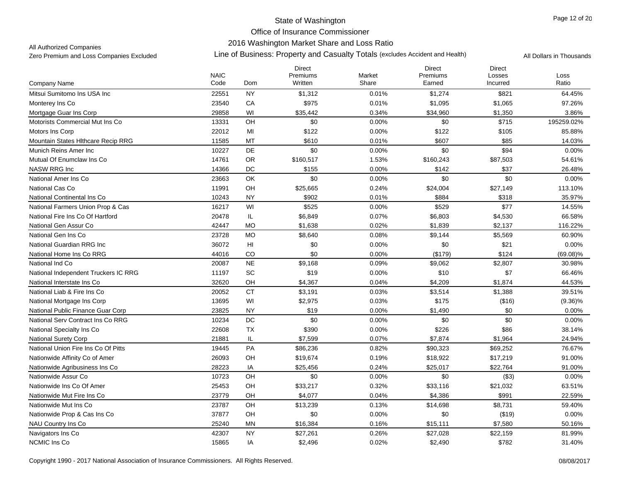2016 Washington Market Share and Loss Ratio

#### All Authorized Companies

|                                      | <b>NAIC</b> |           | <b>Direct</b><br>Premiums | Market | <b>Direct</b><br>Premiums | <b>Direct</b><br>Losses | Loss        |
|--------------------------------------|-------------|-----------|---------------------------|--------|---------------------------|-------------------------|-------------|
| <b>Company Name</b>                  | Code        | Dom       | Written                   | Share  | Earned                    | Incurred                | Ratio       |
| Mitsui Sumitomo Ins USA Inc          | 22551       | <b>NY</b> | \$1,312                   | 0.01%  | \$1,274                   | \$821                   | 64.45%      |
| Monterey Ins Co                      | 23540       | CA        | \$975                     | 0.01%  | \$1,095                   | \$1,065                 | 97.26%      |
| Mortgage Guar Ins Corp               | 29858       | WI        | \$35,442                  | 0.34%  | \$34,960                  | \$1,350                 | 3.86%       |
| Motorists Commercial Mut Ins Co      | 13331       | OH        | \$0                       | 0.00%  | \$0                       | \$715                   | 195259.02%  |
| Motors Ins Corp                      | 22012       | MI        | \$122                     | 0.00%  | \$122                     | \$105                   | 85.88%      |
| Mountain States Hithcare Recip RRG   | 11585       | MT        | \$610                     | 0.01%  | \$607                     | \$85                    | 14.03%      |
| Munich Reins Amer Inc                | 10227       | <b>DE</b> | \$0                       | 0.00%  | \$0                       | \$94                    | 0.00%       |
| Mutual Of Enumclaw Ins Co            | 14761       | OR        | \$160,517                 | 1.53%  | \$160,243                 | \$87,503                | 54.61%      |
| NASW RRG Inc                         | 14366       | DC        | \$155                     | 0.00%  | \$142                     | \$37                    | 26.48%      |
| National Amer Ins Co                 | 23663       | OK        | \$0                       | 0.00%  | \$0                       | \$0                     | 0.00%       |
| National Cas Co                      | 11991       | OH        | \$25,665                  | 0.24%  | \$24,004                  | \$27,149                | 113.10%     |
| National Continental Ins Co          | 10243       | <b>NY</b> | \$902                     | 0.01%  | \$884                     | \$318                   | 35.97%      |
| National Farmers Union Prop & Cas    | 16217       | WI        | \$525                     | 0.00%  | \$529                     | \$77                    | 14.55%      |
| National Fire Ins Co Of Hartford     | 20478       | IL        | \$6,849                   | 0.07%  | \$6,803                   | \$4,530                 | 66.58%      |
| National Gen Assur Co                | 42447       | <b>MO</b> | \$1,638                   | 0.02%  | \$1,839                   | \$2,137                 | 116.22%     |
| National Gen Ins Co                  | 23728       | <b>MO</b> | \$8,640                   | 0.08%  | \$9,144                   | \$5,569                 | 60.90%      |
| National Guardian RRG Inc            | 36072       | HI        | \$0                       | 0.00%  | \$0                       | \$21                    | 0.00%       |
| National Home Ins Co RRG             | 44016       | CO        | \$0                       | 0.00%  | (\$179)                   | \$124                   | $(69.08)\%$ |
| National Ind Co                      | 20087       | <b>NE</b> | \$9,168                   | 0.09%  | \$9,062                   | \$2,807                 | 30.98%      |
| National Independent Truckers IC RRG | 11197       | SC        | \$19                      | 0.00%  | \$10                      | \$7                     | 66.46%      |
| National Interstate Ins Co           | 32620       | OH        | \$4,367                   | 0.04%  | \$4,209                   | \$1,874                 | 44.53%      |
| National Liab & Fire Ins Co          | 20052       | <b>CT</b> | \$3,191                   | 0.03%  | \$3,514                   | \$1,388                 | 39.51%      |
| National Mortgage Ins Corp           | 13695       | WI        | \$2,975                   | 0.03%  | \$175                     | (\$16)                  | $(9.36)\%$  |
| National Public Finance Guar Corp    | 23825       | <b>NY</b> | \$19                      | 0.00%  | \$1.490                   | \$0                     | 0.00%       |
| National Serv Contract Ins Co RRG    | 10234       | DC        | \$0                       | 0.00%  | \$0                       | \$0                     | 0.00%       |
| National Specialty Ins Co            | 22608       | TX        | \$390                     | 0.00%  | \$226                     | \$86                    | 38.14%      |
| <b>National Surety Corp</b>          | 21881       | <b>IL</b> | \$7,599                   | 0.07%  | \$7,874                   | \$1,964                 | 24.94%      |
| National Union Fire Ins Co Of Pitts  | 19445       | PA        | \$86,236                  | 0.82%  | \$90,323                  | \$69,252                | 76.67%      |
| Nationwide Affinity Co of Amer       | 26093       | OH        | \$19,674                  | 0.19%  | \$18,922                  | \$17,219                | 91.00%      |
| Nationwide Agribusiness Ins Co       | 28223       | IA        | \$25,456                  | 0.24%  | \$25,017                  | \$22,764                | 91.00%      |
| Nationwide Assur Co                  | 10723       | OH        | \$0                       | 0.00%  | \$0                       | ( \$3)                  | 0.00%       |
| Nationwide Ins Co Of Amer            | 25453       | OH        | \$33,217                  | 0.32%  | \$33,116                  | \$21,032                | 63.51%      |
| Nationwide Mut Fire Ins Co           | 23779       | OH        | \$4,077                   | 0.04%  | \$4,386                   | \$991                   | 22.59%      |
| Nationwide Mut Ins Co                | 23787       | OH        | \$13,239                  | 0.13%  | \$14,698                  | \$8,731                 | 59.40%      |
| Nationwide Prop & Cas Ins Co         | 37877       | OH        | \$0                       | 0.00%  | \$0                       | (\$19)                  | 0.00%       |
| NAU Country Ins Co                   | 25240       | <b>MN</b> | \$16,384                  | 0.16%  | \$15,111                  | \$7,580                 | 50.16%      |
| Navigators Ins Co                    | 42307       | <b>NY</b> | \$27,261                  | 0.26%  | \$27,028                  | \$22,159                | 81.99%      |
| <b>NCMIC Ins Co</b>                  | 15865       | IA        | \$2,496                   | 0.02%  | \$2,490                   | \$782                   | 31.40%      |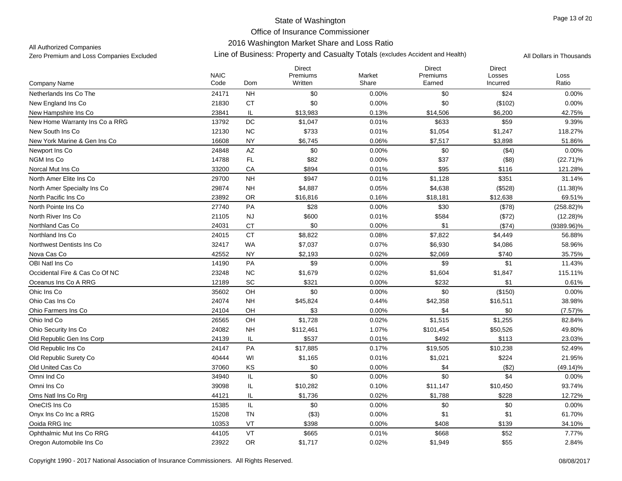### 2016 Washington Market Share and Loss Ratio

All Authorized Companies

|                                | <b>NAIC</b> |                        | <b>Direct</b><br>Premiums | Market | <b>Direct</b><br>Premiums | Direct<br>Losses | Loss          |
|--------------------------------|-------------|------------------------|---------------------------|--------|---------------------------|------------------|---------------|
| Company Name                   | Code        | <b>Dom</b>             | Written                   | Share  | Earned                    | Incurred         | Ratio         |
| Netherlands Ins Co The         | 24171       | <b>NH</b>              | \$0                       | 0.00%  | \$0                       | \$24             | 0.00%         |
| New England Ins Co             | 21830       | <b>CT</b>              | \$0                       | 0.00%  | \$0                       | (\$102)          | 0.00%         |
| New Hampshire Ins Co           | 23841       | IL                     | \$13,983                  | 0.13%  | \$14,506                  | \$6,200          | 42.75%        |
| New Home Warranty Ins Co a RRG | 13792       | $DC$                   | \$1,047                   | 0.01%  | \$633                     | \$59             | 9.39%         |
| New South Ins Co.              | 12130       | <b>NC</b>              | \$733                     | 0.01%  | \$1,054                   | \$1,247          | 118.27%       |
| New York Marine & Gen Ins Co   | 16608       | <b>NY</b>              | \$6,745                   | 0.06%  | \$7,517                   | \$3,898          | 51.86%        |
| Newport Ins Co                 | 24848       | $\mathsf{A}\mathsf{Z}$ | \$0                       | 0.00%  | \$0                       | ( \$4)           | 0.00%         |
| NGM Ins Co                     | 14788       | FL                     | \$82                      | 0.00%  | \$37                      | ( \$8)           | $(22.71)\%$   |
| Norcal Mut Ins Co              | 33200       | CA                     | \$894                     | 0.01%  | \$95                      | \$116            | 121.28%       |
| North Amer Elite Ins Co        | 29700       | <b>NH</b>              | \$947                     | 0.01%  | \$1,128                   | \$351            | 31.14%        |
| North Amer Specialty Ins Co.   | 29874       | <b>NH</b>              | \$4,887                   | 0.05%  | \$4,638                   | (\$528)          | $(11.38)\%$   |
| North Pacific Ins Co           | 23892       | OR.                    | \$16,816                  | 0.16%  | \$18,181                  | \$12,638         | 69.51%        |
| North Pointe Ins Co.           | 27740       | PA                     | \$28                      | 0.00%  | \$30                      | (\$78)           | $(258.82)\%$  |
| North River Ins Co             | 21105       | <b>NJ</b>              | \$600                     | 0.01%  | \$584                     | (\$72)           | $(12.28)\%$   |
| Northland Cas Co               | 24031       | <b>CT</b>              | \$0                       | 0.00%  | \$1                       | ( \$74)          | $(9389.96)\%$ |
| Northland Ins Co               | 24015       | <b>CT</b>              | \$8,822                   | 0.08%  | \$7,822                   | \$4,449          | 56.88%        |
| Northwest Dentists Ins Co      | 32417       | <b>WA</b>              | \$7,037                   | 0.07%  | \$6,930                   | \$4,086          | 58.96%        |
| Nova Cas Co                    | 42552       | <b>NY</b>              | \$2,193                   | 0.02%  | \$2,069                   | \$740            | 35.75%        |
| OBI Natl Ins Co                | 14190       | PA                     | \$9                       | 0.00%  | \$9                       | \$1              | 11.43%        |
| Occidental Fire & Cas Co Of NC | 23248       | NC                     | \$1,679                   | 0.02%  | \$1,604                   | \$1,847          | 115.11%       |
| Oceanus Ins Co A RRG           | 12189       | SC                     | \$321                     | 0.00%  | \$232                     | \$1              | 0.61%         |
| Ohic Ins Co                    | 35602       | OH                     | \$0                       | 0.00%  | \$0                       | (\$150)          | 0.00%         |
| Ohio Cas Ins Co                | 24074       | <b>NH</b>              | \$45,824                  | 0.44%  | \$42,358                  | \$16,511         | 38.98%        |
| Ohio Farmers Ins Co            | 24104       | OH                     | \$3                       | 0.00%  | \$4                       | \$0              | (7.57)%       |
| Ohio Ind Co                    | 26565       | OH                     | \$1,728                   | 0.02%  | \$1,515                   | \$1,255          | 82.84%        |
| Ohio Security Ins Co           | 24082       | <b>NH</b>              | \$112,461                 | 1.07%  | \$101,454                 | \$50,526         | 49.80%        |
| Old Republic Gen Ins Corp      | 24139       | IL                     | \$537                     | 0.01%  | \$492                     | \$113            | 23.03%        |
| Old Republic Ins Co            | 24147       | PA                     | \$17,885                  | 0.17%  | \$19,505                  | \$10,238         | 52.49%        |
| Old Republic Surety Co         | 40444       | WI                     | \$1,165                   | 0.01%  | \$1,021                   | \$224            | 21.95%        |
| Old United Cas Co              | 37060       | KS                     | \$0                       | 0.00%  | \$4                       | (\$2)            | $(49.14)\%$   |
| Omni Ind Co                    | 34940       | IL                     | \$0                       | 0.00%  | \$0                       | \$4              | 0.00%         |
| Omni Ins Co                    | 39098       | IL                     | \$10,282                  | 0.10%  | \$11,147                  | \$10,450         | 93.74%        |
| Oms Natl Ins Co Rrg            | 44121       | IL                     | \$1,736                   | 0.02%  | \$1,788                   | \$228            | 12.72%        |
| OneCIS Ins Co                  | 15385       | IL.                    | \$0                       | 0.00%  | \$0                       | \$0              | $0.00\%$      |
| Onvx Ins Co Inc a RRG          | 15208       | <b>TN</b>              | (\$3)                     | 0.00%  | \$1                       | \$1              | 61.70%        |
| Ooida RRG Inc                  | 10353       | VT                     | \$398                     | 0.00%  | \$408                     | \$139            | 34.10%        |
| Ophthalmic Mut Ins Co RRG      | 44105       | VT                     | \$665                     | 0.01%  | \$668                     | \$52             | 7.77%         |
| Oregon Automobile Ins Co       | 23922       | <b>OR</b>              | \$1,717                   | 0.02%  | \$1,949                   | \$55             | 2.84%         |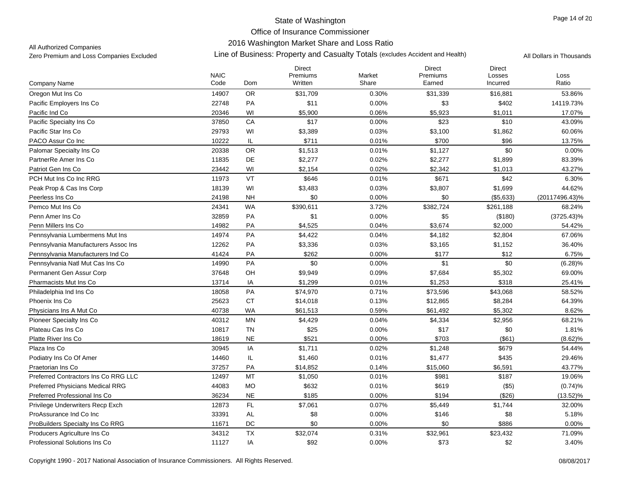### 2016 Washington Market Share and Loss Ratio

All Authorized Companies

|                                         | <b>NAIC</b> |           | <b>Direct</b><br>Premiums | Market | <b>Direct</b><br>Premiums | <b>Direct</b><br>Losses | Loss           |
|-----------------------------------------|-------------|-----------|---------------------------|--------|---------------------------|-------------------------|----------------|
| Company Name                            | Code        | Dom       | Written                   | Share  | Earned                    | Incurred                | Ratio          |
| Oregon Mut Ins Co                       | 14907       | OR        | \$31,709                  | 0.30%  | \$31,339                  | \$16,881                | 53.86%         |
| Pacific Employers Ins Co                | 22748       | PA        | \$11                      | 0.00%  | \$3                       | \$402                   | 14119.73%      |
| Pacific Ind Co                          | 20346       | WI        | \$5,900                   | 0.06%  | \$5,923                   | \$1,011                 | 17.07%         |
| Pacific Specialty Ins Co                | 37850       | CA        | \$17                      | 0.00%  | \$23                      | \$10                    | 43.09%         |
| Pacific Star Ins Co                     | 29793       | WI        | \$3,389                   | 0.03%  | \$3,100                   | \$1,862                 | 60.06%         |
| PACO Assur Co Inc                       | 10222       | IL        | \$711                     | 0.01%  | \$700                     | \$96                    | 13.75%         |
| Palomar Specialty Ins Co                | 20338       | <b>OR</b> | \$1,513                   | 0.01%  | \$1,127                   | \$0                     | 0.00%          |
| PartnerRe Amer Ins Co                   | 11835       | DE        | \$2,277                   | 0.02%  | \$2,277                   | \$1,899                 | 83.39%         |
| Patriot Gen Ins Co                      | 23442       | WI        | \$2,154                   | 0.02%  | \$2,342                   | \$1,013                 | 43.27%         |
| PCH Mut Ins Co Inc RRG                  | 11973       | VT        | \$646                     | 0.01%  | \$671                     | \$42                    | 6.30%          |
| Peak Prop & Cas Ins Corp                | 18139       | WI        | \$3,483                   | 0.03%  | \$3,807                   | \$1,699                 | 44.62%         |
| Peerless Ins Co                         | 24198       | <b>NH</b> | \$0                       | 0.00%  | \$0                       | (\$5,633)               | (20117496.43)% |
| Pemco Mut Ins Co                        | 24341       | <b>WA</b> | \$390,611                 | 3.72%  | \$382,724                 | \$261,188               | 68.24%         |
| Penn Amer Ins Co                        | 32859       | PA        | \$1                       | 0.00%  | \$5                       | (\$180)                 | $(3725.43)\%$  |
| Penn Millers Ins Co                     | 14982       | PA        | \$4,525                   | 0.04%  | \$3,674                   | \$2,000                 | 54.42%         |
| Pennsylvania Lumbermens Mut Ins         | 14974       | PA        | \$4,422                   | 0.04%  | \$4,182                   | \$2,804                 | 67.06%         |
| Pennsylvania Manufacturers Assoc Ins    | 12262       | PA        | \$3,336                   | 0.03%  | \$3,165                   | \$1,152                 | 36.40%         |
| Pennsylvania Manufacturers Ind Co       | 41424       | PA        | \$262                     | 0.00%  | \$177                     | \$12                    | 6.75%          |
| Pennsylvania Natl Mut Cas Ins Co        | 14990       | PA        | \$0                       | 0.00%  | \$1                       | \$0                     | $(6.28)\%$     |
| Permanent Gen Assur Corp                | 37648       | OH        | \$9,949                   | 0.09%  | \$7,684                   | \$5,302                 | 69.00%         |
| Pharmacists Mut Ins Co                  | 13714       | IA        | \$1,299                   | 0.01%  | \$1,253                   | \$318                   | 25.41%         |
| Philadelphia Ind Ins Co                 | 18058       | PA        | \$74,970                  | 0.71%  | \$73,596                  | \$43,068                | 58.52%         |
| Phoenix Ins Co                          | 25623       | <b>CT</b> | \$14,018                  | 0.13%  | \$12,865                  | \$8,284                 | 64.39%         |
| Physicians Ins A Mut Co                 | 40738       | <b>WA</b> | \$61,513                  | 0.59%  | \$61,492                  | \$5,302                 | 8.62%          |
| Pioneer Specialty Ins Co                | 40312       | <b>MN</b> | \$4,429                   | 0.04%  | \$4,334                   | \$2,956                 | 68.21%         |
| Plateau Cas Ins Co                      | 10817       | <b>TN</b> | \$25                      | 0.00%  | \$17                      | \$0                     | 1.81%          |
| Platte River Ins Co                     | 18619       | <b>NE</b> | \$521                     | 0.00%  | \$703                     | (\$61)                  | $(8.62)\%$     |
| Plaza Ins Co                            | 30945       | IA        | \$1,711                   | 0.02%  | \$1,248                   | \$679                   | 54.44%         |
| Podiatry Ins Co Of Amer                 | 14460       | IL        | \$1,460                   | 0.01%  | \$1,477                   | \$435                   | 29.46%         |
| Praetorian Ins Co                       | 37257       | PA        | \$14,852                  | 0.14%  | \$15,060                  | \$6,591                 | 43.77%         |
| Preferred Contractors Ins Co RRG LLC    | 12497       | MT        | \$1,050                   | 0.01%  | \$981                     | \$187                   | 19.06%         |
| <b>Preferred Physicians Medical RRG</b> | 44083       | <b>MO</b> | \$632                     | 0.01%  | \$619                     | $($ \$5)                | (0.74)%        |
| Preferred Professional Ins Co           | 36234       | <b>NE</b> | \$185                     | 0.00%  | \$194                     | (\$26)                  | $(13.52)\%$    |
| Privilege Underwriters Recp Exch        | 12873       | FL        | \$7,061                   | 0.07%  | \$5,449                   | \$1,744                 | 32.00%         |
| ProAssurance Ind Co Inc                 | 33391       | AL        | \$8                       | 0.00%  | \$146                     | \$8                     | 5.18%          |
| ProBuilders Specialty Ins Co RRG        | 11671       | DC        | \$0                       | 0.00%  | \$0                       | \$886                   | 0.00%          |
| Producers Agriculture Ins Co            | 34312       | <b>TX</b> | \$32,074                  | 0.31%  | \$32,961                  | \$23,432                | 71.09%         |
| Professional Solutions Ins Co           | 11127       | IA        | \$92                      | 0.00%  | \$73                      | \$2                     | 3.40%          |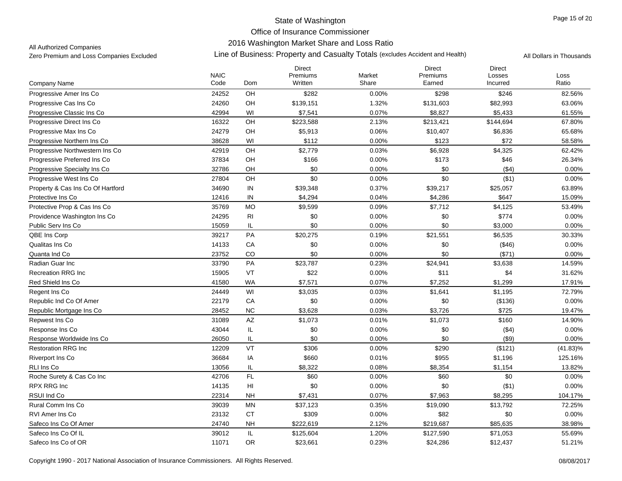## 2016 Washington Market Share and Loss Ratio

All Authorized Companies

|                                   |                     |                        | <b>Direct</b>       |                 | <b>Direct</b>      | <b>Direct</b>      |               |
|-----------------------------------|---------------------|------------------------|---------------------|-----------------|--------------------|--------------------|---------------|
| Company Name                      | <b>NAIC</b><br>Code | Dom                    | Premiums<br>Written | Market<br>Share | Premiums<br>Earned | Losses<br>Incurred | Loss<br>Ratio |
| Progressive Amer Ins Co           | 24252               | <b>OH</b>              | \$282               | 0.00%           | \$298              | \$246              | 82.56%        |
| Progressive Cas Ins Co            | 24260               | OH                     | \$139,151           | 1.32%           | \$131,603          | \$82,993           | 63.06%        |
| Progressive Classic Ins Co        | 42994               | WI                     | \$7,541             | 0.07%           | \$8,827            | \$5,433            | 61.55%        |
| Progressive Direct Ins Co.        | 16322               | OH                     | \$223,588           | 2.13%           | \$213,421          | \$144,694          | 67.80%        |
| Progressive Max Ins Co            | 24279               | OH                     | \$5,913             | 0.06%           | \$10,407           | \$6,836            | 65.68%        |
| Progressive Northern Ins Co       | 38628               | WI                     | \$112               | 0.00%           | \$123              | \$72               | 58.58%        |
| Progressive Northwestern Ins Co.  | 42919               | OH                     | \$2,779             | 0.03%           | \$6,928            | \$4,325            | 62.42%        |
| Progressive Preferred Ins Co      | 37834               | OH                     | \$166               | 0.00%           | \$173              | \$46               | 26.34%        |
| Progressive Specialty Ins Co      | 32786               | OH                     | \$0                 | 0.00%           | \$0                | (\$4)              | 0.00%         |
| Progressive West Ins Co           | 27804               | OH                     | \$0                 | 0.00%           | \$0                | (\$1)              | 0.00%         |
| Property & Cas Ins Co Of Hartford | 34690               | ${\sf IN}$             | \$39,348            | 0.37%           | \$39,217           | \$25,057           | 63.89%        |
| Protective Ins Co                 | 12416               | IN                     | \$4,294             | 0.04%           | \$4,286            | \$647              | 15.09%        |
| Protective Prop & Cas Ins Co      | 35769               | <b>MO</b>              | \$9,599             | 0.09%           | \$7,712            | \$4,125            | 53.49%        |
| Providence Washington Ins Co      | 24295               | R <sub>l</sub>         | \$0                 | 0.00%           | \$0                | \$774              | 0.00%         |
| Public Serv Ins Co                | 15059               | IL                     | \$0                 | 0.00%           | \$0                | \$3,000            | 0.00%         |
| QBE Ins Corp                      | 39217               | PA                     | \$20,275            | 0.19%           | \$21,551           | \$6,535            | 30.33%        |
| Qualitas Ins Co                   | 14133               | CA                     | \$0                 | 0.00%           | \$0                | ( \$46)            | 0.00%         |
| Quanta Ind Co                     | 23752               | CO                     | \$0                 | 0.00%           | \$0                | (\$71)             | 0.00%         |
| Radian Guar Inc                   | 33790               | PA                     | \$23,787            | 0.23%           | \$24,941           | \$3,638            | 14.59%        |
| <b>Recreation RRG Inc</b>         | 15905               | VT                     | \$22                | 0.00%           | \$11               | \$4                | 31.62%        |
| Red Shield Ins Co                 | 41580               | <b>WA</b>              | \$7,571             | 0.07%           | \$7,252            | \$1,299            | 17.91%        |
| Regent Ins Co                     | 24449               | WI                     | \$3,035             | 0.03%           | \$1,641            | \$1,195            | 72.79%        |
| Republic Ind Co Of Amer           | 22179               | CA                     | \$0                 | 0.00%           | \$0                | (\$136)            | $0.00\%$      |
| Republic Mortgage Ins Co          | 28452               | <b>NC</b>              | \$3,628             | 0.03%           | \$3,726            | \$725              | 19.47%        |
| Repwest Ins Co                    | 31089               | $\mathsf{A}\mathsf{Z}$ | \$1,073             | 0.01%           | \$1,073            | \$160              | 14.90%        |
| Response Ins Co                   | 43044               | IL                     | \$0                 | 0.00%           | \$0                | ( \$4)             | 0.00%         |
| Response Worldwide Ins Co         | 26050               | IL                     | \$0                 | 0.00%           | \$0                | $($ \$9)           | 0.00%         |
| <b>Restoration RRG Inc</b>        | 12209               | VT                     | \$306               | 0.00%           | \$290              | (\$121)            | $(41.83)\%$   |
| Riverport Ins Co.                 | 36684               | IA                     | \$660               | 0.01%           | \$955              | \$1,196            | 125.16%       |
| RLI Ins Co                        | 13056               | IL                     | \$8,322             | 0.08%           | \$8,354            | \$1,154            | 13.82%        |
| Roche Surety & Cas Co Inc         | 42706               | FL                     | \$60                | 0.00%           | \$60               | \$0                | 0.00%         |
| RPX RRG Inc                       | 14135               | $\mathsf{H}\mathsf{I}$ | \$0                 | 0.00%           | \$0                | ( \$1)             | 0.00%         |
| RSUI Ind Co                       | 22314               | <b>NH</b>              | \$7,431             | 0.07%           | \$7,963            | \$8,295            | 104.17%       |
| Rural Comm Ins Co                 | 39039               | <b>MN</b>              | \$37,123            | 0.35%           | \$19,090           | \$13,792           | 72.25%        |
| <b>RVI Amer Ins Co</b>            | 23132               | <b>CT</b>              | \$309               | 0.00%           | \$82               | \$0                | 0.00%         |
| Safeco Ins Co Of Amer             | 24740               | <b>NH</b>              | \$222,619           | 2.12%           | \$219,687          | \$85,635           | 38.98%        |
| Safeco Ins Co Of IL               | 39012               | IL                     | \$125,604           | 1.20%           | \$127,590          | \$71,053           | 55.69%        |
| Safeco Ins Co of OR               | 11071               | <b>OR</b>              | \$23,661            | 0.23%           | \$24,286           | \$12,437           | 51.21%        |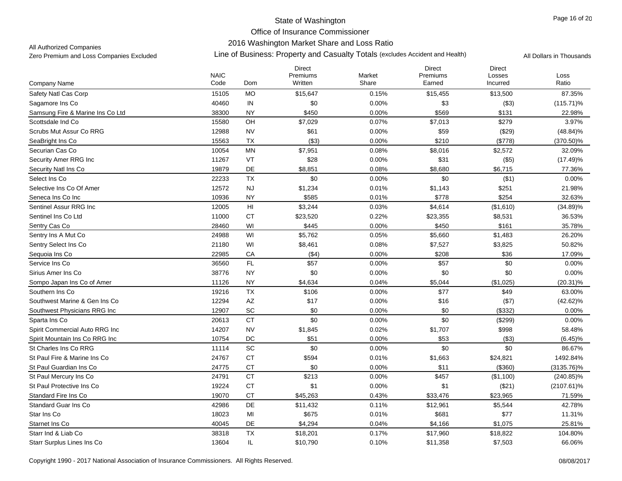### 2016 Washington Market Share and Loss Ratio

All Authorized Companies

|                                  | <b>NAIC</b> |                             | <b>Direct</b><br>Premiums | Market | <b>Direct</b><br>Premiums | <b>Direct</b><br>Losses | Loss          |
|----------------------------------|-------------|-----------------------------|---------------------------|--------|---------------------------|-------------------------|---------------|
| Company Name                     | Code        | Dom                         | Written                   | Share  | Earned                    | Incurred                | Ratio         |
| Safety Natl Cas Corp             | 15105       | <b>MO</b>                   | \$15,647                  | 0.15%  | \$15,455                  | \$13,500                | 87.35%        |
| Sagamore Ins Co                  | 40460       | IN                          | \$0                       | 0.00%  | \$3                       | (\$3)                   | $(115.71)\%$  |
| Samsung Fire & Marine Ins Co Ltd | 38300       | <b>NY</b>                   | \$450                     | 0.00%  | \$569                     | \$131                   | 22.98%        |
| Scottsdale Ind Co                | 15580       | OH                          | \$7,029                   | 0.07%  | \$7,013                   | \$279                   | 3.97%         |
| Scrubs Mut Assur Co RRG          | 12988       | <b>NV</b>                   | \$61                      | 0.00%  | \$59                      | (\$29)                  | $(48.84)\%$   |
| SeaBright Ins Co                 | 15563       | <b>TX</b>                   | (\$3)                     | 0.00%  | \$210                     | (\$778)                 | $(370.50)\%$  |
| Securian Cas Co                  | 10054       | <b>MN</b>                   | \$7,951                   | 0.08%  | \$8,016                   | \$2,572                 | 32.09%        |
| Security Amer RRG Inc            | 11267       | VT                          | \$28                      | 0.00%  | \$31                      | (\$5)                   | (17.49)%      |
| Security Natl Ins Co             | 19879       | <b>DE</b>                   | \$8,851                   | 0.08%  | \$8,680                   | \$6,715                 | 77.36%        |
| Select Ins Co                    | 22233       | <b>TX</b>                   | \$0                       | 0.00%  | \$0                       | ( \$1)                  | 0.00%         |
| Selective Ins Co Of Amer         | 12572       | <b>NJ</b>                   | \$1,234                   | 0.01%  | \$1,143                   | \$251                   | 21.98%        |
| Seneca Ins Co Inc                | 10936       | <b>NY</b>                   | \$585                     | 0.01%  | \$778                     | \$254                   | 32.63%        |
| Sentinel Assur RRG Inc.          | 12005       | $\mathsf{H}\mathsf{I}$      | \$3,244                   | 0.03%  | \$4,614                   | (\$1,610)               | $(34.89)\%$   |
| Sentinel Ins Co Ltd              | 11000       | <b>CT</b>                   | \$23,520                  | 0.22%  | \$23,355                  | \$8,531                 | 36.53%        |
| Sentry Cas Co                    | 28460       | WI                          | \$445                     | 0.00%  | \$450                     | \$161                   | 35.78%        |
| Sentry Ins A Mut Co              | 24988       | WI                          | \$5,762                   | 0.05%  | \$5,660                   | \$1,483                 | 26.20%        |
| Sentry Select Ins Co             | 21180       | WI                          | \$8,461                   | 0.08%  | \$7,527                   | \$3,825                 | 50.82%        |
| Sequoia Ins Co                   | 22985       | CA                          | ( \$4)                    | 0.00%  | \$208                     | \$36                    | 17.09%        |
| Service Ins Co                   | 36560       | FL                          | \$57                      | 0.00%  | \$57                      | \$0                     | 0.00%         |
| Sirius Amer Ins Co               | 38776       | <b>NY</b>                   | \$0                       | 0.00%  | \$0                       | \$0                     | 0.00%         |
| Sompo Japan Ins Co of Amer       | 11126       | <b>NY</b>                   | \$4,634                   | 0.04%  | \$5,044                   | (\$1,025)               | $(20.31)\%$   |
| Southern Ins Co                  | 19216       | <b>TX</b>                   | \$106                     | 0.00%  | \$77                      | \$49                    | 63.00%        |
| Southwest Marine & Gen Ins Co    | 12294       | $\mathsf{A}\mathsf{Z}$      | \$17                      | 0.00%  | \$16                      | (\$7)                   | (42.62)%      |
| Southwest Physicians RRG Inc     | 12907       | SC                          | \$0                       | 0.00%  | \$0                       | (\$332)                 | 0.00%         |
| Sparta Ins Co                    | 20613       | <b>CT</b>                   | \$0                       | 0.00%  | \$0                       | (\$299)                 | 0.00%         |
| Spirit Commercial Auto RRG Inc   | 14207       | <b>NV</b>                   | \$1,845                   | 0.02%  | \$1,707                   | \$998                   | 58.48%        |
| Spirit Mountain Ins Co RRG Inc   | 10754       | DC                          | \$51                      | 0.00%  | \$53                      | ( \$3)                  | $(6.45)\%$    |
| St Charles Ins Co RRG            | 11114       | $\protect\operatorname{SC}$ | \$0                       | 0.00%  | \$0                       | \$0                     | 86.67%        |
| St Paul Fire & Marine Ins Co     | 24767       | <b>CT</b>                   | \$594                     | 0.01%  | \$1,663                   | \$24,821                | 1492.84%      |
| St Paul Guardian Ins Co          | 24775       | <b>CT</b>                   | \$0                       | 0.00%  | \$11                      | (\$360)                 | $(3135.76)\%$ |
| St Paul Mercury Ins Co           | 24791       | <b>CT</b>                   | \$213                     | 0.00%  | \$457                     | (\$1,100)               | $(240.85)\%$  |
| St Paul Protective Ins Co        | 19224       | <b>CT</b>                   | \$1                       | 0.00%  | \$1                       | (\$21)                  | $(2107.61)\%$ |
| Standard Fire Ins Co             | 19070       | <b>CT</b>                   | \$45,263                  | 0.43%  | \$33,476                  | \$23,965                | 71.59%        |
| <b>Standard Guar Ins Co</b>      | 42986       | DE                          | \$11,432                  | 0.11%  | \$12,961                  | \$5,544                 | 42.78%        |
| Star Ins Co                      | 18023       | MI                          | \$675                     | 0.01%  | \$681                     | \$77                    | 11.31%        |
| Starnet Ins Co                   | 40045       | DE                          | \$4,294                   | 0.04%  | \$4,166                   | \$1,075                 | 25.81%        |
| Starr Ind & Liab Co              | 38318       | <b>TX</b>                   | \$18,201                  | 0.17%  | \$17,960                  | \$18,822                | 104.80%       |
| Starr Surplus Lines Ins Co       | 13604       | IL                          | \$10,790                  | 0.10%  | \$11,358                  | \$7,503                 | 66.06%        |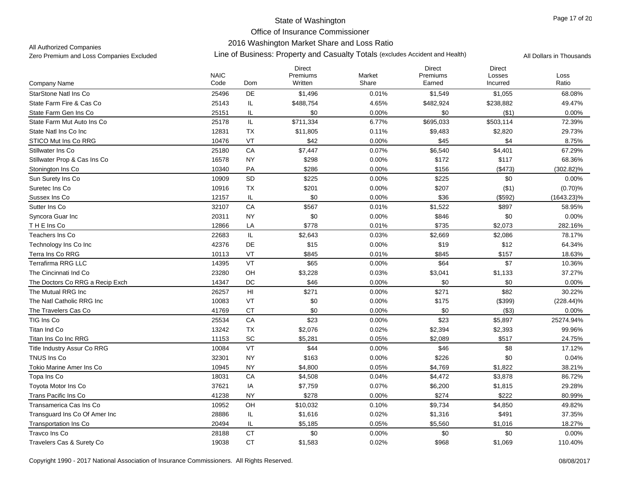### 2016 Washington Market Share and Loss Ratio

All Authorized Companies

|                                 |                     |                                   | <b>Direct</b>       |                 | <b>Direct</b>      | <b>Direct</b>      |               |
|---------------------------------|---------------------|-----------------------------------|---------------------|-----------------|--------------------|--------------------|---------------|
| Company Name                    | <b>NAIC</b><br>Code | Dom                               | Premiums<br>Written | Market<br>Share | Premiums<br>Earned | Losses<br>Incurred | Loss<br>Ratio |
| <b>StarStone Natl Ins Co</b>    | 25496               | DE                                | \$1,496             | 0.01%           | \$1,549            | \$1,055            | 68.08%        |
| State Farm Fire & Cas Co        | 25143               | IL                                | \$488,754           | 4.65%           | \$482,924          | \$238,882          | 49.47%        |
| State Farm Gen Ins Co           | 25151               | IL                                | \$0                 | 0.00%           | \$0                | (\$1)              | $0.00\%$      |
| State Farm Mut Auto Ins Co      | 25178               | IL                                | \$711,334           | 6.77%           | \$695,033          | \$503,114          | 72.39%        |
| State Natl Ins Co Inc           | 12831               | TX                                | \$11,805            | 0.11%           | \$9,483            | \$2,820            | 29.73%        |
| STICO Mut Ins Co RRG            | 10476               | VT                                | \$42                | 0.00%           | \$45               | \$4                | 8.75%         |
| Stillwater Ins Co               | 25180               | CA                                | \$7,447             | 0.07%           | \$6,540            | \$4,401            | 67.29%        |
| Stillwater Prop & Cas Ins Co    | 16578               | <b>NY</b>                         | \$298               | 0.00%           | \$172              | \$117              | 68.36%        |
| Stonington Ins Co               | 10340               | PA                                | \$286               | 0.00%           | \$156              | (\$473)            | $(302.82)\%$  |
| Sun Surety Ins Co.              | 10909               | SD                                | \$225               | 0.00%           | \$225              | \$0                | 0.00%         |
| Suretec Ins Co                  | 10916               | TX                                | \$201               | 0.00%           | \$207              | ( \$1)             | (0.70)%       |
| Sussex Ins Co                   | 12157               | IL                                | \$0                 | 0.00%           | \$36               | (\$592)            | $(1643.23)\%$ |
| Sutter Ins Co                   | 32107               | CA                                | \$567               | 0.01%           | \$1,522            | \$897              | 58.95%        |
| Syncora Guar Inc                | 20311               | <b>NY</b>                         | \$0                 | 0.00%           | \$846              | \$0                | 0.00%         |
| THE Ins Co                      | 12866               | LA                                | \$778               | 0.01%           | \$735              | \$2,073            | 282.16%       |
| Teachers Ins Co                 | 22683               | $\ensuremath{\mathsf{IL}}\xspace$ | \$2,643             | 0.03%           | \$2,669            | \$2,086            | 78.17%        |
| Technology Ins Co Inc           | 42376               | DE                                | \$15                | 0.00%           | \$19               | \$12               | 64.34%        |
| Terra Ins Co RRG                | 10113               | VT                                | \$845               | 0.01%           | \$845              | \$157              | 18.63%        |
| <b>Terrafirma RRG LLC</b>       | 14395               | VT                                | \$65                | 0.00%           | \$64               | \$7                | 10.36%        |
| The Cincinnati Ind Co           | 23280               | OH                                | \$3,228             | 0.03%           | \$3,041            | \$1,133            | 37.27%        |
| The Doctors Co RRG a Recip Exch | 14347               | DC                                | \$46                | 0.00%           | \$0                | \$0                | 0.00%         |
| The Mutual RRG Inc              | 26257               | H <sub>l</sub>                    | \$271               | 0.00%           | \$271              | \$82               | 30.22%        |
| The Natl Catholic RRG Inc       | 10083               | VT                                | \$0                 | 0.00%           | \$175              | (\$399)            | $(228.44)\%$  |
| The Travelers Cas Co            | 41769               | <b>CT</b>                         | \$0                 | 0.00%           | \$0                | ( \$3)             | 0.00%         |
| TIG Ins Co                      | 25534               | CA                                | \$23                | 0.00%           | \$23               | \$5,897            | 25274.94%     |
| Titan Ind Co                    | 13242               | <b>TX</b>                         | \$2,076             | 0.02%           | \$2,394            | \$2,393            | 99.96%        |
| Titan Ins Co Inc RRG            | 11153               | <b>SC</b>                         | \$5,281             | 0.05%           | \$2,089            | \$517              | 24.75%        |
| Title Industry Assur Co RRG     | 10084               | VT                                | \$44                | 0.00%           | \$46               | \$8                | 17.12%        |
| TNUS Ins Co                     | 32301               | <b>NY</b>                         | \$163               | 0.00%           | \$226              | \$0                | 0.04%         |
| Tokio Marine Amer Ins Co        | 10945               | <b>NY</b>                         | \$4,800             | 0.05%           | \$4,769            | \$1,822            | 38.21%        |
| Topa Ins Co                     | 18031               | CA                                | \$4,508             | 0.04%           | \$4,472            | \$3,878            | 86.72%        |
| <b>Toyota Motor Ins Co</b>      | 37621               | IA                                | \$7,759             | 0.07%           | \$6,200            | \$1,815            | 29.28%        |
| Trans Pacific Ins Co            | 41238               | <b>NY</b>                         | \$278               | 0.00%           | \$274              | \$222              | 80.99%        |
| Transamerica Cas Ins Co         | 10952               | OH                                | \$10,032            | 0.10%           | \$9,734            | \$4,850            | 49.82%        |
| Transquard Ins Co Of Amer Inc   | 28886               | IL                                | \$1,616             | 0.02%           | \$1,316            | \$491              | 37.35%        |
| <b>Transportation Ins Co</b>    | 20494               | IL                                | \$5,185             | 0.05%           | \$5,560            | \$1,016            | 18.27%        |
| Travco Ins Co                   | 28188               | CT                                | \$0                 | 0.00%           | \$0                | \$0                | 0.00%         |
| Travelers Cas & Surety Co       | 19038               | <b>CT</b>                         | \$1,583             | 0.02%           | \$968              | \$1,069            | 110.40%       |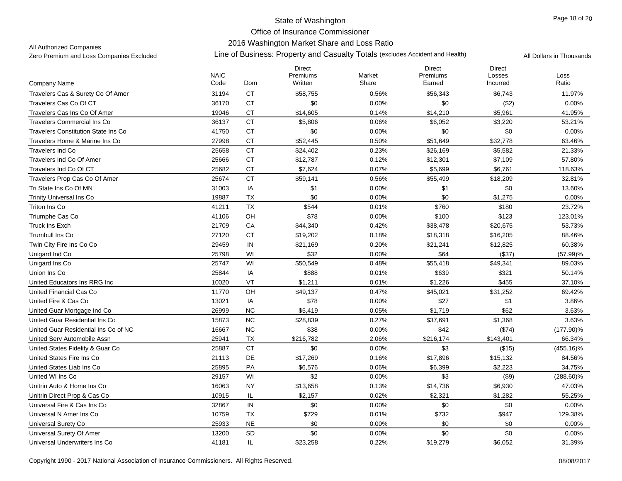## 2016 Washington Market Share and Loss Ratio

All Authorized Companies

|                                            | <b>NAIC</b> |            | <b>Direct</b><br>Premiums | Market | <b>Direct</b><br>Premiums | <b>Direct</b><br>Losses | Loss         |
|--------------------------------------------|-------------|------------|---------------------------|--------|---------------------------|-------------------------|--------------|
| Company Name                               | Code        | <b>Dom</b> | Written                   | Share  | Earned                    | Incurred                | Ratio        |
| Travelers Cas & Surety Co Of Amer          | 31194       | <b>CT</b>  | \$58,755                  | 0.56%  | \$56,343                  | \$6,743                 | 11.97%       |
| Travelers Cas Co Of CT                     | 36170       | <b>CT</b>  | \$0                       | 0.00%  | \$0                       | (\$2)                   | $0.00\%$     |
| Travelers Cas Ins Co Of Amer               | 19046       | <b>CT</b>  | \$14,605                  | 0.14%  | \$14,210                  | \$5,961                 | 41.95%       |
| <b>Travelers Commercial Ins Co</b>         | 36137       | <b>CT</b>  | \$5,806                   | 0.06%  | \$6,052                   | \$3,220                 | 53.21%       |
| <b>Travelers Constitution State Ins Co</b> | 41750       | <b>CT</b>  | \$0                       | 0.00%  | \$0                       | \$0                     | 0.00%        |
| Travelers Home & Marine Ins Co             | 27998       | <b>CT</b>  | \$52,445                  | 0.50%  | \$51,649                  | \$32,778                | 63.46%       |
| <b>Travelers Ind Co</b>                    | 25658       | <b>CT</b>  | \$24,402                  | 0.23%  | \$26,169                  | \$5,582                 | 21.33%       |
| Travelers Ind Co Of Amer                   | 25666       | <b>CT</b>  | \$12,787                  | 0.12%  | \$12,301                  | \$7,109                 | 57.80%       |
| Travelers Ind Co Of CT                     | 25682       | <b>CT</b>  | \$7,624                   | 0.07%  | \$5,699                   | \$6,761                 | 118.63%      |
| Travelers Prop Cas Co Of Amer              | 25674       | <b>CT</b>  | \$59,141                  | 0.56%  | \$55,499                  | \$18,209                | 32.81%       |
| Tri State Ins Co Of MN                     | 31003       | IA         | \$1                       | 0.00%  | \$1                       | \$0                     | 13.60%       |
| <b>Trinity Universal Ins Co</b>            | 19887       | TX         | \$0                       | 0.00%  | \$0                       | \$1,275                 | 0.00%        |
| Triton Ins Co                              | 41211       | <b>TX</b>  | \$544                     | 0.01%  | \$760                     | \$180                   | 23.72%       |
| Triumphe Cas Co                            | 41106       | OH         | \$78                      | 0.00%  | \$100                     | \$123                   | 123.01%      |
| <b>Truck Ins Exch</b>                      | 21709       | CA         | \$44,340                  | 0.42%  | \$38,478                  | \$20,675                | 53.73%       |
| <b>Trumbull Ins Co</b>                     | 27120       | <b>CT</b>  | \$19,202                  | 0.18%  | \$18,318                  | \$16,205                | 88.46%       |
| Twin City Fire Ins Co Co                   | 29459       | IN         | \$21,169                  | 0.20%  | \$21,241                  | \$12,825                | 60.38%       |
| Unigard Ind Co                             | 25798       | WI         | \$32                      | 0.00%  | \$64                      | (\$37)                  | $(57.99)\%$  |
| Unigard Ins Co                             | 25747       | WI         | \$50,549                  | 0.48%  | \$55,418                  | \$49,341                | 89.03%       |
| Union Ins Co                               | 25844       | IA         | \$888                     | 0.01%  | \$639                     | \$321                   | 50.14%       |
| United Educators Ins RRG Inc               | 10020       | VT         | \$1,211                   | 0.01%  | \$1,226                   | \$455                   | 37.10%       |
| United Financial Cas Co                    | 11770       | OH         | \$49,137                  | 0.47%  | \$45,021                  | \$31,252                | 69.42%       |
| United Fire & Cas Co                       | 13021       | IA         | \$78                      | 0.00%  | \$27                      | \$1                     | 3.86%        |
| United Guar Mortgage Ind Co                | 26999       | NC         | \$5,419                   | 0.05%  | \$1,719                   | \$62                    | 3.63%        |
| United Guar Residential Ins Co             | 15873       | <b>NC</b>  | \$28,839                  | 0.27%  | \$37,691                  | \$1,368                 | 3.63%        |
| United Guar Residential Ins Co of NC       | 16667       | <b>NC</b>  | \$38                      | 0.00%  | \$42                      | (\$74)                  | $(177.90)\%$ |
| United Serv Automobile Assn                | 25941       | TX         | \$216,782                 | 2.06%  | \$216,174                 | \$143,401               | 66.34%       |
| United States Fidelity & Guar Co           | 25887       | <b>CT</b>  | \$0                       | 0.00%  | \$3                       | (\$15)                  | $(455.16)\%$ |
| United States Fire Ins Co                  | 21113       | DE         | \$17,269                  | 0.16%  | \$17,896                  | \$15,132                | 84.56%       |
| United States Liab Ins Co                  | 25895       | PA         | \$6,576                   | 0.06%  | \$6,399                   | \$2,223                 | 34.75%       |
| United WI Ins Co                           | 29157       | WI         | \$2                       | 0.00%  | \$3                       | ( \$9)                  | $(288.60)\%$ |
| Unitrin Auto & Home Ins Co                 | 16063       | <b>NY</b>  | \$13,658                  | 0.13%  | \$14,736                  | \$6,930                 | 47.03%       |
| Unitrin Direct Prop & Cas Co               | 10915       | IL         | \$2,157                   | 0.02%  | \$2,321                   | \$1,282                 | 55.25%       |
| Universal Fire & Cas Ins Co                | 32867       | IN         | \$0                       | 0.00%  | \$0                       | \$0                     | 0.00%        |
| Universal N Amer Ins Co                    | 10759       | <b>TX</b>  | \$729                     | 0.01%  | \$732                     | \$947                   | 129.38%      |
| Universal Surety Co                        | 25933       | <b>NE</b>  | \$0                       | 0.00%  | \$0                       | \$0                     | $0.00\%$     |
| Universal Surety Of Amer                   | 13200       | <b>SD</b>  | \$0                       | 0.00%  | \$0                       | \$0                     | 0.00%        |
| Universal Underwriters Ins Co              | 41181       | IL         | \$23,258                  | 0.22%  | \$19,279                  | \$6,052                 | 31.39%       |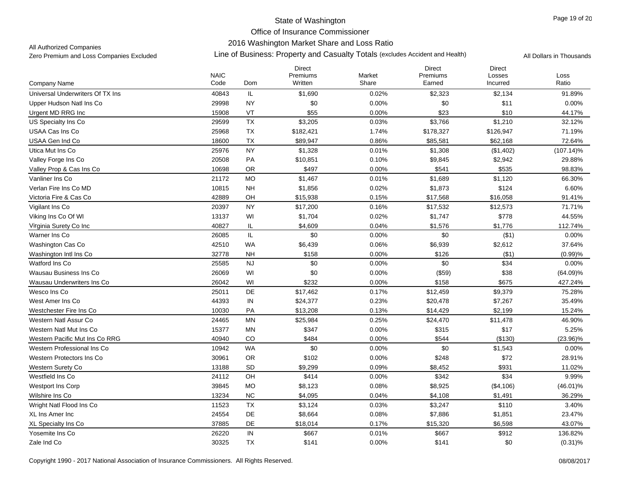### 2016 Washington Market Share and Loss Ratio

All Authorized Companies

|                                  | <b>NAIC</b> |           | <b>Direct</b><br>Premiums | Market | <b>Direct</b><br>Premiums | <b>Direct</b><br>Losses | Loss         |
|----------------------------------|-------------|-----------|---------------------------|--------|---------------------------|-------------------------|--------------|
| <b>Company Name</b>              | Code        | Dom       | Written                   | Share  | Earned                    | Incurred                | Ratio        |
| Universal Underwriters Of TX Ins | 40843       | IL        | \$1,690                   | 0.02%  | \$2,323                   | \$2,134                 | 91.89%       |
| Upper Hudson Natl Ins Co         | 29998       | <b>NY</b> | \$0                       | 0.00%  | \$0                       | \$11                    | 0.00%        |
| Urgent MD RRG Inc                | 15908       | VT        | \$55                      | 0.00%  | \$23                      | \$10                    | 44.17%       |
| US Specialty Ins Co              | 29599       | TX        | \$3,205                   | 0.03%  | \$3,766                   | \$1,210                 | 32.12%       |
| USAA Cas Ins Co                  | 25968       | TX        | \$182,421                 | 1.74%  | \$178,327                 | \$126,947               | 71.19%       |
| USAA Gen Ind Co                  | 18600       | TX        | \$89,947                  | 0.86%  | \$85,581                  | \$62,168                | 72.64%       |
| Utica Mut Ins Co                 | 25976       | <b>NY</b> | \$1,328                   | 0.01%  | \$1,308                   | (\$1,402)               | $(107.14)\%$ |
| Valley Forge Ins Co              | 20508       | PA        | \$10,851                  | 0.10%  | \$9,845                   | \$2,942                 | 29.88%       |
| Valley Prop & Cas Ins Co         | 10698       | OR.       | \$497                     | 0.00%  | \$541                     | \$535                   | 98.83%       |
| Vanliner Ins Co                  | 21172       | <b>MO</b> | \$1,467                   | 0.01%  | \$1,689                   | \$1,120                 | 66.30%       |
| Verlan Fire Ins Co MD            | 10815       | <b>NH</b> | \$1,856                   | 0.02%  | \$1,873                   | \$124                   | 6.60%        |
| Victoria Fire & Cas Co           | 42889       | OH        | \$15,938                  | 0.15%  | \$17,568                  | \$16,058                | 91.41%       |
| Vigilant Ins Co                  | 20397       | NY.       | \$17,200                  | 0.16%  | \$17,532                  | \$12,573                | 71.71%       |
| Viking Ins Co Of WI              | 13137       | WI        | \$1,704                   | 0.02%  | \$1,747                   | \$778                   | 44.55%       |
| Virginia Surety Co Inc           | 40827       | IL.       | \$4,609                   | 0.04%  | \$1,576                   | \$1,776                 | 112.74%      |
| Warner Ins Co                    | 26085       | IL        | \$0                       | 0.00%  | \$0                       | ( \$1)                  | 0.00%        |
| Washington Cas Co                | 42510       | <b>WA</b> | \$6,439                   | 0.06%  | \$6,939                   | \$2,612                 | 37.64%       |
| Washington Intl Ins Co           | 32778       | <b>NH</b> | \$158                     | 0.00%  | \$126                     | (\$1)                   | (0.99)%      |
| Watford Ins Co                   | 25585       | <b>NJ</b> | \$0                       | 0.00%  | \$0                       | \$34                    | 0.00%        |
| Wausau Business Ins Co           | 26069       | WI        | \$0                       | 0.00%  | (\$59)                    | \$38                    | $(64.09)\%$  |
| Wausau Underwriters Ins Co       | 26042       | WI        | \$232                     | 0.00%  | \$158                     | \$675                   | 427.24%      |
| Wesco Ins Co                     | 25011       | DE        | \$17,462                  | 0.17%  | \$12,459                  | \$9,379                 | 75.28%       |
| West Amer Ins Co                 | 44393       | IN        | \$24,377                  | 0.23%  | \$20,478                  | \$7,267                 | 35.49%       |
| Westchester Fire Ins Co          | 10030       | PA        | \$13,208                  | 0.13%  | \$14,429                  | \$2,199                 | 15.24%       |
| Western Natl Assur Co            | 24465       | <b>MN</b> | \$25,984                  | 0.25%  | \$24,470                  | \$11,478                | 46.90%       |
| Western Natl Mut Ins Co          | 15377       | <b>MN</b> | \$347                     | 0.00%  | \$315                     | \$17                    | 5.25%        |
| Western Pacific Mut Ins Co RRG   | 40940       | <b>CO</b> | \$484                     | 0.00%  | \$544                     | (\$130)                 | $(23.96)\%$  |
| Western Professional Ins Co      | 10942       | <b>WA</b> | \$0                       | 0.00%  | \$0                       | \$1,543                 | 0.00%        |
| Western Protectors Ins Co        | 30961       | <b>OR</b> | \$102                     | 0.00%  | \$248                     | \$72                    | 28.91%       |
| Western Surety Co                | 13188       | SD        | \$9,299                   | 0.09%  | \$8,452                   | \$931                   | 11.02%       |
| Westfield Ins Co                 | 24112       | OH        | \$414                     | 0.00%  | \$342                     | \$34                    | 9.99%        |
| Westport Ins Corp                | 39845       | <b>MO</b> | \$8,123                   | 0.08%  | \$8,925                   | (\$4,106)               | $(46.01)\%$  |
| Wilshire Ins Co                  | 13234       | NC        | \$4,095                   | 0.04%  | \$4,108                   | \$1,491                 | 36.29%       |
| Wright Natl Flood Ins Co.        | 11523       | TX        | \$3,124                   | 0.03%  | \$3,247                   | \$110                   | 3.40%        |
| XL Ins Amer Inc                  | 24554       | DE        | \$8,664                   | 0.08%  | \$7,886                   | \$1,851                 | 23.47%       |
| XL Specialty Ins Co.             | 37885       | DE        | \$18,014                  | 0.17%  | \$15,320                  | \$6,598                 | 43.07%       |
| Yosemite Ins Co                  | 26220       | IN        | \$667                     | 0.01%  | \$667                     | \$912                   | 136.82%      |
| Zale Ind Co                      | 30325       | <b>TX</b> | \$141                     | 0.00%  | \$141                     | \$0                     | $(0.31)\%$   |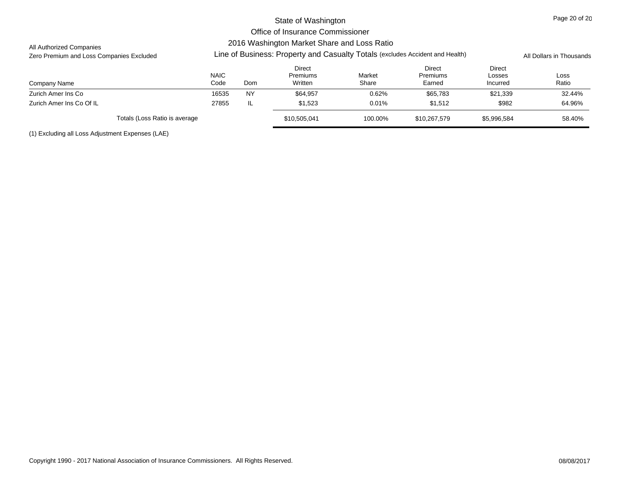### All Authorized Companies

# Zero Premium and Loss Companies Excluded **All Propectic Excludes Line of Business: Property and Casualty Totals** (excludes Accident and Health) All Dollars in Thousands

| Company Name                  | <b>NAIC</b><br>Code | <b>Dom</b> | Direct<br>Premiums<br>Written | Market<br>Share | Direct<br><b>Premiums</b><br>Earned | <b>Direct</b><br>Losses<br>Incurred | Loss<br>Ratio |
|-------------------------------|---------------------|------------|-------------------------------|-----------------|-------------------------------------|-------------------------------------|---------------|
| Zurich Amer Ins Co            | 16535               | <b>NY</b>  | \$64,957                      | 0.62%           | \$65,783                            | \$21,339                            | 32.44%        |
| Zurich Amer Ins Co Of IL      | 27855               | -lL        | \$1.523                       | 0.01%           | \$1,512                             | \$982                               | 64.96%        |
| Totals (Loss Ratio is average |                     |            | \$10,505,041                  | 100.00%         | \$10,267,579                        | \$5,996,584                         | 58.40%        |

(1) Excluding all Loss Adjustment Expenses (LAE)